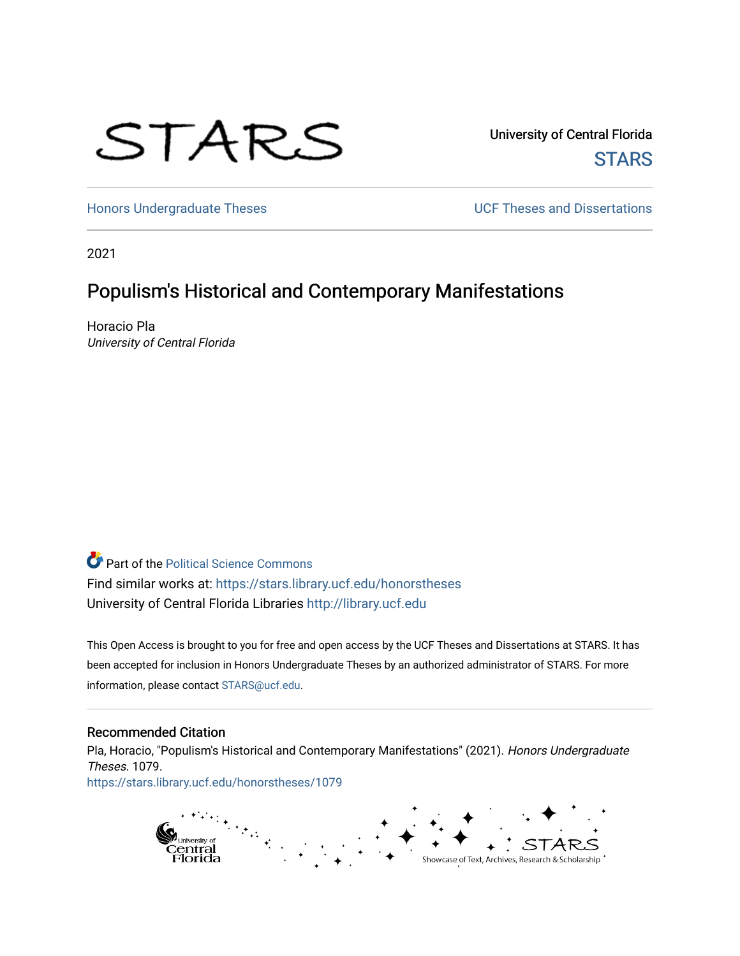# STARS

University of Central Florida **STARS** 

[Honors Undergraduate Theses](https://stars.library.ucf.edu/honorstheses) **Exercise 2 and Serverse** UCF Theses and Dissertations

2021

## Populism's Historical and Contemporary Manifestations

Horacio Pla University of Central Florida

**Part of the Political Science Commons** Find similar works at: <https://stars.library.ucf.edu/honorstheses> University of Central Florida Libraries [http://library.ucf.edu](http://library.ucf.edu/) 

This Open Access is brought to you for free and open access by the UCF Theses and Dissertations at STARS. It has been accepted for inclusion in Honors Undergraduate Theses by an authorized administrator of STARS. For more information, please contact [STARS@ucf.edu.](mailto:STARS@ucf.edu)

#### Recommended Citation

Pla, Horacio, "Populism's Historical and Contemporary Manifestations" (2021). Honors Undergraduate Theses. 1079. [https://stars.library.ucf.edu/honorstheses/1079](https://stars.library.ucf.edu/honorstheses/1079?utm_source=stars.library.ucf.edu%2Fhonorstheses%2F1079&utm_medium=PDF&utm_campaign=PDFCoverPages)

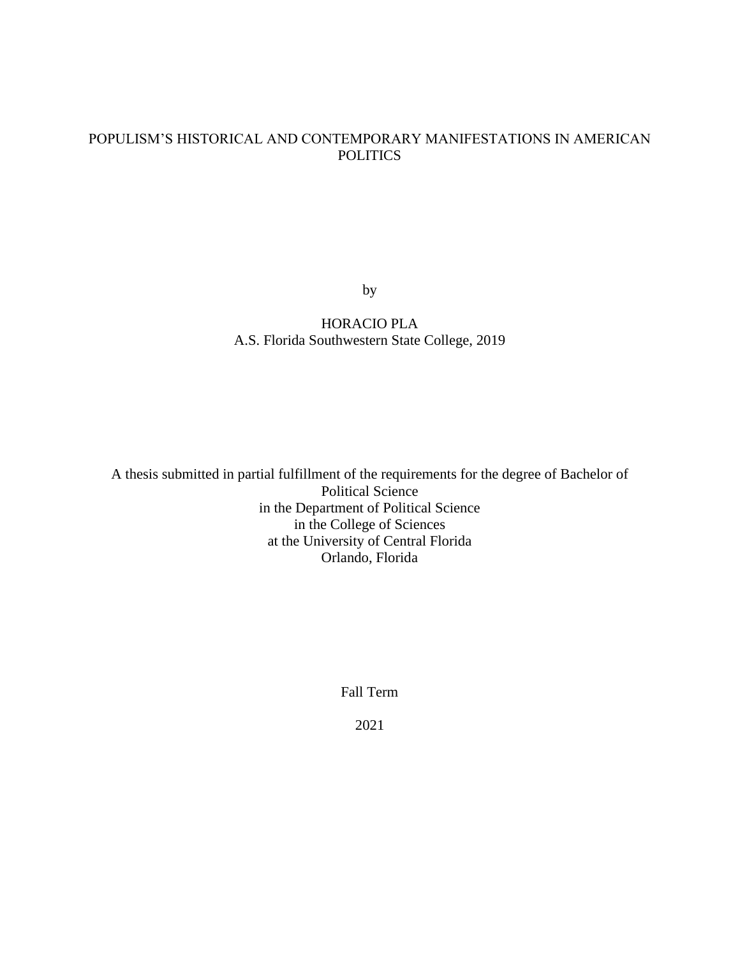## POPULISM'S HISTORICAL AND CONTEMPORARY MANIFESTATIONS IN AMERICAN **POLITICS**

by

## HORACIO PLA A.S. Florida Southwestern State College, 2019

A thesis submitted in partial fulfillment of the requirements for the degree of Bachelor of Political Science in the Department of Political Science in the College of Sciences at the University of Central Florida Orlando, Florida

Fall Term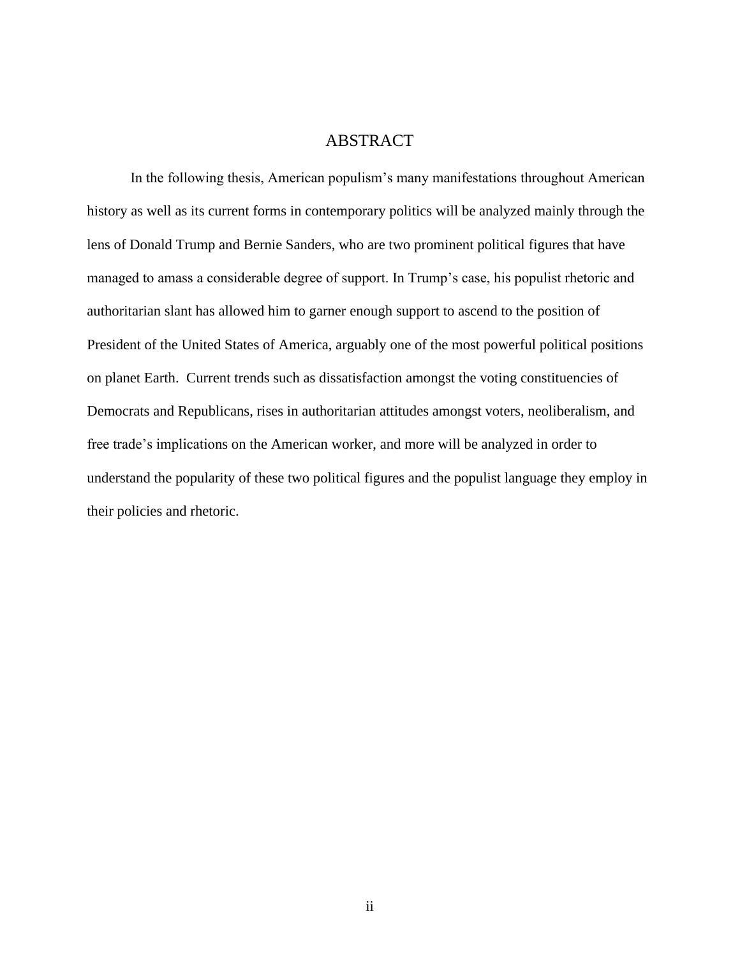## ABSTRACT

In the following thesis, American populism's many manifestations throughout American history as well as its current forms in contemporary politics will be analyzed mainly through the lens of Donald Trump and Bernie Sanders, who are two prominent political figures that have managed to amass a considerable degree of support. In Trump's case, his populist rhetoric and authoritarian slant has allowed him to garner enough support to ascend to the position of President of the United States of America, arguably one of the most powerful political positions on planet Earth. Current trends such as dissatisfaction amongst the voting constituencies of Democrats and Republicans, rises in authoritarian attitudes amongst voters, neoliberalism, and free trade's implications on the American worker, and more will be analyzed in order to understand the popularity of these two political figures and the populist language they employ in their policies and rhetoric.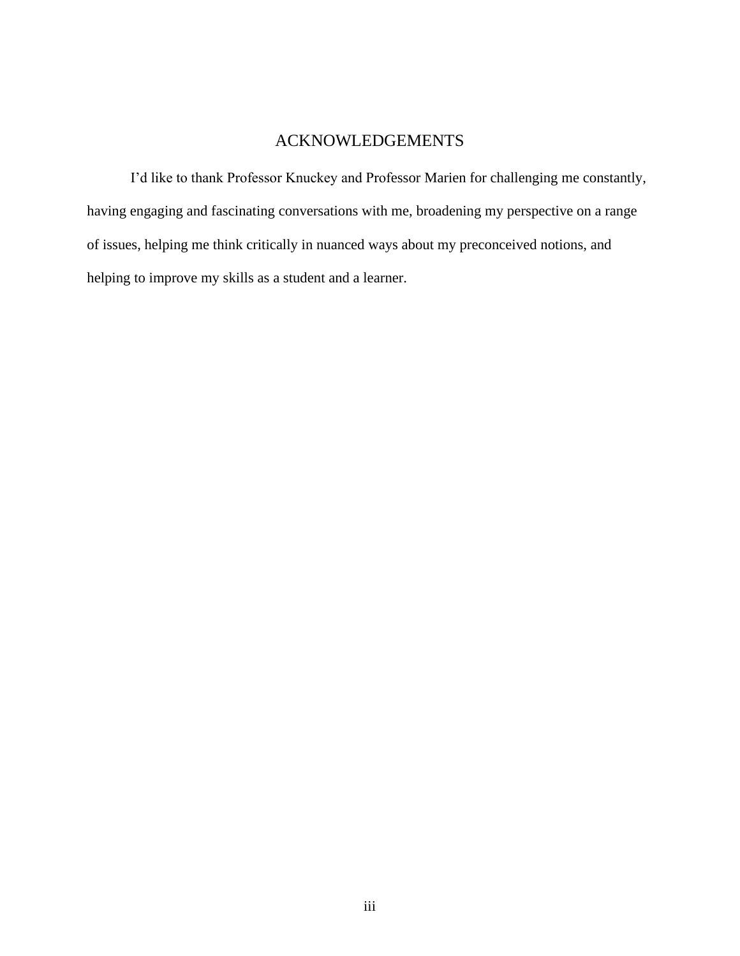## ACKNOWLEDGEMENTS

I'd like to thank Professor Knuckey and Professor Marien for challenging me constantly, having engaging and fascinating conversations with me, broadening my perspective on a range of issues, helping me think critically in nuanced ways about my preconceived notions, and helping to improve my skills as a student and a learner.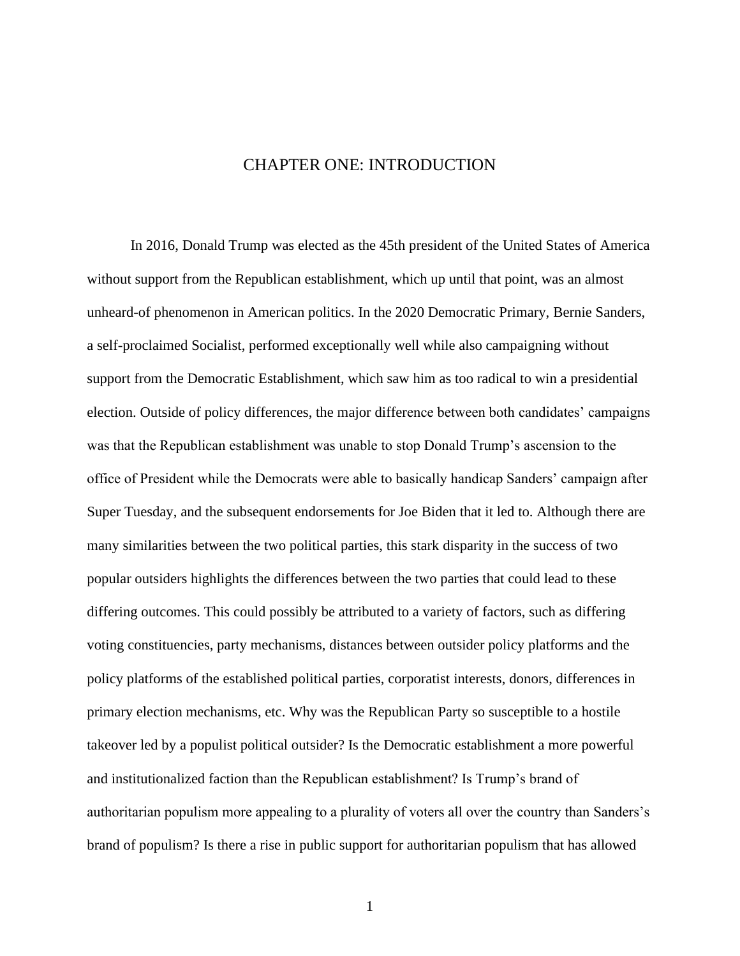## <span id="page-5-0"></span>CHAPTER ONE: INTRODUCTION

In 2016, Donald Trump was elected as the 45th president of the United States of America without support from the Republican establishment, which up until that point, was an almost unheard-of phenomenon in American politics. In the 2020 Democratic Primary, Bernie Sanders, a self-proclaimed Socialist, performed exceptionally well while also campaigning without support from the Democratic Establishment, which saw him as too radical to win a presidential election. Outside of policy differences, the major difference between both candidates' campaigns was that the Republican establishment was unable to stop Donald Trump's ascension to the office of President while the Democrats were able to basically handicap Sanders' campaign after Super Tuesday, and the subsequent endorsements for Joe Biden that it led to. Although there are many similarities between the two political parties, this stark disparity in the success of two popular outsiders highlights the differences between the two parties that could lead to these differing outcomes. This could possibly be attributed to a variety of factors, such as differing voting constituencies, party mechanisms, distances between outsider policy platforms and the policy platforms of the established political parties, corporatist interests, donors, differences in primary election mechanisms, etc. Why was the Republican Party so susceptible to a hostile takeover led by a populist political outsider? Is the Democratic establishment a more powerful and institutionalized faction than the Republican establishment? Is Trump's brand of authoritarian populism more appealing to a plurality of voters all over the country than Sanders's brand of populism? Is there a rise in public support for authoritarian populism that has allowed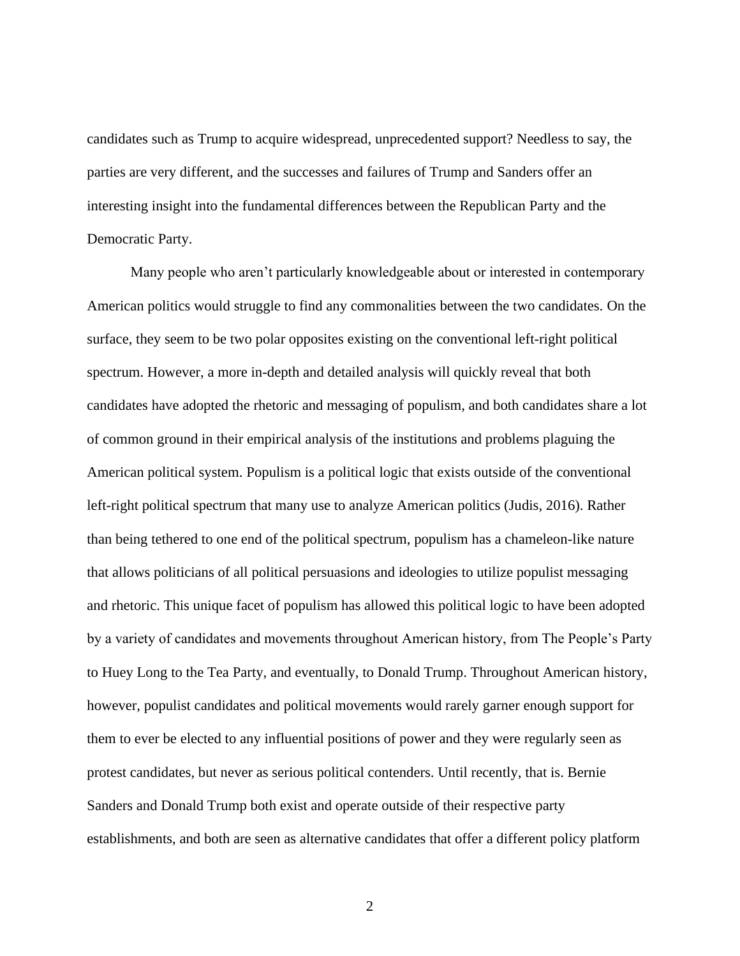candidates such as Trump to acquire widespread, unprecedented support? Needless to say, the parties are very different, and the successes and failures of Trump and Sanders offer an interesting insight into the fundamental differences between the Republican Party and the Democratic Party.

Many people who aren't particularly knowledgeable about or interested in contemporary American politics would struggle to find any commonalities between the two candidates. On the surface, they seem to be two polar opposites existing on the conventional left-right political spectrum. However, a more in-depth and detailed analysis will quickly reveal that both candidates have adopted the rhetoric and messaging of populism, and both candidates share a lot of common ground in their empirical analysis of the institutions and problems plaguing the American political system. Populism is a political logic that exists outside of the conventional left-right political spectrum that many use to analyze American politics (Judis, 2016). Rather than being tethered to one end of the political spectrum, populism has a chameleon-like nature that allows politicians of all political persuasions and ideologies to utilize populist messaging and rhetoric. This unique facet of populism has allowed this political logic to have been adopted by a variety of candidates and movements throughout American history, from The People's Party to Huey Long to the Tea Party, and eventually, to Donald Trump. Throughout American history, however, populist candidates and political movements would rarely garner enough support for them to ever be elected to any influential positions of power and they were regularly seen as protest candidates, but never as serious political contenders. Until recently, that is. Bernie Sanders and Donald Trump both exist and operate outside of their respective party establishments, and both are seen as alternative candidates that offer a different policy platform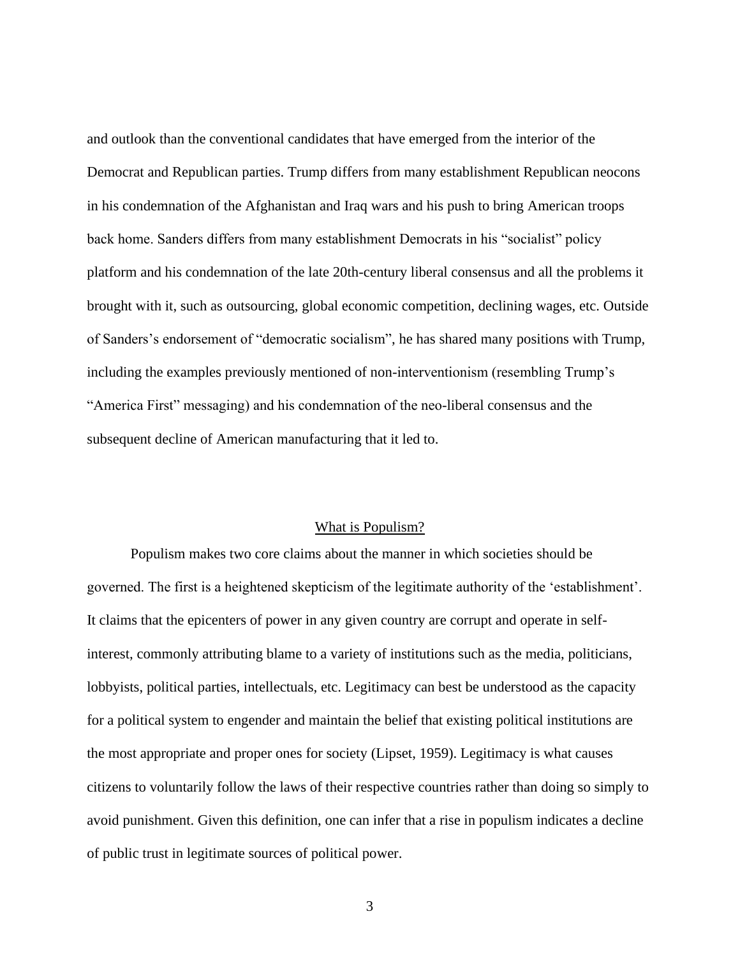and outlook than the conventional candidates that have emerged from the interior of the Democrat and Republican parties. Trump differs from many establishment Republican neocons in his condemnation of the Afghanistan and Iraq wars and his push to bring American troops back home. Sanders differs from many establishment Democrats in his "socialist" policy platform and his condemnation of the late 20th-century liberal consensus and all the problems it brought with it, such as outsourcing, global economic competition, declining wages, etc. Outside of Sanders's endorsement of "democratic socialism", he has shared many positions with Trump, including the examples previously mentioned of non-interventionism (resembling Trump's "America First" messaging) and his condemnation of the neo-liberal consensus and the subsequent decline of American manufacturing that it led to.

#### What is Populism?

<span id="page-7-0"></span>Populism makes two core claims about the manner in which societies should be governed. The first is a heightened skepticism of the legitimate authority of the 'establishment'. It claims that the epicenters of power in any given country are corrupt and operate in selfinterest, commonly attributing blame to a variety of institutions such as the media, politicians, lobbyists, political parties, intellectuals, etc. Legitimacy can best be understood as the capacity for a political system to engender and maintain the belief that existing political institutions are the most appropriate and proper ones for society (Lipset, 1959). Legitimacy is what causes citizens to voluntarily follow the laws of their respective countries rather than doing so simply to avoid punishment. Given this definition, one can infer that a rise in populism indicates a decline of public trust in legitimate sources of political power.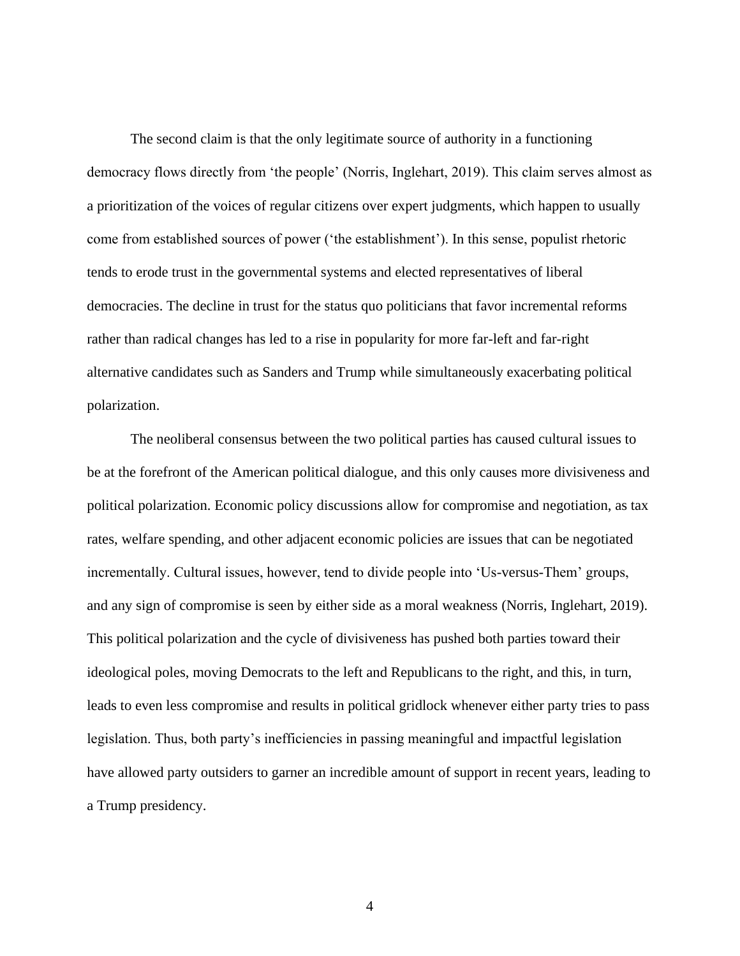The second claim is that the only legitimate source of authority in a functioning democracy flows directly from 'the people' (Norris, Inglehart, 2019). This claim serves almost as a prioritization of the voices of regular citizens over expert judgments, which happen to usually come from established sources of power ('the establishment'). In this sense, populist rhetoric tends to erode trust in the governmental systems and elected representatives of liberal democracies. The decline in trust for the status quo politicians that favor incremental reforms rather than radical changes has led to a rise in popularity for more far-left and far-right alternative candidates such as Sanders and Trump while simultaneously exacerbating political polarization.

The neoliberal consensus between the two political parties has caused cultural issues to be at the forefront of the American political dialogue, and this only causes more divisiveness and political polarization. Economic policy discussions allow for compromise and negotiation, as tax rates, welfare spending, and other adjacent economic policies are issues that can be negotiated incrementally. Cultural issues, however, tend to divide people into 'Us-versus-Them' groups, and any sign of compromise is seen by either side as a moral weakness (Norris, Inglehart, 2019). This political polarization and the cycle of divisiveness has pushed both parties toward their ideological poles, moving Democrats to the left and Republicans to the right, and this, in turn, leads to even less compromise and results in political gridlock whenever either party tries to pass legislation. Thus, both party's inefficiencies in passing meaningful and impactful legislation have allowed party outsiders to garner an incredible amount of support in recent years, leading to a Trump presidency.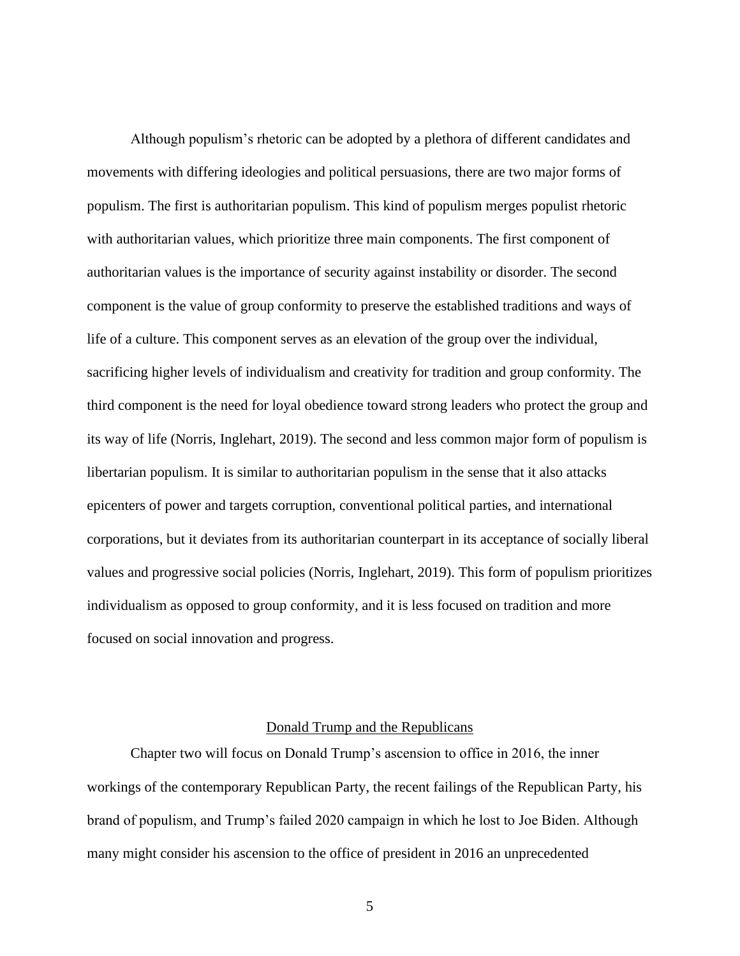Although populism's rhetoric can be adopted by a plethora of different candidates and movements with differing ideologies and political persuasions, there are two major forms of populism. The first is authoritarian populism. This kind of populism merges populist rhetoric with authoritarian values, which prioritize three main components. The first component of authoritarian values is the importance of security against instability or disorder. The second component is the value of group conformity to preserve the established traditions and ways of life of a culture. This component serves as an elevation of the group over the individual, sacrificing higher levels of individualism and creativity for tradition and group conformity. The third component is the need for loyal obedience toward strong leaders who protect the group and its way of life (Norris, Inglehart, 2019). The second and less common major form of populism is libertarian populism. It is similar to authoritarian populism in the sense that it also attacks epicenters of power and targets corruption, conventional political parties, and international corporations, but it deviates from its authoritarian counterpart in its acceptance of socially liberal values and progressive social policies (Norris, Inglehart, 2019). This form of populism prioritizes individualism as opposed to group conformity, and it is less focused on tradition and more focused on social innovation and progress.

#### Donald Trump and the Republicans

<span id="page-9-0"></span>Chapter two will focus on Donald Trump's ascension to office in 2016, the inner workings of the contemporary Republican Party, the recent failings of the Republican Party, his brand of populism, and Trump's failed 2020 campaign in which he lost to Joe Biden. Although many might consider his ascension to the office of president in 2016 an unprecedented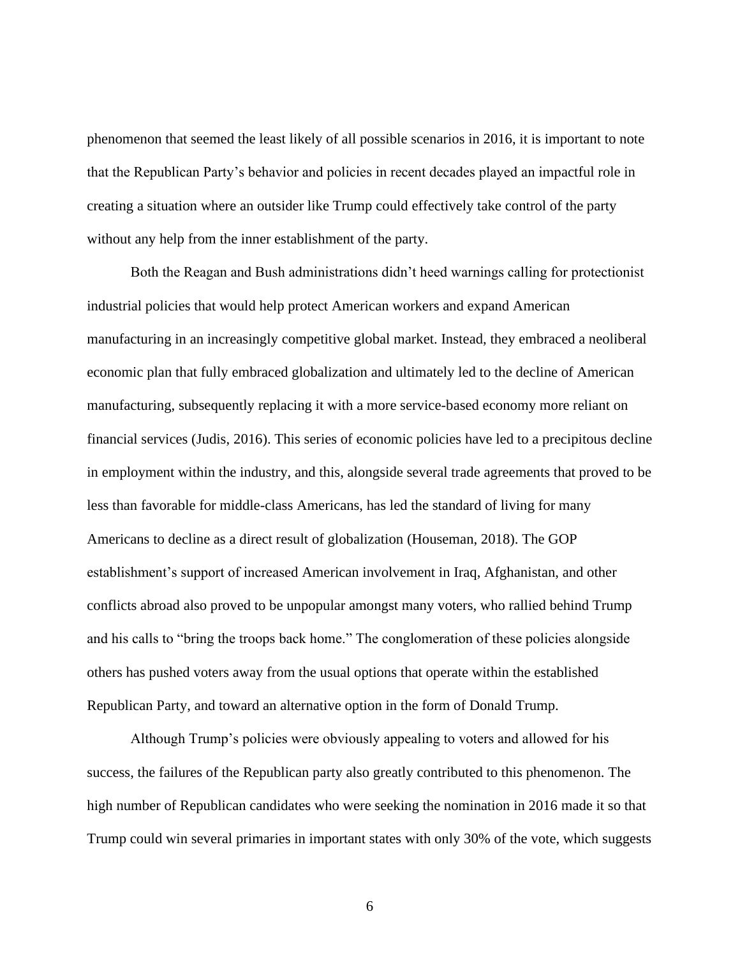phenomenon that seemed the least likely of all possible scenarios in 2016, it is important to note that the Republican Party's behavior and policies in recent decades played an impactful role in creating a situation where an outsider like Trump could effectively take control of the party without any help from the inner establishment of the party.

Both the Reagan and Bush administrations didn't heed warnings calling for protectionist industrial policies that would help protect American workers and expand American manufacturing in an increasingly competitive global market. Instead, they embraced a neoliberal economic plan that fully embraced globalization and ultimately led to the decline of American manufacturing, subsequently replacing it with a more service-based economy more reliant on financial services (Judis, 2016). This series of economic policies have led to a precipitous decline in employment within the industry, and this, alongside several trade agreements that proved to be less than favorable for middle-class Americans, has led the standard of living for many Americans to decline as a direct result of globalization (Houseman, 2018). The GOP establishment's support of increased American involvement in Iraq, Afghanistan, and other conflicts abroad also proved to be unpopular amongst many voters, who rallied behind Trump and his calls to "bring the troops back home." The conglomeration of these policies alongside others has pushed voters away from the usual options that operate within the established Republican Party, and toward an alternative option in the form of Donald Trump.

Although Trump's policies were obviously appealing to voters and allowed for his success, the failures of the Republican party also greatly contributed to this phenomenon. The high number of Republican candidates who were seeking the nomination in 2016 made it so that Trump could win several primaries in important states with only 30% of the vote, which suggests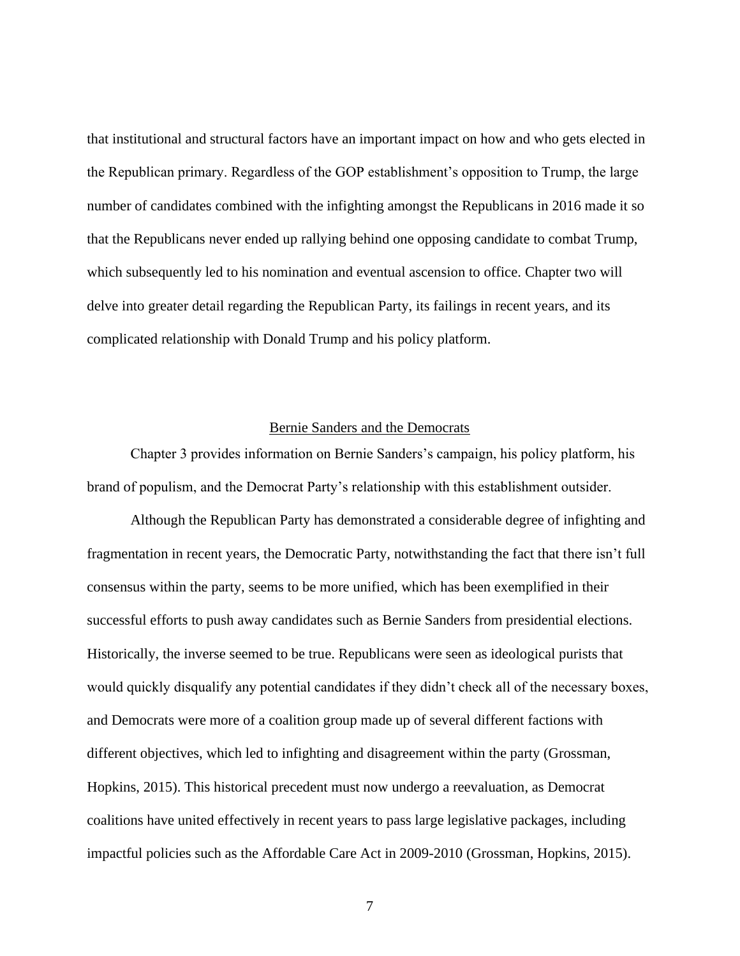that institutional and structural factors have an important impact on how and who gets elected in the Republican primary. Regardless of the GOP establishment's opposition to Trump, the large number of candidates combined with the infighting amongst the Republicans in 2016 made it so that the Republicans never ended up rallying behind one opposing candidate to combat Trump, which subsequently led to his nomination and eventual ascension to office. Chapter two will delve into greater detail regarding the Republican Party, its failings in recent years, and its complicated relationship with Donald Trump and his policy platform.

#### Bernie Sanders and the Democrats

<span id="page-11-0"></span>Chapter 3 provides information on Bernie Sanders's campaign, his policy platform, his brand of populism, and the Democrat Party's relationship with this establishment outsider.

Although the Republican Party has demonstrated a considerable degree of infighting and fragmentation in recent years, the Democratic Party, notwithstanding the fact that there isn't full consensus within the party, seems to be more unified, which has been exemplified in their successful efforts to push away candidates such as Bernie Sanders from presidential elections. Historically, the inverse seemed to be true. Republicans were seen as ideological purists that would quickly disqualify any potential candidates if they didn't check all of the necessary boxes, and Democrats were more of a coalition group made up of several different factions with different objectives, which led to infighting and disagreement within the party (Grossman, Hopkins, 2015). This historical precedent must now undergo a reevaluation, as Democrat coalitions have united effectively in recent years to pass large legislative packages, including impactful policies such as the Affordable Care Act in 2009-2010 (Grossman, Hopkins, 2015).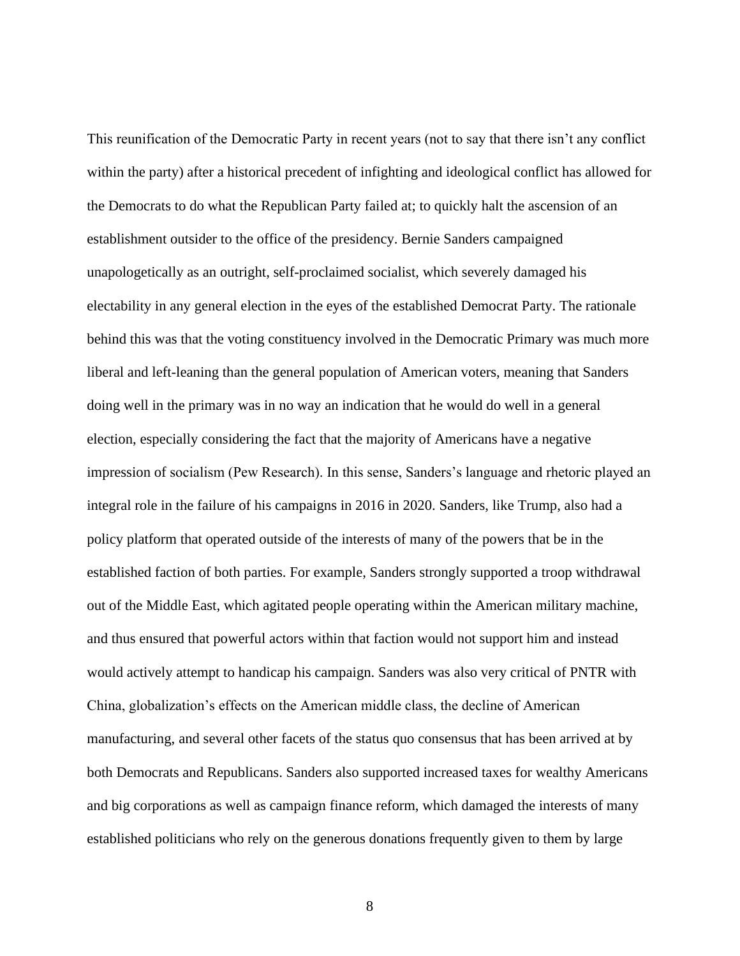This reunification of the Democratic Party in recent years (not to say that there isn't any conflict within the party) after a historical precedent of infighting and ideological conflict has allowed for the Democrats to do what the Republican Party failed at; to quickly halt the ascension of an establishment outsider to the office of the presidency. Bernie Sanders campaigned unapologetically as an outright, self-proclaimed socialist, which severely damaged his electability in any general election in the eyes of the established Democrat Party. The rationale behind this was that the voting constituency involved in the Democratic Primary was much more liberal and left-leaning than the general population of American voters, meaning that Sanders doing well in the primary was in no way an indication that he would do well in a general election, especially considering the fact that the majority of Americans have a negative impression of socialism (Pew Research). In this sense, Sanders's language and rhetoric played an integral role in the failure of his campaigns in 2016 in 2020. Sanders, like Trump, also had a policy platform that operated outside of the interests of many of the powers that be in the established faction of both parties. For example, Sanders strongly supported a troop withdrawal out of the Middle East, which agitated people operating within the American military machine, and thus ensured that powerful actors within that faction would not support him and instead would actively attempt to handicap his campaign. Sanders was also very critical of PNTR with China, globalization's effects on the American middle class, the decline of American manufacturing, and several other facets of the status quo consensus that has been arrived at by both Democrats and Republicans. Sanders also supported increased taxes for wealthy Americans and big corporations as well as campaign finance reform, which damaged the interests of many established politicians who rely on the generous donations frequently given to them by large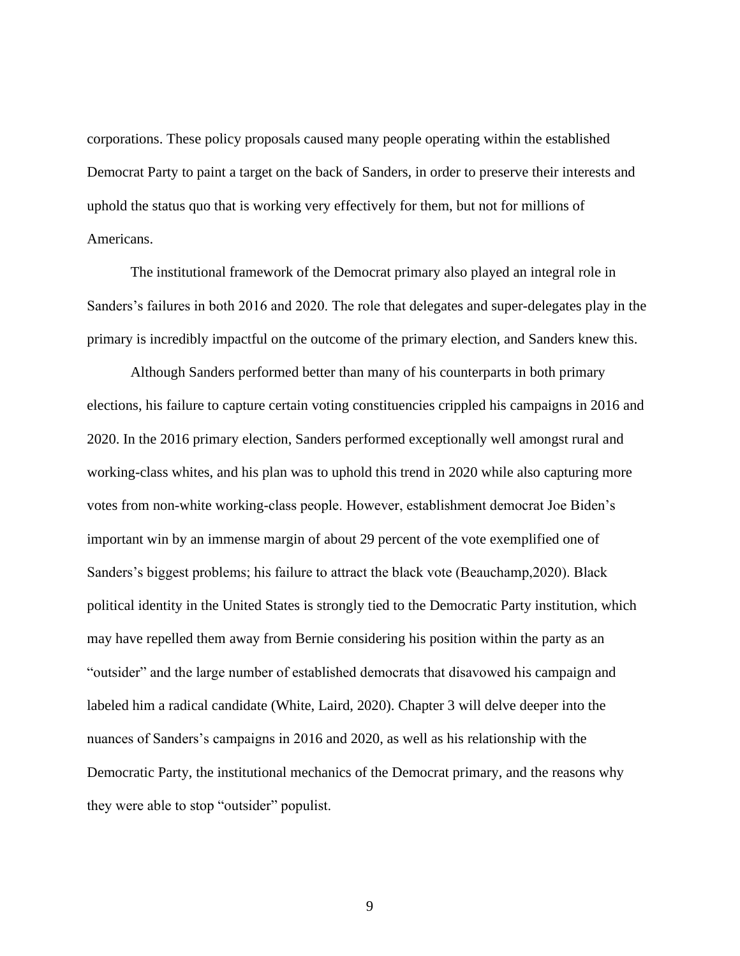corporations. These policy proposals caused many people operating within the established Democrat Party to paint a target on the back of Sanders, in order to preserve their interests and uphold the status quo that is working very effectively for them, but not for millions of Americans.

The institutional framework of the Democrat primary also played an integral role in Sanders's failures in both 2016 and 2020. The role that delegates and super-delegates play in the primary is incredibly impactful on the outcome of the primary election, and Sanders knew this.

Although Sanders performed better than many of his counterparts in both primary elections, his failure to capture certain voting constituencies crippled his campaigns in 2016 and 2020. In the 2016 primary election, Sanders performed exceptionally well amongst rural and working-class whites, and his plan was to uphold this trend in 2020 while also capturing more votes from non-white working-class people. However, establishment democrat Joe Biden's important win by an immense margin of about 29 percent of the vote exemplified one of Sanders's biggest problems; his failure to attract the black vote (Beauchamp,2020). Black political identity in the United States is strongly tied to the Democratic Party institution, which may have repelled them away from Bernie considering his position within the party as an "outsider" and the large number of established democrats that disavowed his campaign and labeled him a radical candidate (White, Laird, 2020). Chapter 3 will delve deeper into the nuances of Sanders's campaigns in 2016 and 2020, as well as his relationship with the Democratic Party, the institutional mechanics of the Democrat primary, and the reasons why they were able to stop "outsider" populist.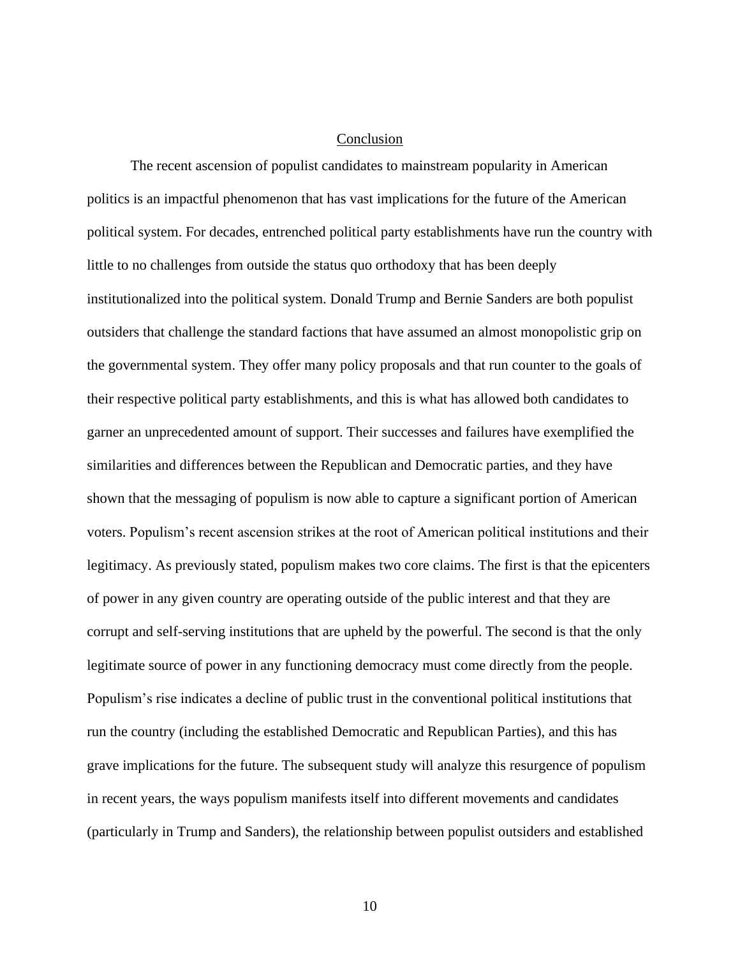#### Conclusion

<span id="page-14-0"></span>The recent ascension of populist candidates to mainstream popularity in American politics is an impactful phenomenon that has vast implications for the future of the American political system. For decades, entrenched political party establishments have run the country with little to no challenges from outside the status quo orthodoxy that has been deeply institutionalized into the political system. Donald Trump and Bernie Sanders are both populist outsiders that challenge the standard factions that have assumed an almost monopolistic grip on the governmental system. They offer many policy proposals and that run counter to the goals of their respective political party establishments, and this is what has allowed both candidates to garner an unprecedented amount of support. Their successes and failures have exemplified the similarities and differences between the Republican and Democratic parties, and they have shown that the messaging of populism is now able to capture a significant portion of American voters. Populism's recent ascension strikes at the root of American political institutions and their legitimacy. As previously stated, populism makes two core claims. The first is that the epicenters of power in any given country are operating outside of the public interest and that they are corrupt and self-serving institutions that are upheld by the powerful. The second is that the only legitimate source of power in any functioning democracy must come directly from the people. Populism's rise indicates a decline of public trust in the conventional political institutions that run the country (including the established Democratic and Republican Parties), and this has grave implications for the future. The subsequent study will analyze this resurgence of populism in recent years, the ways populism manifests itself into different movements and candidates (particularly in Trump and Sanders), the relationship between populist outsiders and established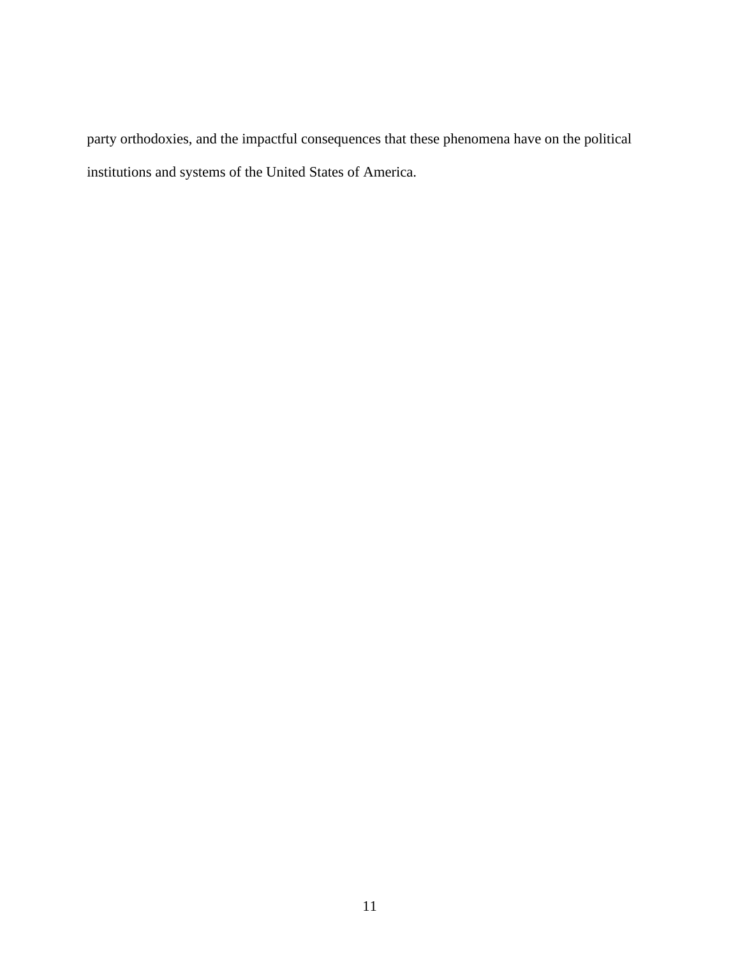party orthodoxies, and the impactful consequences that these phenomena have on the political institutions and systems of the United States of America.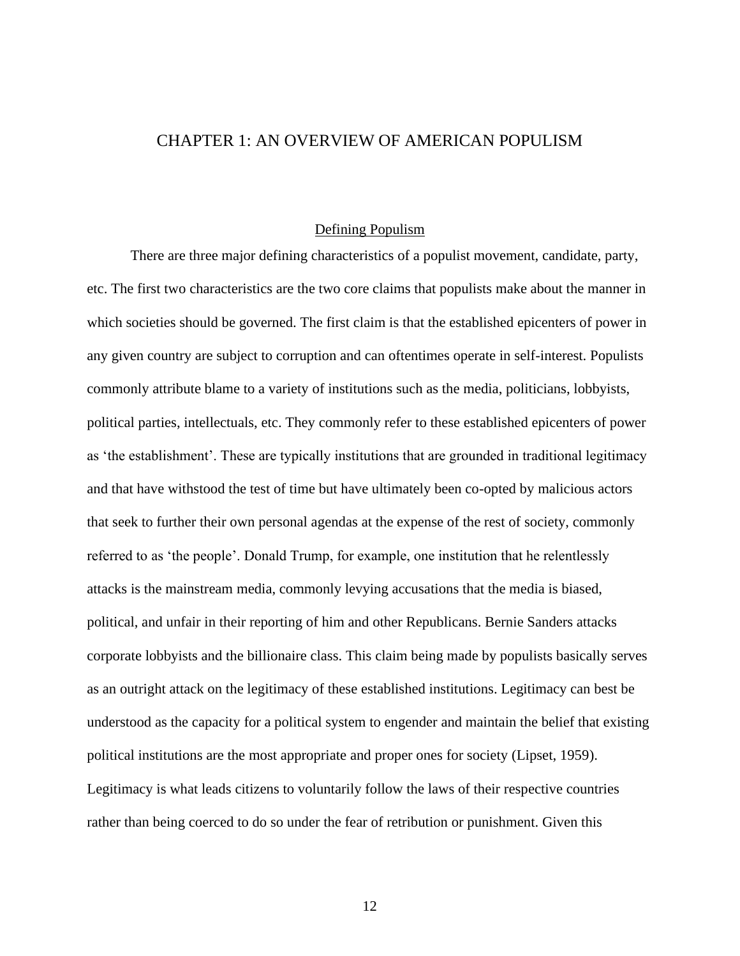## <span id="page-16-0"></span>CHAPTER 1: AN OVERVIEW OF AMERICAN POPULISM

#### Defining Populism

<span id="page-16-1"></span>There are three major defining characteristics of a populist movement, candidate, party, etc. The first two characteristics are the two core claims that populists make about the manner in which societies should be governed. The first claim is that the established epicenters of power in any given country are subject to corruption and can oftentimes operate in self-interest. Populists commonly attribute blame to a variety of institutions such as the media, politicians, lobbyists, political parties, intellectuals, etc. They commonly refer to these established epicenters of power as 'the establishment'. These are typically institutions that are grounded in traditional legitimacy and that have withstood the test of time but have ultimately been co-opted by malicious actors that seek to further their own personal agendas at the expense of the rest of society, commonly referred to as 'the people'. Donald Trump, for example, one institution that he relentlessly attacks is the mainstream media, commonly levying accusations that the media is biased, political, and unfair in their reporting of him and other Republicans. Bernie Sanders attacks corporate lobbyists and the billionaire class. This claim being made by populists basically serves as an outright attack on the legitimacy of these established institutions. Legitimacy can best be understood as the capacity for a political system to engender and maintain the belief that existing political institutions are the most appropriate and proper ones for society (Lipset, 1959). Legitimacy is what leads citizens to voluntarily follow the laws of their respective countries rather than being coerced to do so under the fear of retribution or punishment. Given this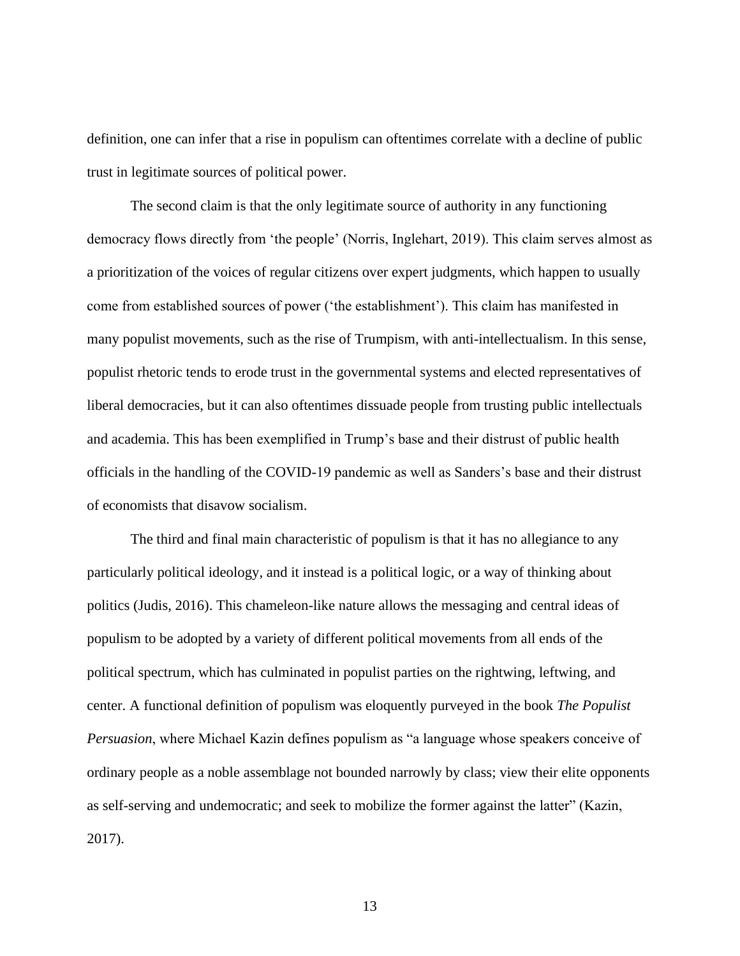definition, one can infer that a rise in populism can oftentimes correlate with a decline of public trust in legitimate sources of political power.

The second claim is that the only legitimate source of authority in any functioning democracy flows directly from 'the people' (Norris, Inglehart, 2019). This claim serves almost as a prioritization of the voices of regular citizens over expert judgments, which happen to usually come from established sources of power ('the establishment'). This claim has manifested in many populist movements, such as the rise of Trumpism, with anti-intellectualism. In this sense, populist rhetoric tends to erode trust in the governmental systems and elected representatives of liberal democracies, but it can also oftentimes dissuade people from trusting public intellectuals and academia. This has been exemplified in Trump's base and their distrust of public health officials in the handling of the COVID-19 pandemic as well as Sanders's base and their distrust of economists that disavow socialism.

The third and final main characteristic of populism is that it has no allegiance to any particularly political ideology, and it instead is a political logic, or a way of thinking about politics (Judis, 2016). This chameleon-like nature allows the messaging and central ideas of populism to be adopted by a variety of different political movements from all ends of the political spectrum, which has culminated in populist parties on the rightwing, leftwing, and center. A functional definition of populism was eloquently purveyed in the book *The Populist Persuasion*, where Michael Kazin defines populism as "a language whose speakers conceive of ordinary people as a noble assemblage not bounded narrowly by class; view their elite opponents as self-serving and undemocratic; and seek to mobilize the former against the latter" (Kazin, 2017).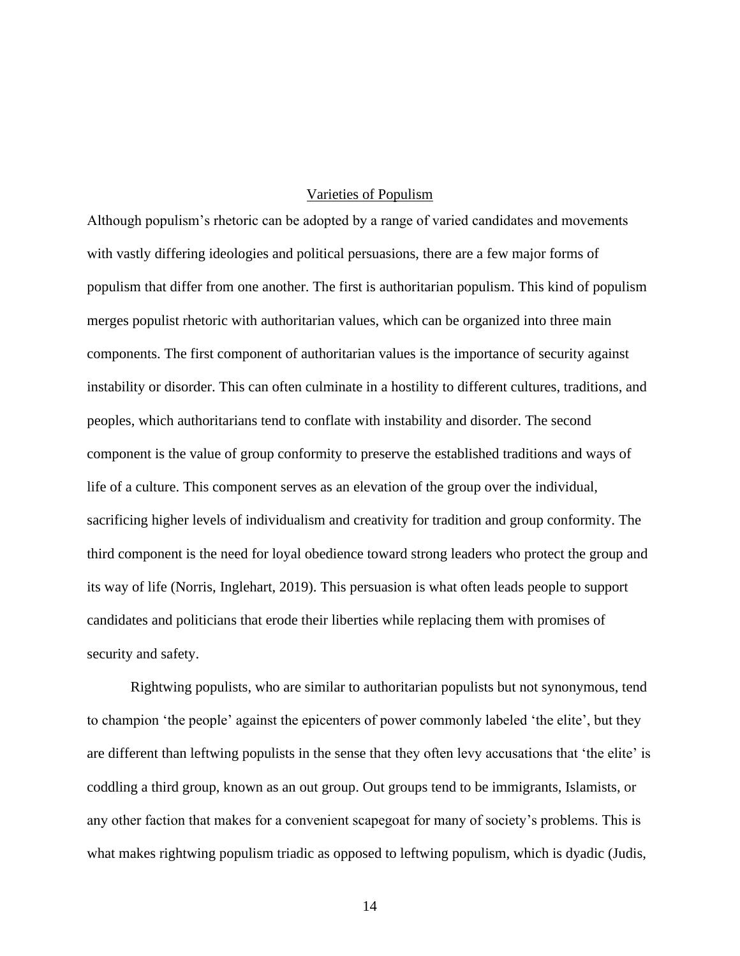#### Varieties of Populism

<span id="page-18-0"></span>Although populism's rhetoric can be adopted by a range of varied candidates and movements with vastly differing ideologies and political persuasions, there are a few major forms of populism that differ from one another. The first is authoritarian populism. This kind of populism merges populist rhetoric with authoritarian values, which can be organized into three main components. The first component of authoritarian values is the importance of security against instability or disorder. This can often culminate in a hostility to different cultures, traditions, and peoples, which authoritarians tend to conflate with instability and disorder. The second component is the value of group conformity to preserve the established traditions and ways of life of a culture. This component serves as an elevation of the group over the individual, sacrificing higher levels of individualism and creativity for tradition and group conformity. The third component is the need for loyal obedience toward strong leaders who protect the group and its way of life (Norris, Inglehart, 2019). This persuasion is what often leads people to support candidates and politicians that erode their liberties while replacing them with promises of security and safety.

Rightwing populists, who are similar to authoritarian populists but not synonymous, tend to champion 'the people' against the epicenters of power commonly labeled 'the elite', but they are different than leftwing populists in the sense that they often levy accusations that 'the elite' is coddling a third group, known as an out group. Out groups tend to be immigrants, Islamists, or any other faction that makes for a convenient scapegoat for many of society's problems. This is what makes rightwing populism triadic as opposed to leftwing populism, which is dyadic (Judis,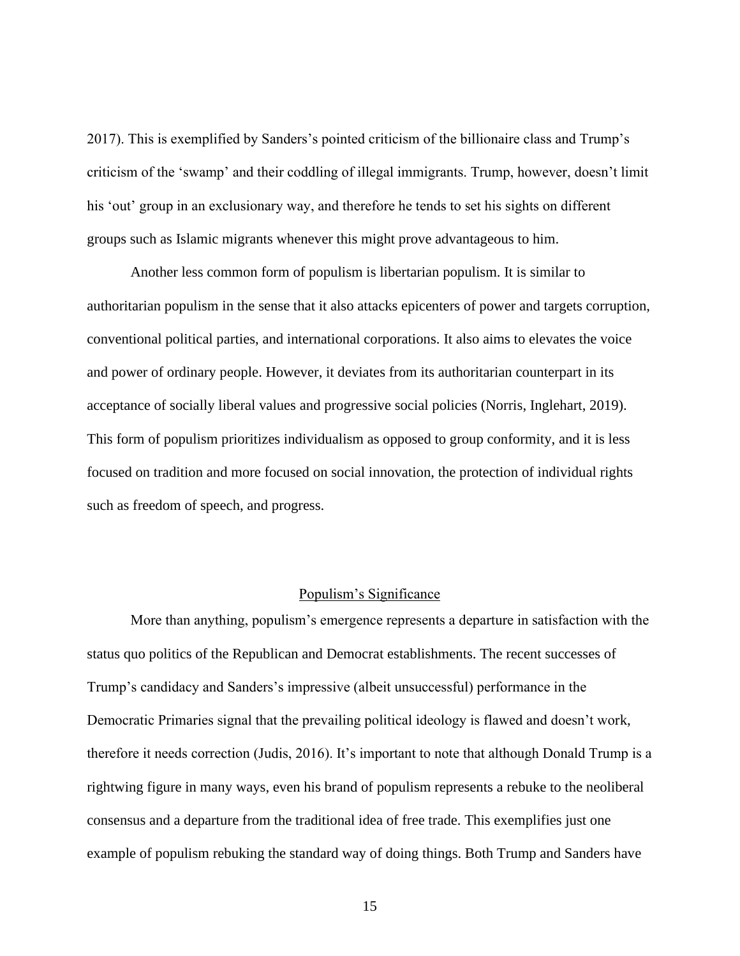2017). This is exemplified by Sanders's pointed criticism of the billionaire class and Trump's criticism of the 'swamp' and their coddling of illegal immigrants. Trump, however, doesn't limit his 'out' group in an exclusionary way, and therefore he tends to set his sights on different groups such as Islamic migrants whenever this might prove advantageous to him.

Another less common form of populism is libertarian populism. It is similar to authoritarian populism in the sense that it also attacks epicenters of power and targets corruption, conventional political parties, and international corporations. It also aims to elevates the voice and power of ordinary people. However, it deviates from its authoritarian counterpart in its acceptance of socially liberal values and progressive social policies (Norris, Inglehart, 2019). This form of populism prioritizes individualism as opposed to group conformity, and it is less focused on tradition and more focused on social innovation, the protection of individual rights such as freedom of speech, and progress.

#### Populism's Significance

<span id="page-19-0"></span>More than anything, populism's emergence represents a departure in satisfaction with the status quo politics of the Republican and Democrat establishments. The recent successes of Trump's candidacy and Sanders's impressive (albeit unsuccessful) performance in the Democratic Primaries signal that the prevailing political ideology is flawed and doesn't work, therefore it needs correction (Judis, 2016). It's important to note that although Donald Trump is a rightwing figure in many ways, even his brand of populism represents a rebuke to the neoliberal consensus and a departure from the traditional idea of free trade. This exemplifies just one example of populism rebuking the standard way of doing things. Both Trump and Sanders have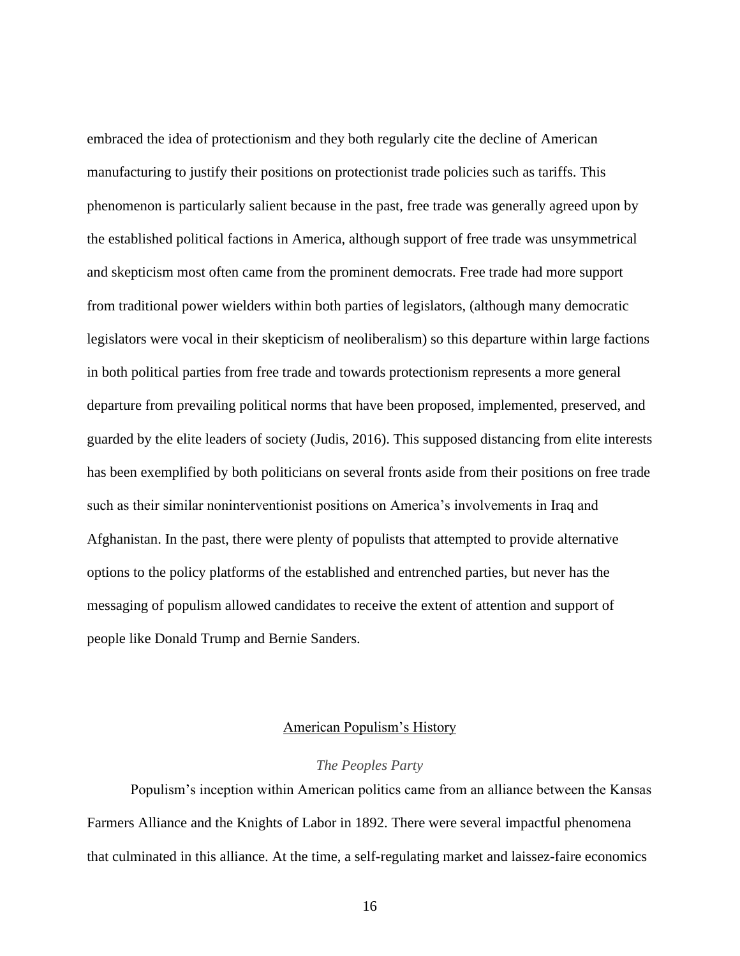embraced the idea of protectionism and they both regularly cite the decline of American manufacturing to justify their positions on protectionist trade policies such as tariffs. This phenomenon is particularly salient because in the past, free trade was generally agreed upon by the established political factions in America, although support of free trade was unsymmetrical and skepticism most often came from the prominent democrats. Free trade had more support from traditional power wielders within both parties of legislators, (although many democratic legislators were vocal in their skepticism of neoliberalism) so this departure within large factions in both political parties from free trade and towards protectionism represents a more general departure from prevailing political norms that have been proposed, implemented, preserved, and guarded by the elite leaders of society (Judis, 2016). This supposed distancing from elite interests has been exemplified by both politicians on several fronts aside from their positions on free trade such as their similar noninterventionist positions on America's involvements in Iraq and Afghanistan. In the past, there were plenty of populists that attempted to provide alternative options to the policy platforms of the established and entrenched parties, but never has the messaging of populism allowed candidates to receive the extent of attention and support of people like Donald Trump and Bernie Sanders.

#### American Populism's History

#### *The Peoples Party*

<span id="page-20-1"></span><span id="page-20-0"></span>Populism's inception within American politics came from an alliance between the Kansas Farmers Alliance and the Knights of Labor in 1892. There were several impactful phenomena that culminated in this alliance. At the time, a self-regulating market and laissez-faire economics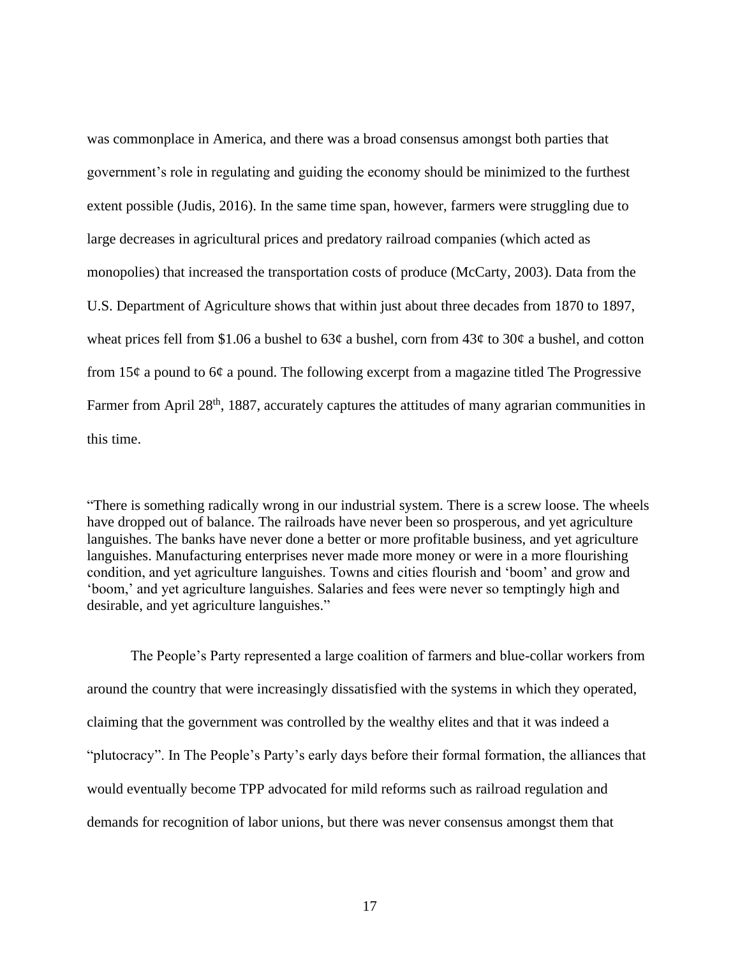was commonplace in America, and there was a broad consensus amongst both parties that government's role in regulating and guiding the economy should be minimized to the furthest extent possible (Judis, 2016). In the same time span, however, farmers were struggling due to large decreases in agricultural prices and predatory railroad companies (which acted as monopolies) that increased the transportation costs of produce (McCarty, 2003). Data from the U.S. Department of Agriculture shows that within just about three decades from 1870 to 1897, wheat prices fell from \$1.06 a bushel to  $63¢$  a bushel, corn from  $43¢$  to  $30¢$  a bushel, and cotton from  $15¢$  a pound to 6¢ a pound. The following excerpt from a magazine titled The Progressive Farmer from April 28<sup>th</sup>, 1887, accurately captures the attitudes of many agrarian communities in this time.

"There is something radically wrong in our industrial system. There is a screw loose. The wheels have dropped out of balance. The railroads have never been so prosperous, and yet agriculture languishes. The banks have never done a better or more profitable business, and yet agriculture languishes. Manufacturing enterprises never made more money or were in a more flourishing condition, and yet agriculture languishes. Towns and cities flourish and 'boom' and grow and 'boom,' and yet agriculture languishes. Salaries and fees were never so temptingly high and desirable, and yet agriculture languishes."

The People's Party represented a large coalition of farmers and blue-collar workers from around the country that were increasingly dissatisfied with the systems in which they operated, claiming that the government was controlled by the wealthy elites and that it was indeed a "plutocracy". In The People's Party's early days before their formal formation, the alliances that would eventually become TPP advocated for mild reforms such as railroad regulation and demands for recognition of labor unions, but there was never consensus amongst them that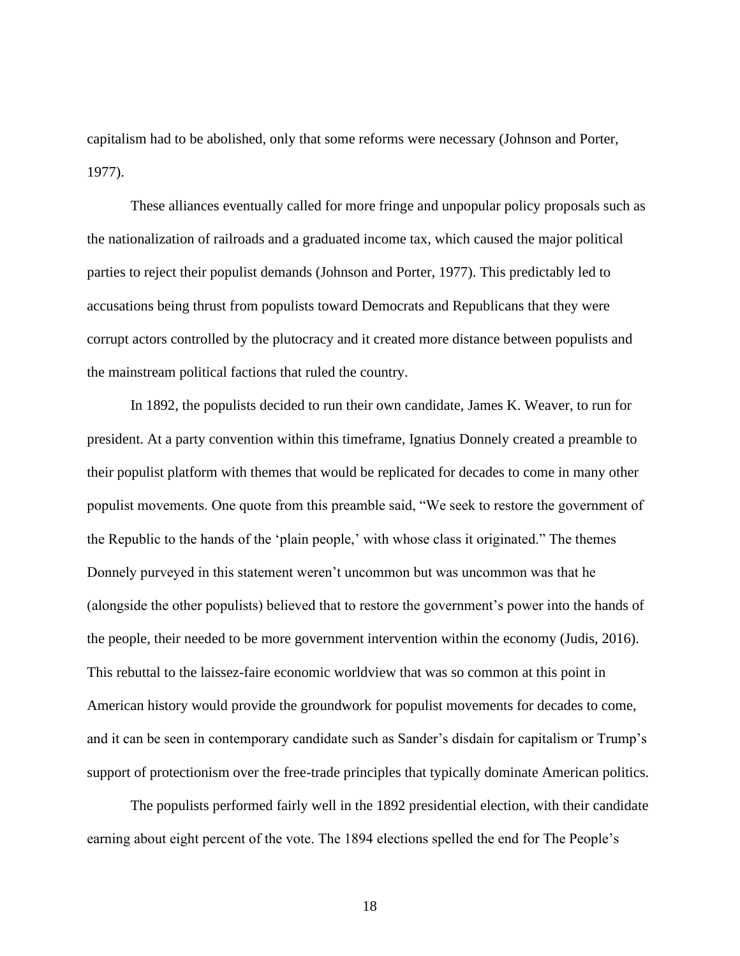capitalism had to be abolished, only that some reforms were necessary (Johnson and Porter, 1977).

These alliances eventually called for more fringe and unpopular policy proposals such as the nationalization of railroads and a graduated income tax, which caused the major political parties to reject their populist demands (Johnson and Porter, 1977). This predictably led to accusations being thrust from populists toward Democrats and Republicans that they were corrupt actors controlled by the plutocracy and it created more distance between populists and the mainstream political factions that ruled the country.

In 1892, the populists decided to run their own candidate, James K. Weaver, to run for president. At a party convention within this timeframe, Ignatius Donnely created a preamble to their populist platform with themes that would be replicated for decades to come in many other populist movements. One quote from this preamble said, "We seek to restore the government of the Republic to the hands of the 'plain people,' with whose class it originated." The themes Donnely purveyed in this statement weren't uncommon but was uncommon was that he (alongside the other populists) believed that to restore the government's power into the hands of the people, their needed to be more government intervention within the economy (Judis, 2016). This rebuttal to the laissez-faire economic worldview that was so common at this point in American history would provide the groundwork for populist movements for decades to come, and it can be seen in contemporary candidate such as Sander's disdain for capitalism or Trump's support of protectionism over the free-trade principles that typically dominate American politics.

The populists performed fairly well in the 1892 presidential election, with their candidate earning about eight percent of the vote. The 1894 elections spelled the end for The People's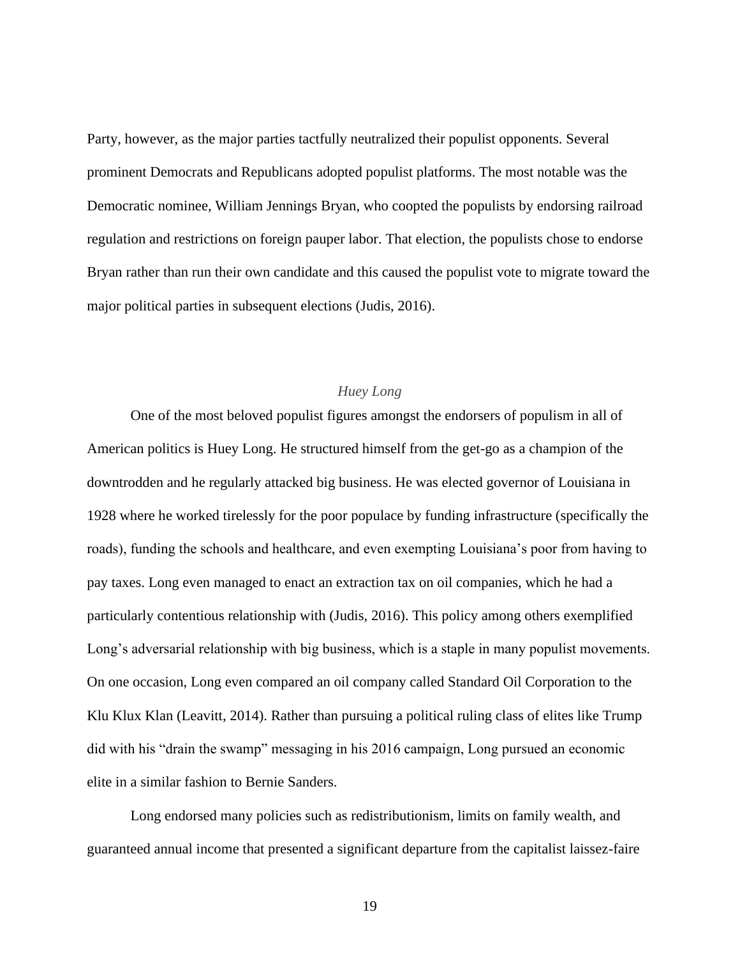Party, however, as the major parties tactfully neutralized their populist opponents. Several prominent Democrats and Republicans adopted populist platforms. The most notable was the Democratic nominee, William Jennings Bryan, who coopted the populists by endorsing railroad regulation and restrictions on foreign pauper labor. That election, the populists chose to endorse Bryan rather than run their own candidate and this caused the populist vote to migrate toward the major political parties in subsequent elections (Judis, 2016).

### *Huey Long*

<span id="page-23-0"></span>One of the most beloved populist figures amongst the endorsers of populism in all of American politics is Huey Long. He structured himself from the get-go as a champion of the downtrodden and he regularly attacked big business. He was elected governor of Louisiana in 1928 where he worked tirelessly for the poor populace by funding infrastructure (specifically the roads), funding the schools and healthcare, and even exempting Louisiana's poor from having to pay taxes. Long even managed to enact an extraction tax on oil companies, which he had a particularly contentious relationship with (Judis, 2016). This policy among others exemplified Long's adversarial relationship with big business, which is a staple in many populist movements. On one occasion, Long even compared an oil company called Standard Oil Corporation to the Klu Klux Klan (Leavitt, 2014). Rather than pursuing a political ruling class of elites like Trump did with his "drain the swamp" messaging in his 2016 campaign, Long pursued an economic elite in a similar fashion to Bernie Sanders.

Long endorsed many policies such as redistributionism, limits on family wealth, and guaranteed annual income that presented a significant departure from the capitalist laissez-faire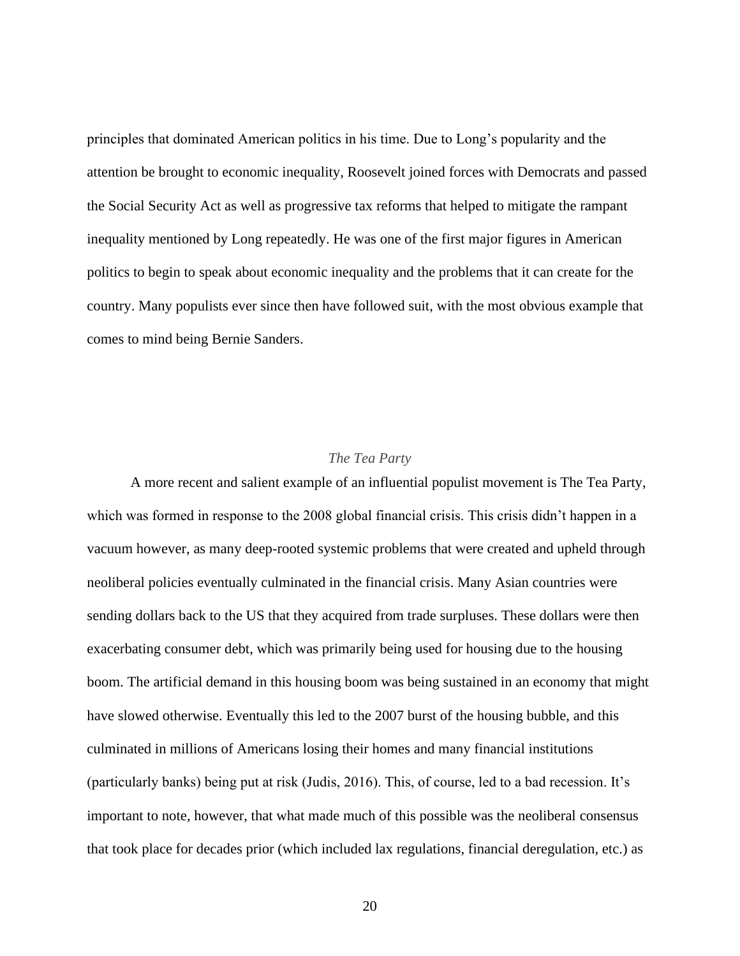principles that dominated American politics in his time. Due to Long's popularity and the attention be brought to economic inequality, Roosevelt joined forces with Democrats and passed the Social Security Act as well as progressive tax reforms that helped to mitigate the rampant inequality mentioned by Long repeatedly. He was one of the first major figures in American politics to begin to speak about economic inequality and the problems that it can create for the country. Many populists ever since then have followed suit, with the most obvious example that comes to mind being Bernie Sanders.

#### *The Tea Party*

<span id="page-24-0"></span>A more recent and salient example of an influential populist movement is The Tea Party, which was formed in response to the 2008 global financial crisis. This crisis didn't happen in a vacuum however, as many deep-rooted systemic problems that were created and upheld through neoliberal policies eventually culminated in the financial crisis. Many Asian countries were sending dollars back to the US that they acquired from trade surpluses. These dollars were then exacerbating consumer debt, which was primarily being used for housing due to the housing boom. The artificial demand in this housing boom was being sustained in an economy that might have slowed otherwise. Eventually this led to the 2007 burst of the housing bubble, and this culminated in millions of Americans losing their homes and many financial institutions (particularly banks) being put at risk (Judis, 2016). This, of course, led to a bad recession. It's important to note, however, that what made much of this possible was the neoliberal consensus that took place for decades prior (which included lax regulations, financial deregulation, etc.) as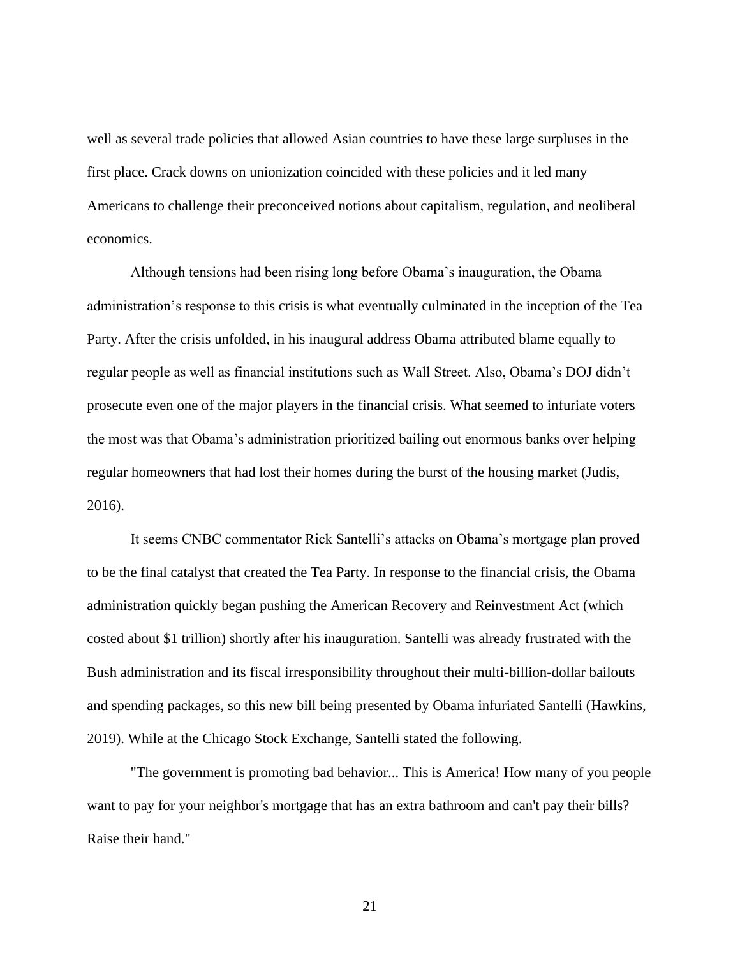well as several trade policies that allowed Asian countries to have these large surpluses in the first place. Crack downs on unionization coincided with these policies and it led many Americans to challenge their preconceived notions about capitalism, regulation, and neoliberal economics.

Although tensions had been rising long before Obama's inauguration, the Obama administration's response to this crisis is what eventually culminated in the inception of the Tea Party. After the crisis unfolded, in his inaugural address Obama attributed blame equally to regular people as well as financial institutions such as Wall Street. Also, Obama's DOJ didn't prosecute even one of the major players in the financial crisis. What seemed to infuriate voters the most was that Obama's administration prioritized bailing out enormous banks over helping regular homeowners that had lost their homes during the burst of the housing market (Judis, 2016).

It seems CNBC commentator Rick Santelli's attacks on Obama's mortgage plan proved to be the final catalyst that created the Tea Party. In response to the financial crisis, the Obama administration quickly began pushing the American Recovery and Reinvestment Act (which costed about \$1 trillion) shortly after his inauguration. Santelli was already frustrated with the Bush administration and its fiscal irresponsibility throughout their multi-billion-dollar bailouts and spending packages, so this new bill being presented by Obama infuriated Santelli (Hawkins, 2019). While at the Chicago Stock Exchange, Santelli stated the following.

"The government is promoting bad behavior... This is America! How many of you people want to pay for your neighbor's mortgage that has an extra bathroom and can't pay their bills? Raise their hand."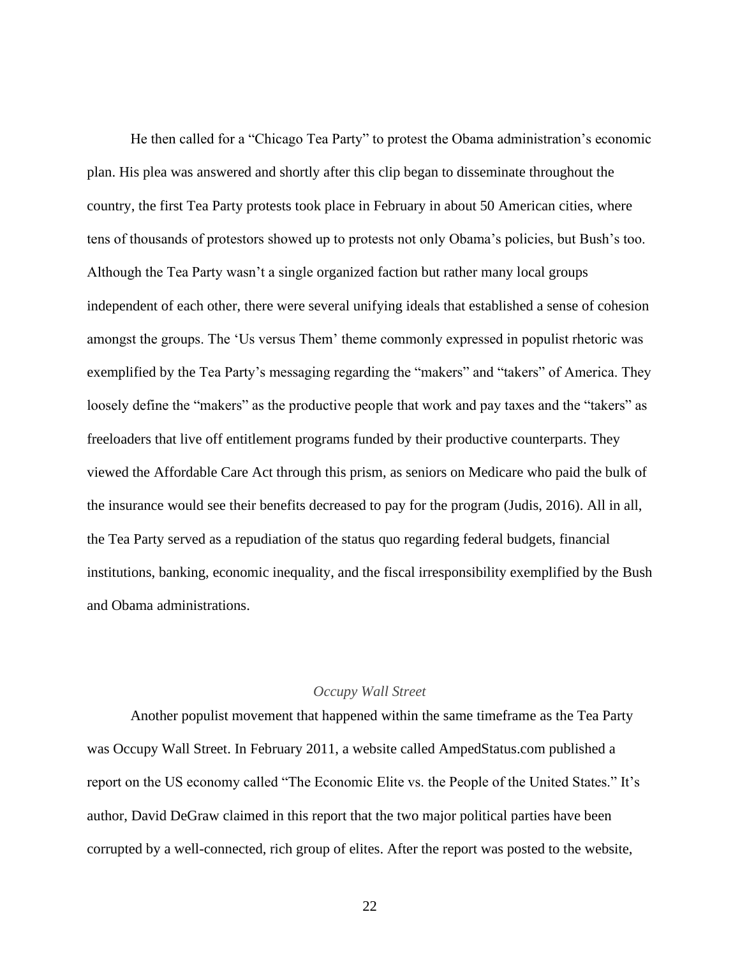He then called for a "Chicago Tea Party" to protest the Obama administration's economic plan. His plea was answered and shortly after this clip began to disseminate throughout the country, the first Tea Party protests took place in February in about 50 American cities, where tens of thousands of protestors showed up to protests not only Obama's policies, but Bush's too. Although the Tea Party wasn't a single organized faction but rather many local groups independent of each other, there were several unifying ideals that established a sense of cohesion amongst the groups. The 'Us versus Them' theme commonly expressed in populist rhetoric was exemplified by the Tea Party's messaging regarding the "makers" and "takers" of America. They loosely define the "makers" as the productive people that work and pay taxes and the "takers" as freeloaders that live off entitlement programs funded by their productive counterparts. They viewed the Affordable Care Act through this prism, as seniors on Medicare who paid the bulk of the insurance would see their benefits decreased to pay for the program (Judis, 2016). All in all, the Tea Party served as a repudiation of the status quo regarding federal budgets, financial institutions, banking, economic inequality, and the fiscal irresponsibility exemplified by the Bush and Obama administrations.

#### *Occupy Wall Street*

<span id="page-26-0"></span>Another populist movement that happened within the same timeframe as the Tea Party was Occupy Wall Street. In February 2011, a website called AmpedStatus.com published a report on the US economy called "The Economic Elite vs. the People of the United States." It's author, David DeGraw claimed in this report that the two major political parties have been corrupted by a well-connected, rich group of elites. After the report was posted to the website,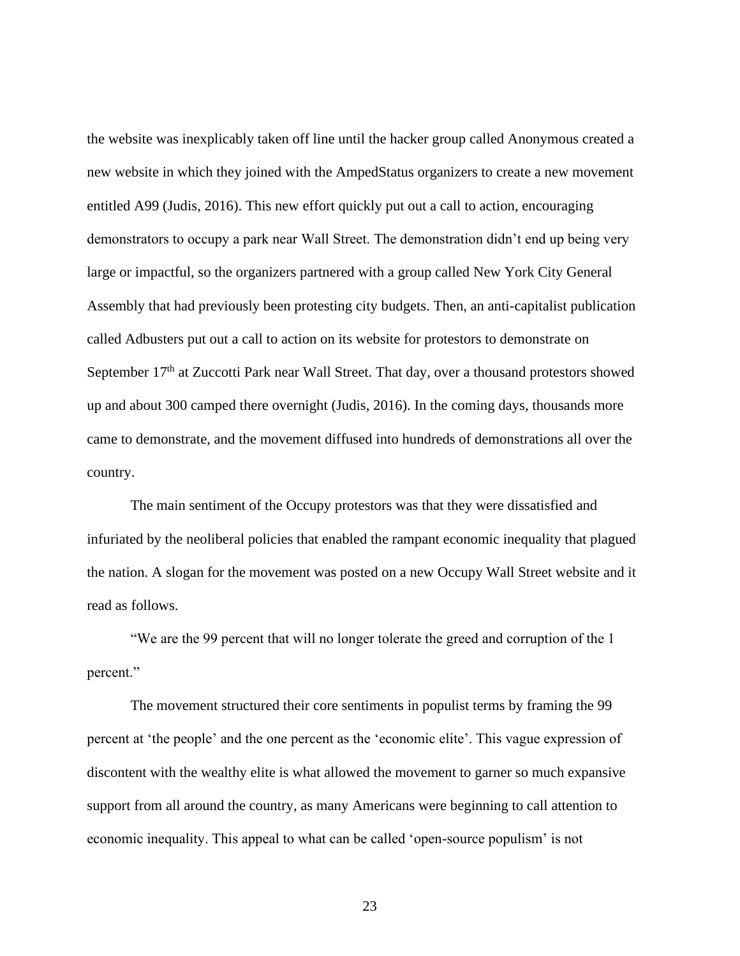the website was inexplicably taken off line until the hacker group called Anonymous created a new website in which they joined with the AmpedStatus organizers to create a new movement entitled A99 (Judis, 2016). This new effort quickly put out a call to action, encouraging demonstrators to occupy a park near Wall Street. The demonstration didn't end up being very large or impactful, so the organizers partnered with a group called New York City General Assembly that had previously been protesting city budgets. Then, an anti-capitalist publication called Adbusters put out a call to action on its website for protestors to demonstrate on September 17<sup>th</sup> at Zuccotti Park near Wall Street. That day, over a thousand protestors showed up and about 300 camped there overnight (Judis, 2016). In the coming days, thousands more came to demonstrate, and the movement diffused into hundreds of demonstrations all over the country.

The main sentiment of the Occupy protestors was that they were dissatisfied and infuriated by the neoliberal policies that enabled the rampant economic inequality that plagued the nation. A slogan for the movement was posted on a new Occupy Wall Street website and it read as follows.

"We are the 99 percent that will no longer tolerate the greed and corruption of the 1 percent."

The movement structured their core sentiments in populist terms by framing the 99 percent at 'the people' and the one percent as the 'economic elite'. This vague expression of discontent with the wealthy elite is what allowed the movement to garner so much expansive support from all around the country, as many Americans were beginning to call attention to economic inequality. This appeal to what can be called 'open-source populism' is not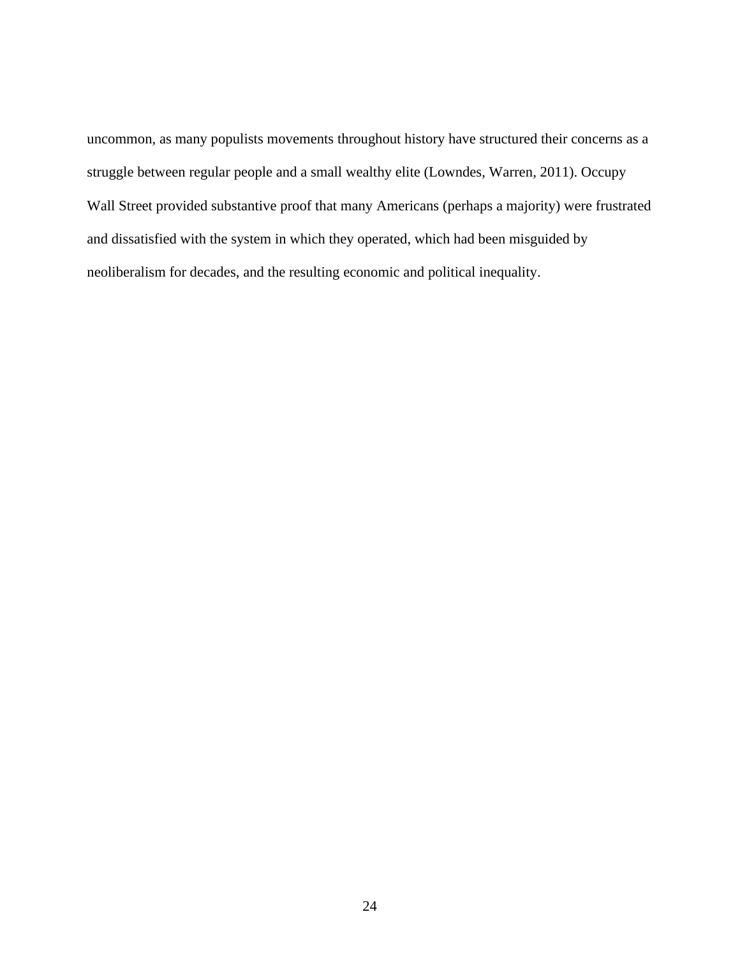uncommon, as many populists movements throughout history have structured their concerns as a struggle between regular people and a small wealthy elite (Lowndes, Warren, 2011). Occupy Wall Street provided substantive proof that many Americans (perhaps a majority) were frustrated and dissatisfied with the system in which they operated, which had been misguided by neoliberalism for decades, and the resulting economic and political inequality.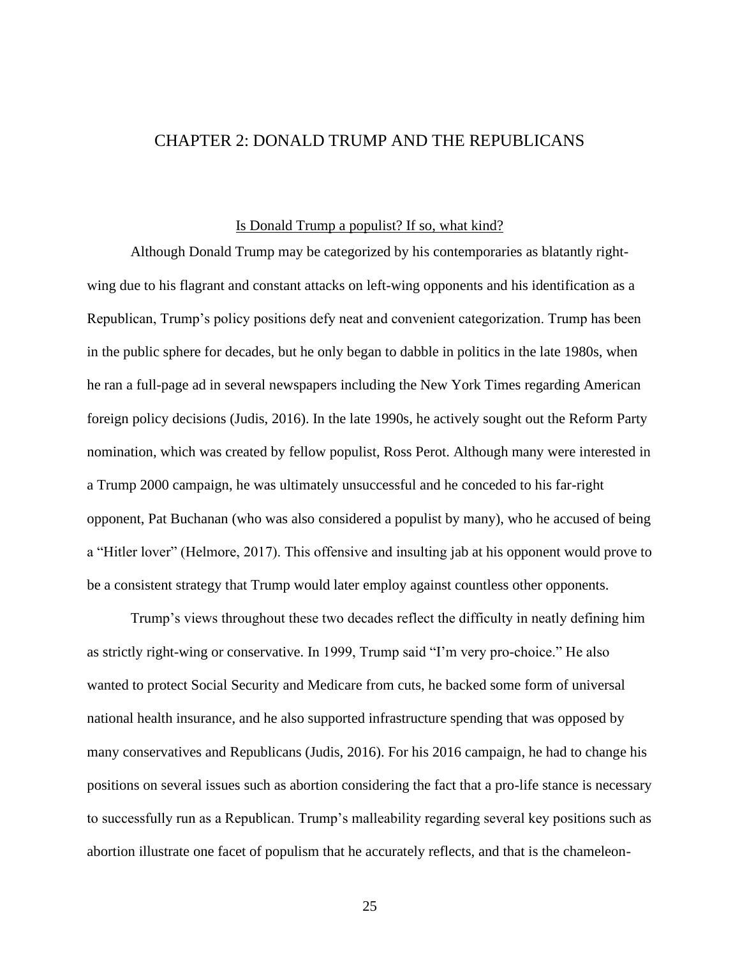## <span id="page-29-0"></span>CHAPTER 2: DONALD TRUMP AND THE REPUBLICANS

#### Is Donald Trump a populist? If so, what kind?

<span id="page-29-1"></span>Although Donald Trump may be categorized by his contemporaries as blatantly rightwing due to his flagrant and constant attacks on left-wing opponents and his identification as a Republican, Trump's policy positions defy neat and convenient categorization. Trump has been in the public sphere for decades, but he only began to dabble in politics in the late 1980s, when he ran a full-page ad in several newspapers including the New York Times regarding American foreign policy decisions (Judis, 2016). In the late 1990s, he actively sought out the Reform Party nomination, which was created by fellow populist, Ross Perot. Although many were interested in a Trump 2000 campaign, he was ultimately unsuccessful and he conceded to his far-right opponent, Pat Buchanan (who was also considered a populist by many), who he accused of being a "Hitler lover" (Helmore, 2017). This offensive and insulting jab at his opponent would prove to be a consistent strategy that Trump would later employ against countless other opponents.

Trump's views throughout these two decades reflect the difficulty in neatly defining him as strictly right-wing or conservative. In 1999, Trump said "I'm very pro-choice." He also wanted to protect Social Security and Medicare from cuts, he backed some form of universal national health insurance, and he also supported infrastructure spending that was opposed by many conservatives and Republicans (Judis, 2016). For his 2016 campaign, he had to change his positions on several issues such as abortion considering the fact that a pro-life stance is necessary to successfully run as a Republican. Trump's malleability regarding several key positions such as abortion illustrate one facet of populism that he accurately reflects, and that is the chameleon-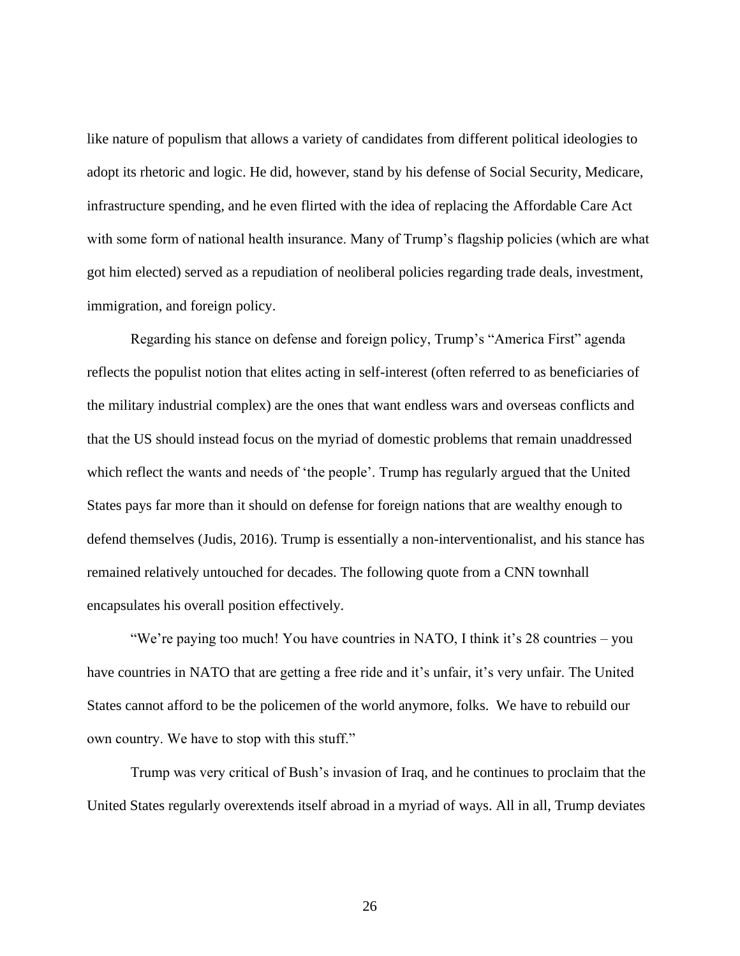like nature of populism that allows a variety of candidates from different political ideologies to adopt its rhetoric and logic. He did, however, stand by his defense of Social Security, Medicare, infrastructure spending, and he even flirted with the idea of replacing the Affordable Care Act with some form of national health insurance. Many of Trump's flagship policies (which are what got him elected) served as a repudiation of neoliberal policies regarding trade deals, investment, immigration, and foreign policy.

Regarding his stance on defense and foreign policy, Trump's "America First" agenda reflects the populist notion that elites acting in self-interest (often referred to as beneficiaries of the military industrial complex) are the ones that want endless wars and overseas conflicts and that the US should instead focus on the myriad of domestic problems that remain unaddressed which reflect the wants and needs of 'the people'. Trump has regularly argued that the United States pays far more than it should on defense for foreign nations that are wealthy enough to defend themselves (Judis, 2016). Trump is essentially a non-interventionalist, and his stance has remained relatively untouched for decades. The following quote from a CNN townhall encapsulates his overall position effectively.

"We're paying too much! You have countries in NATO, I think it's 28 countries – you have countries in NATO that are getting a free ride and it's unfair, it's very unfair. The United States cannot afford to be the policemen of the world anymore, folks. We have to rebuild our own country. We have to stop with this stuff."

Trump was very critical of Bush's invasion of Iraq, and he continues to proclaim that the United States regularly overextends itself abroad in a myriad of ways. All in all, Trump deviates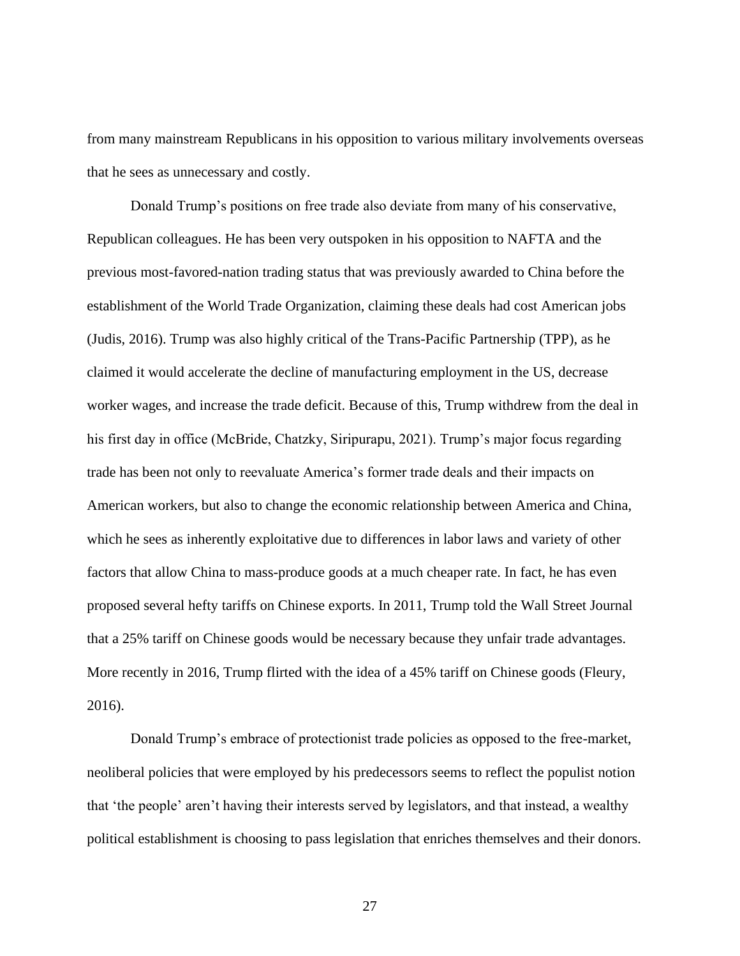from many mainstream Republicans in his opposition to various military involvements overseas that he sees as unnecessary and costly.

Donald Trump's positions on free trade also deviate from many of his conservative, Republican colleagues. He has been very outspoken in his opposition to NAFTA and the previous most-favored-nation trading status that was previously awarded to China before the establishment of the World Trade Organization, claiming these deals had cost American jobs (Judis, 2016). Trump was also highly critical of the Trans-Pacific Partnership (TPP), as he claimed it would accelerate the decline of manufacturing employment in the US, decrease worker wages, and increase the trade deficit. Because of this, Trump withdrew from the deal in his first day in office (McBride, Chatzky, Siripurapu, 2021). Trump's major focus regarding trade has been not only to reevaluate America's former trade deals and their impacts on American workers, but also to change the economic relationship between America and China, which he sees as inherently exploitative due to differences in labor laws and variety of other factors that allow China to mass-produce goods at a much cheaper rate. In fact, he has even proposed several hefty tariffs on Chinese exports. In 2011, Trump told the Wall Street Journal that a 25% tariff on Chinese goods would be necessary because they unfair trade advantages. More recently in 2016, Trump flirted with the idea of a 45% tariff on Chinese goods (Fleury, 2016).

Donald Trump's embrace of protectionist trade policies as opposed to the free-market, neoliberal policies that were employed by his predecessors seems to reflect the populist notion that 'the people' aren't having their interests served by legislators, and that instead, a wealthy political establishment is choosing to pass legislation that enriches themselves and their donors.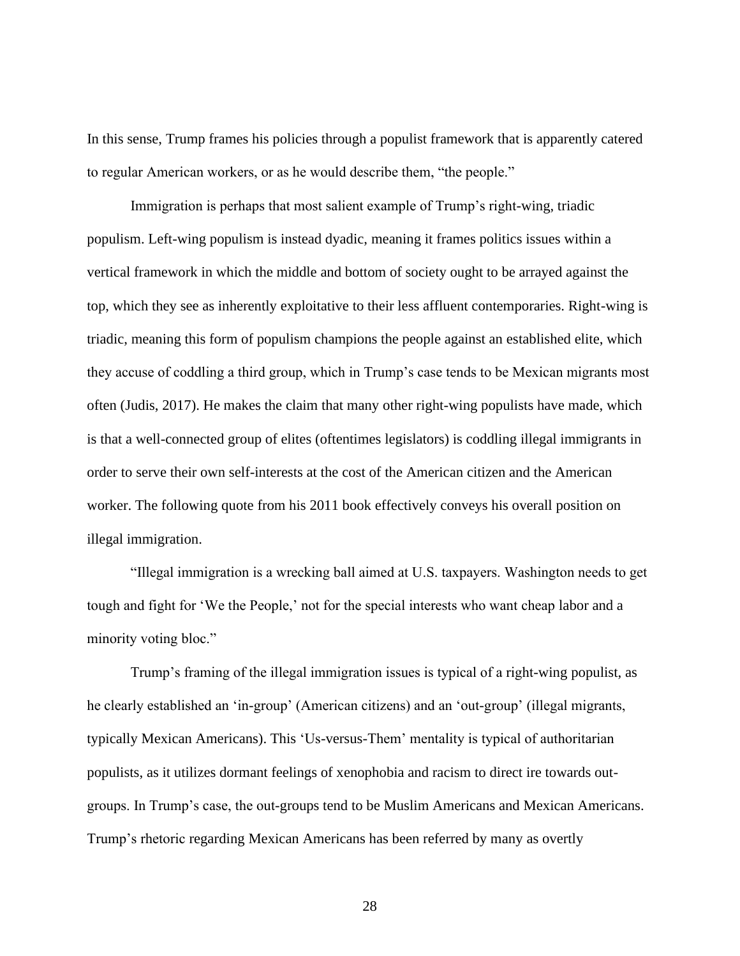In this sense, Trump frames his policies through a populist framework that is apparently catered to regular American workers, or as he would describe them, "the people."

Immigration is perhaps that most salient example of Trump's right-wing, triadic populism. Left-wing populism is instead dyadic, meaning it frames politics issues within a vertical framework in which the middle and bottom of society ought to be arrayed against the top, which they see as inherently exploitative to their less affluent contemporaries. Right-wing is triadic, meaning this form of populism champions the people against an established elite, which they accuse of coddling a third group, which in Trump's case tends to be Mexican migrants most often (Judis, 2017). He makes the claim that many other right-wing populists have made, which is that a well-connected group of elites (oftentimes legislators) is coddling illegal immigrants in order to serve their own self-interests at the cost of the American citizen and the American worker. The following quote from his 2011 book effectively conveys his overall position on illegal immigration.

"Illegal immigration is a wrecking ball aimed at U.S. taxpayers. Washington needs to get tough and fight for 'We the People,' not for the special interests who want cheap labor and a minority voting bloc."

Trump's framing of the illegal immigration issues is typical of a right-wing populist, as he clearly established an 'in-group' (American citizens) and an 'out-group' (illegal migrants, typically Mexican Americans). This 'Us-versus-Them' mentality is typical of authoritarian populists, as it utilizes dormant feelings of xenophobia and racism to direct ire towards outgroups. In Trump's case, the out-groups tend to be Muslim Americans and Mexican Americans. Trump's rhetoric regarding Mexican Americans has been referred by many as overtly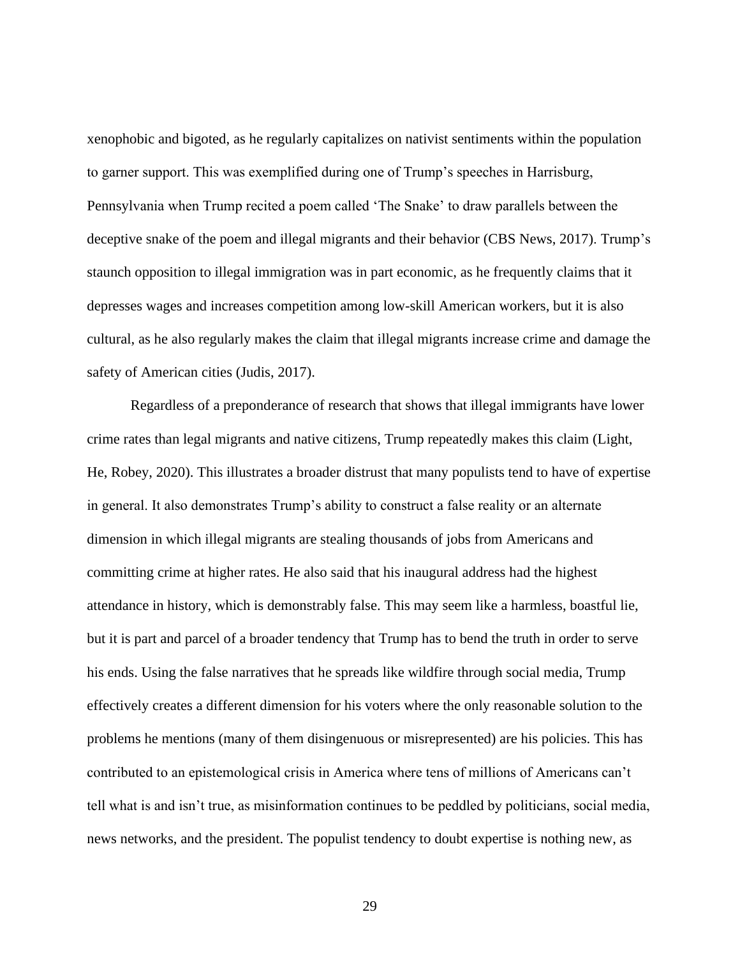xenophobic and bigoted, as he regularly capitalizes on nativist sentiments within the population to garner support. This was exemplified during one of Trump's speeches in Harrisburg, Pennsylvania when Trump recited a poem called 'The Snake' to draw parallels between the deceptive snake of the poem and illegal migrants and their behavior (CBS News, 2017). Trump's staunch opposition to illegal immigration was in part economic, as he frequently claims that it depresses wages and increases competition among low-skill American workers, but it is also cultural, as he also regularly makes the claim that illegal migrants increase crime and damage the safety of American cities (Judis, 2017).

Regardless of a preponderance of research that shows that illegal immigrants have lower crime rates than legal migrants and native citizens, Trump repeatedly makes this claim (Light, He, Robey, 2020). This illustrates a broader distrust that many populists tend to have of expertise in general. It also demonstrates Trump's ability to construct a false reality or an alternate dimension in which illegal migrants are stealing thousands of jobs from Americans and committing crime at higher rates. He also said that his inaugural address had the highest attendance in history, which is demonstrably false. This may seem like a harmless, boastful lie, but it is part and parcel of a broader tendency that Trump has to bend the truth in order to serve his ends. Using the false narratives that he spreads like wildfire through social media, Trump effectively creates a different dimension for his voters where the only reasonable solution to the problems he mentions (many of them disingenuous or misrepresented) are his policies. This has contributed to an epistemological crisis in America where tens of millions of Americans can't tell what is and isn't true, as misinformation continues to be peddled by politicians, social media, news networks, and the president. The populist tendency to doubt expertise is nothing new, as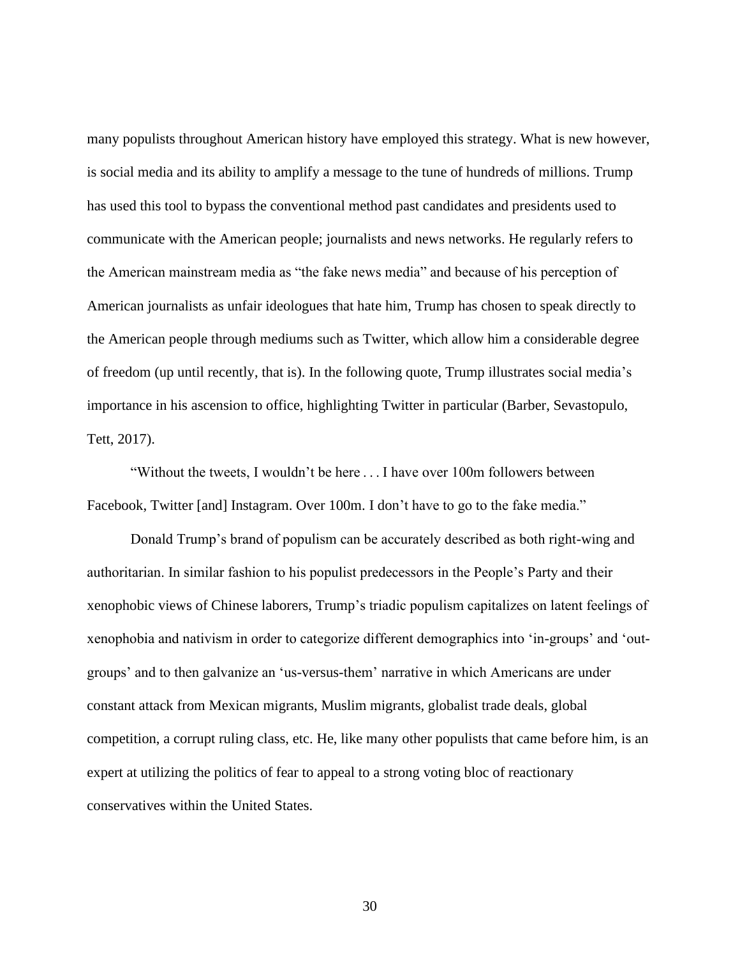many populists throughout American history have employed this strategy. What is new however, is social media and its ability to amplify a message to the tune of hundreds of millions. Trump has used this tool to bypass the conventional method past candidates and presidents used to communicate with the American people; journalists and news networks. He regularly refers to the American mainstream media as "the fake news media" and because of his perception of American journalists as unfair ideologues that hate him, Trump has chosen to speak directly to the American people through mediums such as Twitter, which allow him a considerable degree of freedom (up until recently, that is). In the following quote, Trump illustrates social media's importance in his ascension to office, highlighting Twitter in particular (Barber, Sevastopulo, Tett, 2017).

"Without the tweets, I wouldn't be here . . . I have over 100m followers between Facebook, Twitter [and] Instagram. Over 100m. I don't have to go to the fake media."

Donald Trump's brand of populism can be accurately described as both right-wing and authoritarian. In similar fashion to his populist predecessors in the People's Party and their xenophobic views of Chinese laborers, Trump's triadic populism capitalizes on latent feelings of xenophobia and nativism in order to categorize different demographics into 'in-groups' and 'outgroups' and to then galvanize an 'us-versus-them' narrative in which Americans are under constant attack from Mexican migrants, Muslim migrants, globalist trade deals, global competition, a corrupt ruling class, etc. He, like many other populists that came before him, is an expert at utilizing the politics of fear to appeal to a strong voting bloc of reactionary conservatives within the United States.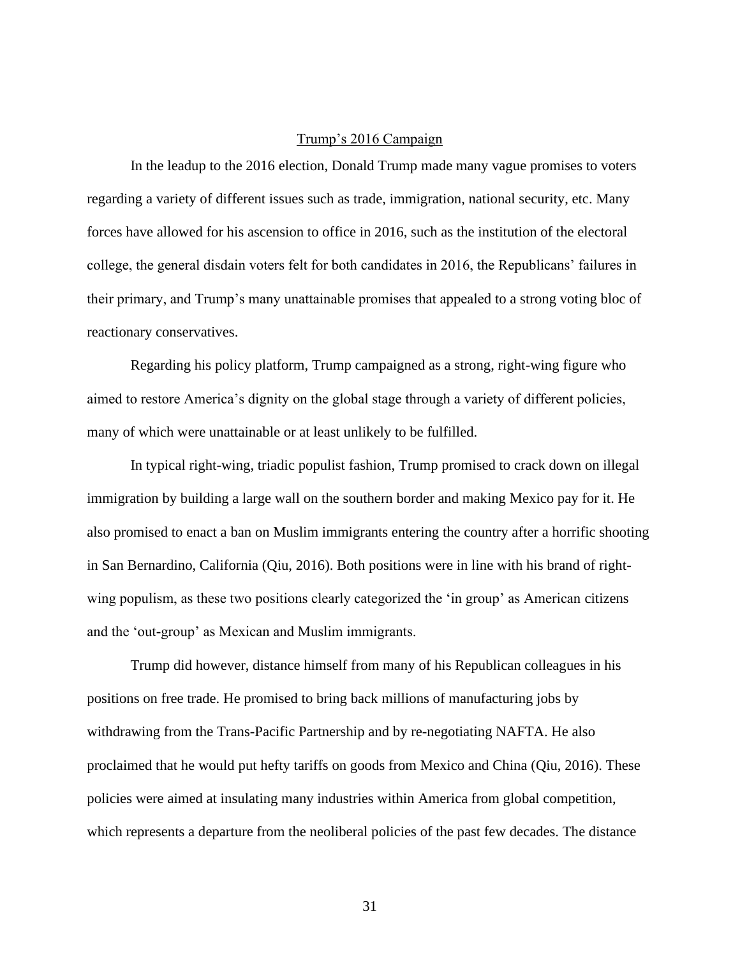#### Trump's 2016 Campaign

<span id="page-35-0"></span>In the leadup to the 2016 election, Donald Trump made many vague promises to voters regarding a variety of different issues such as trade, immigration, national security, etc. Many forces have allowed for his ascension to office in 2016, such as the institution of the electoral college, the general disdain voters felt for both candidates in 2016, the Republicans' failures in their primary, and Trump's many unattainable promises that appealed to a strong voting bloc of reactionary conservatives.

Regarding his policy platform, Trump campaigned as a strong, right-wing figure who aimed to restore America's dignity on the global stage through a variety of different policies, many of which were unattainable or at least unlikely to be fulfilled.

In typical right-wing, triadic populist fashion, Trump promised to crack down on illegal immigration by building a large wall on the southern border and making Mexico pay for it. He also promised to enact a ban on Muslim immigrants entering the country after a horrific shooting in San Bernardino, California (Qiu, 2016). Both positions were in line with his brand of rightwing populism, as these two positions clearly categorized the 'in group' as American citizens and the 'out-group' as Mexican and Muslim immigrants.

Trump did however, distance himself from many of his Republican colleagues in his positions on free trade. He promised to bring back millions of manufacturing jobs by withdrawing from the Trans-Pacific Partnership and by re-negotiating NAFTA. He also proclaimed that he would put hefty tariffs on goods from Mexico and China (Qiu, 2016). These policies were aimed at insulating many industries within America from global competition, which represents a departure from the neoliberal policies of the past few decades. The distance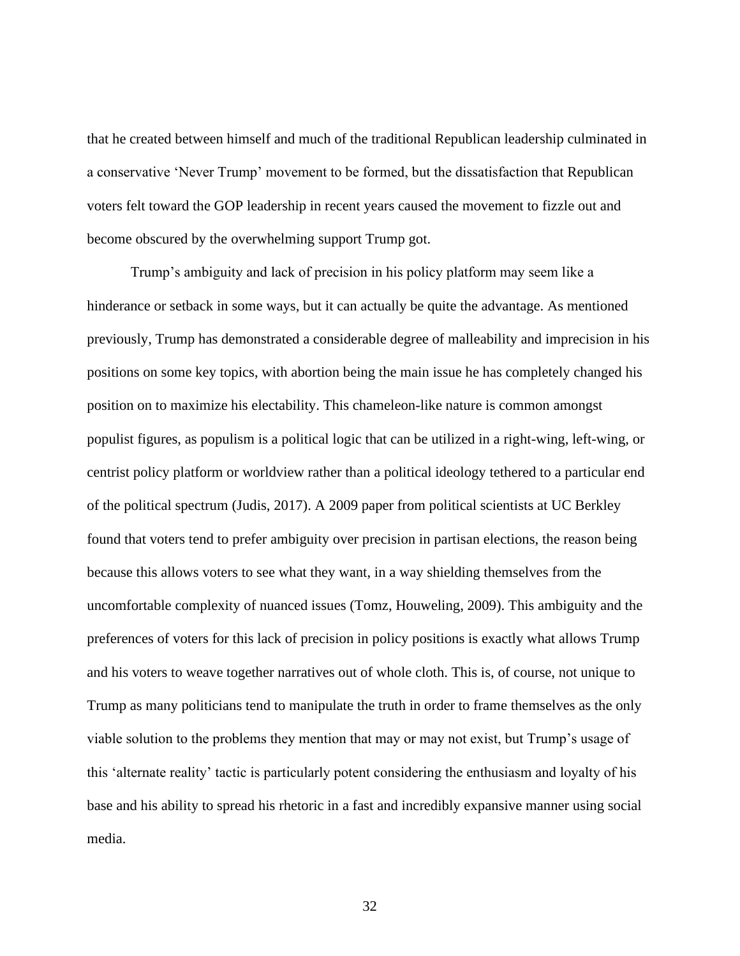that he created between himself and much of the traditional Republican leadership culminated in a conservative 'Never Trump' movement to be formed, but the dissatisfaction that Republican voters felt toward the GOP leadership in recent years caused the movement to fizzle out and become obscured by the overwhelming support Trump got.

Trump's ambiguity and lack of precision in his policy platform may seem like a hinderance or setback in some ways, but it can actually be quite the advantage. As mentioned previously, Trump has demonstrated a considerable degree of malleability and imprecision in his positions on some key topics, with abortion being the main issue he has completely changed his position on to maximize his electability. This chameleon-like nature is common amongst populist figures, as populism is a political logic that can be utilized in a right-wing, left-wing, or centrist policy platform or worldview rather than a political ideology tethered to a particular end of the political spectrum (Judis, 2017). A 2009 paper from political scientists at UC Berkley found that voters tend to prefer ambiguity over precision in partisan elections, the reason being because this allows voters to see what they want, in a way shielding themselves from the uncomfortable complexity of nuanced issues (Tomz, Houweling, 2009). This ambiguity and the preferences of voters for this lack of precision in policy positions is exactly what allows Trump and his voters to weave together narratives out of whole cloth. This is, of course, not unique to Trump as many politicians tend to manipulate the truth in order to frame themselves as the only viable solution to the problems they mention that may or may not exist, but Trump's usage of this 'alternate reality' tactic is particularly potent considering the enthusiasm and loyalty of his base and his ability to spread his rhetoric in a fast and incredibly expansive manner using social media.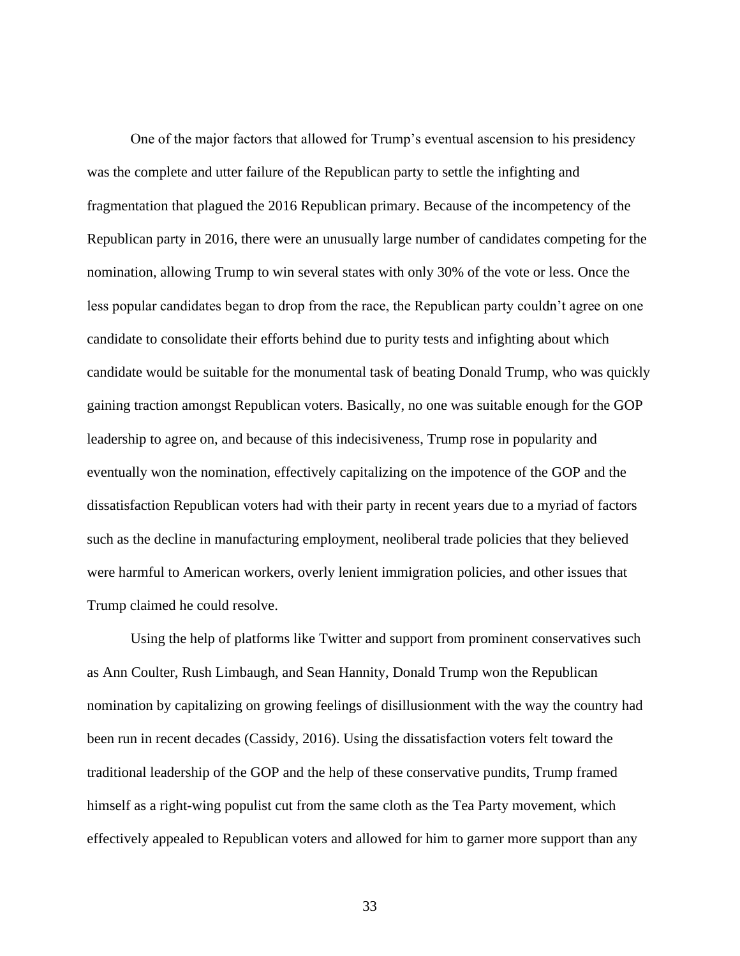One of the major factors that allowed for Trump's eventual ascension to his presidency was the complete and utter failure of the Republican party to settle the infighting and fragmentation that plagued the 2016 Republican primary. Because of the incompetency of the Republican party in 2016, there were an unusually large number of candidates competing for the nomination, allowing Trump to win several states with only 30% of the vote or less. Once the less popular candidates began to drop from the race, the Republican party couldn't agree on one candidate to consolidate their efforts behind due to purity tests and infighting about which candidate would be suitable for the monumental task of beating Donald Trump, who was quickly gaining traction amongst Republican voters. Basically, no one was suitable enough for the GOP leadership to agree on, and because of this indecisiveness, Trump rose in popularity and eventually won the nomination, effectively capitalizing on the impotence of the GOP and the dissatisfaction Republican voters had with their party in recent years due to a myriad of factors such as the decline in manufacturing employment, neoliberal trade policies that they believed were harmful to American workers, overly lenient immigration policies, and other issues that Trump claimed he could resolve.

Using the help of platforms like Twitter and support from prominent conservatives such as Ann Coulter, Rush Limbaugh, and Sean Hannity, Donald Trump won the Republican nomination by capitalizing on growing feelings of disillusionment with the way the country had been run in recent decades (Cassidy, 2016). Using the dissatisfaction voters felt toward the traditional leadership of the GOP and the help of these conservative pundits, Trump framed himself as a right-wing populist cut from the same cloth as the Tea Party movement, which effectively appealed to Republican voters and allowed for him to garner more support than any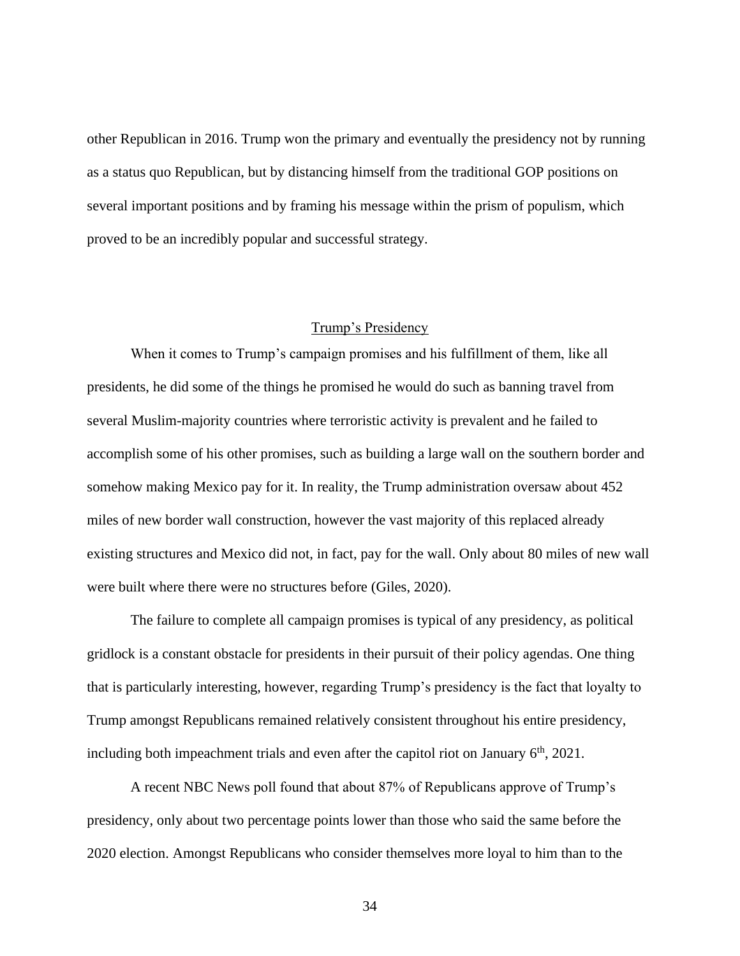other Republican in 2016. Trump won the primary and eventually the presidency not by running as a status quo Republican, but by distancing himself from the traditional GOP positions on several important positions and by framing his message within the prism of populism, which proved to be an incredibly popular and successful strategy.

# Trump's Presidency

When it comes to Trump's campaign promises and his fulfillment of them, like all presidents, he did some of the things he promised he would do such as banning travel from several Muslim-majority countries where terroristic activity is prevalent and he failed to accomplish some of his other promises, such as building a large wall on the southern border and somehow making Mexico pay for it. In reality, the Trump administration oversaw about 452 miles of new border wall construction, however the vast majority of this replaced already existing structures and Mexico did not, in fact, pay for the wall. Only about 80 miles of new wall were built where there were no structures before (Giles, 2020).

The failure to complete all campaign promises is typical of any presidency, as political gridlock is a constant obstacle for presidents in their pursuit of their policy agendas. One thing that is particularly interesting, however, regarding Trump's presidency is the fact that loyalty to Trump amongst Republicans remained relatively consistent throughout his entire presidency, including both impeachment trials and even after the capitol riot on January  $6<sup>th</sup>$ , 2021.

A recent NBC News poll found that about 87% of Republicans approve of Trump's presidency, only about two percentage points lower than those who said the same before the 2020 election. Amongst Republicans who consider themselves more loyal to him than to the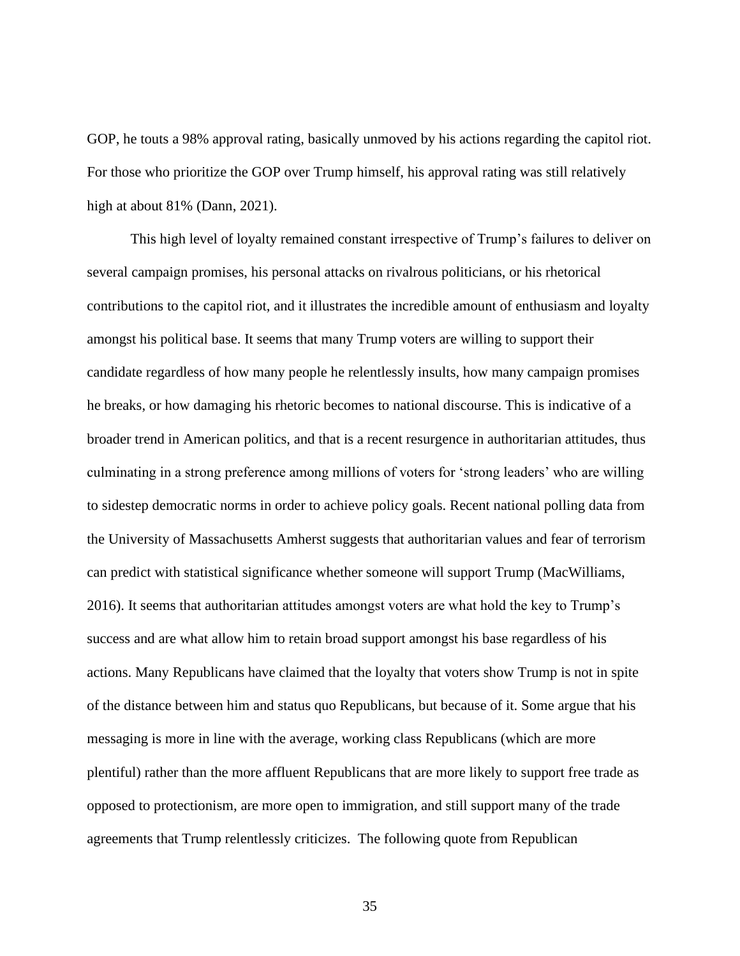GOP, he touts a 98% approval rating, basically unmoved by his actions regarding the capitol riot. For those who prioritize the GOP over Trump himself, his approval rating was still relatively high at about 81% (Dann, 2021).

This high level of loyalty remained constant irrespective of Trump's failures to deliver on several campaign promises, his personal attacks on rivalrous politicians, or his rhetorical contributions to the capitol riot, and it illustrates the incredible amount of enthusiasm and loyalty amongst his political base. It seems that many Trump voters are willing to support their candidate regardless of how many people he relentlessly insults, how many campaign promises he breaks, or how damaging his rhetoric becomes to national discourse. This is indicative of a broader trend in American politics, and that is a recent resurgence in authoritarian attitudes, thus culminating in a strong preference among millions of voters for 'strong leaders' who are willing to sidestep democratic norms in order to achieve policy goals. Recent national polling data from the University of Massachusetts Amherst suggests that authoritarian values and fear of terrorism can predict with statistical significance whether someone will support Trump (MacWilliams, 2016). It seems that authoritarian attitudes amongst voters are what hold the key to Trump's success and are what allow him to retain broad support amongst his base regardless of his actions. Many Republicans have claimed that the loyalty that voters show Trump is not in spite of the distance between him and status quo Republicans, but because of it. Some argue that his messaging is more in line with the average, working class Republicans (which are more plentiful) rather than the more affluent Republicans that are more likely to support free trade as opposed to protectionism, are more open to immigration, and still support many of the trade agreements that Trump relentlessly criticizes. The following quote from Republican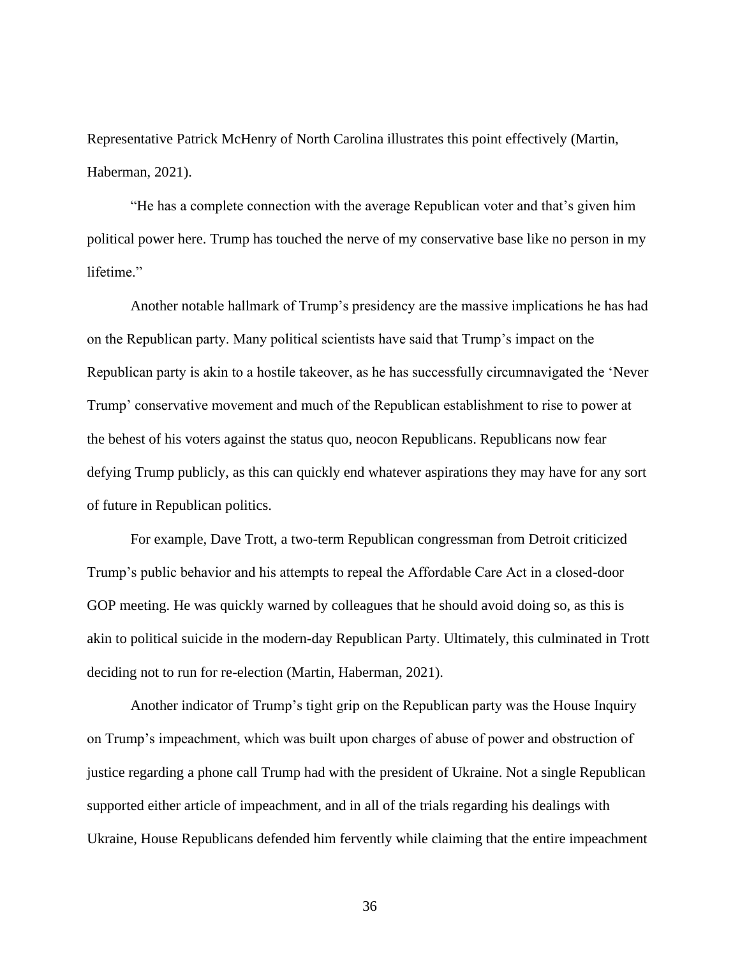Representative Patrick McHenry of North Carolina illustrates this point effectively (Martin, Haberman, 2021).

"He has a complete connection with the average Republican voter and that's given him political power here. Trump has touched the nerve of my conservative base like no person in my lifetime."

Another notable hallmark of Trump's presidency are the massive implications he has had on the Republican party. Many political scientists have said that Trump's impact on the Republican party is akin to a hostile takeover, as he has successfully circumnavigated the 'Never Trump' conservative movement and much of the Republican establishment to rise to power at the behest of his voters against the status quo, neocon Republicans. Republicans now fear defying Trump publicly, as this can quickly end whatever aspirations they may have for any sort of future in Republican politics.

For example, Dave Trott, a two-term Republican congressman from Detroit criticized Trump's public behavior and his attempts to repeal the Affordable Care Act in a closed-door GOP meeting. He was quickly warned by colleagues that he should avoid doing so, as this is akin to political suicide in the modern-day Republican Party. Ultimately, this culminated in Trott deciding not to run for re-election (Martin, Haberman, 2021).

Another indicator of Trump's tight grip on the Republican party was the House Inquiry on Trump's impeachment, which was built upon charges of abuse of power and obstruction of justice regarding a phone call Trump had with the president of Ukraine. Not a single Republican supported either article of impeachment, and in all of the trials regarding his dealings with Ukraine, House Republicans defended him fervently while claiming that the entire impeachment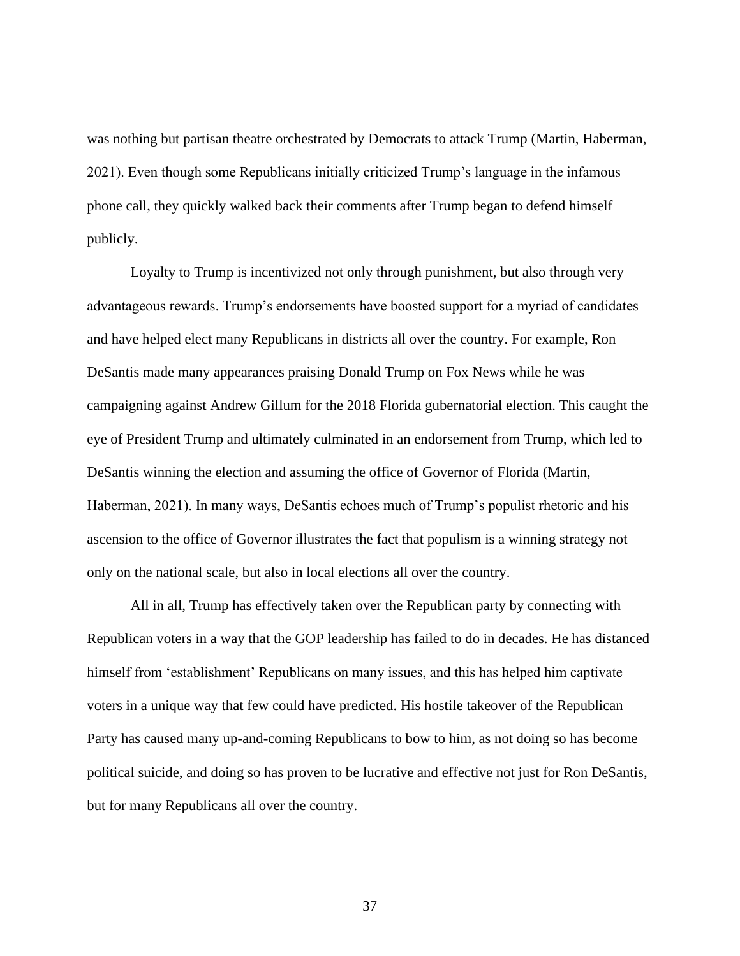was nothing but partisan theatre orchestrated by Democrats to attack Trump (Martin, Haberman, 2021). Even though some Republicans initially criticized Trump's language in the infamous phone call, they quickly walked back their comments after Trump began to defend himself publicly.

Loyalty to Trump is incentivized not only through punishment, but also through very advantageous rewards. Trump's endorsements have boosted support for a myriad of candidates and have helped elect many Republicans in districts all over the country. For example, Ron DeSantis made many appearances praising Donald Trump on Fox News while he was campaigning against Andrew Gillum for the 2018 Florida gubernatorial election. This caught the eye of President Trump and ultimately culminated in an endorsement from Trump, which led to DeSantis winning the election and assuming the office of Governor of Florida (Martin, Haberman, 2021). In many ways, DeSantis echoes much of Trump's populist rhetoric and his ascension to the office of Governor illustrates the fact that populism is a winning strategy not only on the national scale, but also in local elections all over the country.

All in all, Trump has effectively taken over the Republican party by connecting with Republican voters in a way that the GOP leadership has failed to do in decades. He has distanced himself from 'establishment' Republicans on many issues, and this has helped him captivate voters in a unique way that few could have predicted. His hostile takeover of the Republican Party has caused many up-and-coming Republicans to bow to him, as not doing so has become political suicide, and doing so has proven to be lucrative and effective not just for Ron DeSantis, but for many Republicans all over the country.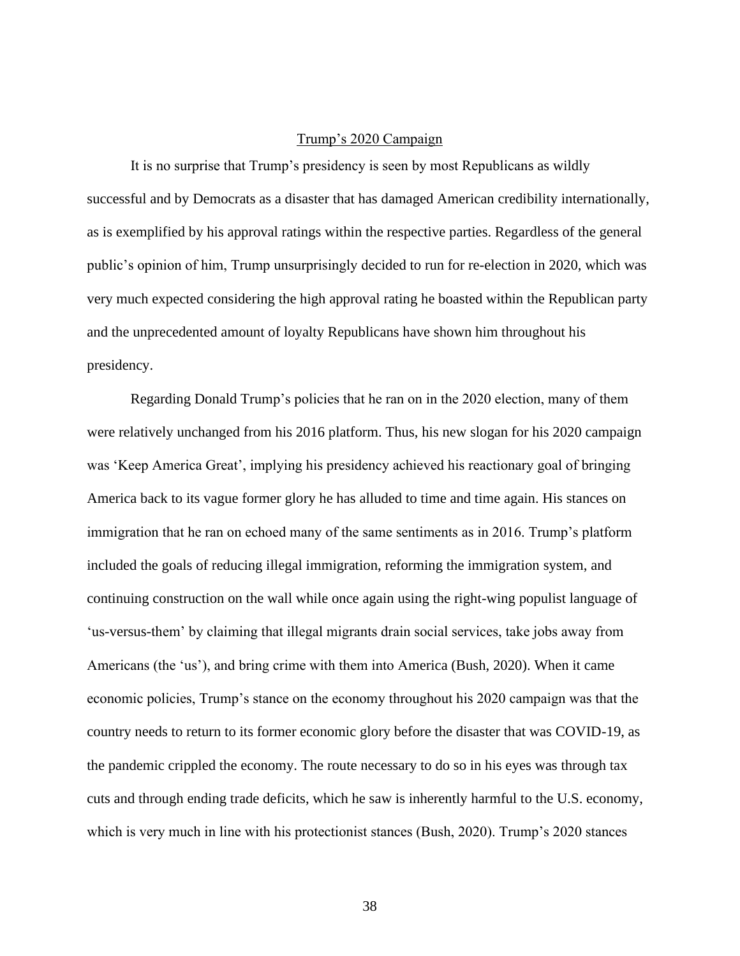#### Trump's 2020 Campaign

It is no surprise that Trump's presidency is seen by most Republicans as wildly successful and by Democrats as a disaster that has damaged American credibility internationally, as is exemplified by his approval ratings within the respective parties. Regardless of the general public's opinion of him, Trump unsurprisingly decided to run for re-election in 2020, which was very much expected considering the high approval rating he boasted within the Republican party and the unprecedented amount of loyalty Republicans have shown him throughout his presidency.

Regarding Donald Trump's policies that he ran on in the 2020 election, many of them were relatively unchanged from his 2016 platform. Thus, his new slogan for his 2020 campaign was 'Keep America Great', implying his presidency achieved his reactionary goal of bringing America back to its vague former glory he has alluded to time and time again. His stances on immigration that he ran on echoed many of the same sentiments as in 2016. Trump's platform included the goals of reducing illegal immigration, reforming the immigration system, and continuing construction on the wall while once again using the right-wing populist language of 'us-versus-them' by claiming that illegal migrants drain social services, take jobs away from Americans (the 'us'), and bring crime with them into America (Bush, 2020). When it came economic policies, Trump's stance on the economy throughout his 2020 campaign was that the country needs to return to its former economic glory before the disaster that was COVID-19, as the pandemic crippled the economy. The route necessary to do so in his eyes was through tax cuts and through ending trade deficits, which he saw is inherently harmful to the U.S. economy, which is very much in line with his protectionist stances (Bush, 2020). Trump's 2020 stances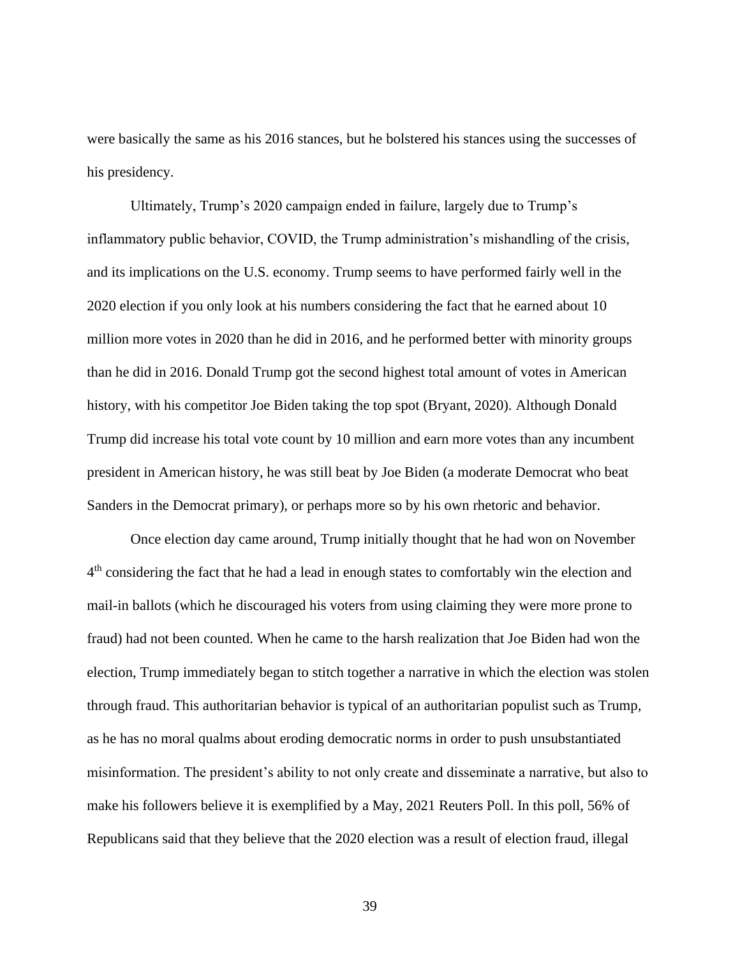were basically the same as his 2016 stances, but he bolstered his stances using the successes of his presidency.

Ultimately, Trump's 2020 campaign ended in failure, largely due to Trump's inflammatory public behavior, COVID, the Trump administration's mishandling of the crisis, and its implications on the U.S. economy. Trump seems to have performed fairly well in the 2020 election if you only look at his numbers considering the fact that he earned about 10 million more votes in 2020 than he did in 2016, and he performed better with minority groups than he did in 2016. Donald Trump got the second highest total amount of votes in American history, with his competitor Joe Biden taking the top spot (Bryant, 2020). Although Donald Trump did increase his total vote count by 10 million and earn more votes than any incumbent president in American history, he was still beat by Joe Biden (a moderate Democrat who beat Sanders in the Democrat primary), or perhaps more so by his own rhetoric and behavior.

Once election day came around, Trump initially thought that he had won on November 4<sup>th</sup> considering the fact that he had a lead in enough states to comfortably win the election and mail-in ballots (which he discouraged his voters from using claiming they were more prone to fraud) had not been counted. When he came to the harsh realization that Joe Biden had won the election, Trump immediately began to stitch together a narrative in which the election was stolen through fraud. This authoritarian behavior is typical of an authoritarian populist such as Trump, as he has no moral qualms about eroding democratic norms in order to push unsubstantiated misinformation. The president's ability to not only create and disseminate a narrative, but also to make his followers believe it is exemplified by a May, 2021 Reuters Poll. In this poll, 56% of Republicans said that they believe that the 2020 election was a result of election fraud, illegal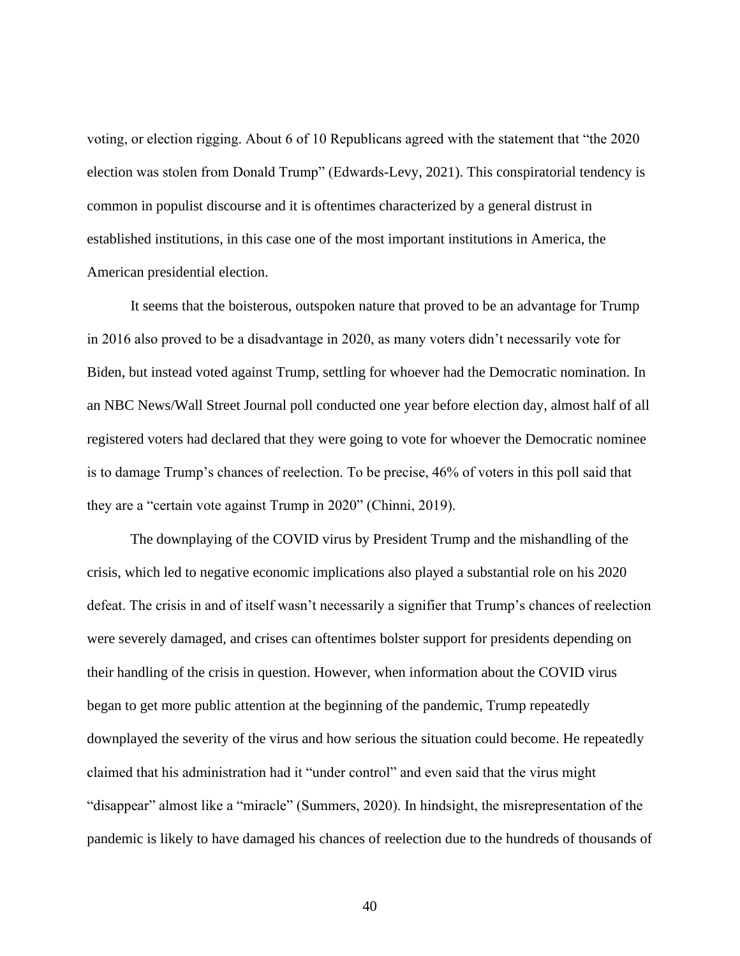voting, or election rigging. About 6 of 10 Republicans agreed with the statement that "the 2020 election was stolen from Donald Trump" (Edwards-Levy, 2021). This conspiratorial tendency is common in populist discourse and it is oftentimes characterized by a general distrust in established institutions, in this case one of the most important institutions in America, the American presidential election.

It seems that the boisterous, outspoken nature that proved to be an advantage for Trump in 2016 also proved to be a disadvantage in 2020, as many voters didn't necessarily vote for Biden, but instead voted against Trump, settling for whoever had the Democratic nomination. In an NBC News/Wall Street Journal poll conducted one year before election day, almost half of all registered voters had declared that they were going to vote for whoever the Democratic nominee is to damage Trump's chances of reelection. To be precise, 46% of voters in this poll said that they are a "certain vote against Trump in 2020" (Chinni, 2019).

The downplaying of the COVID virus by President Trump and the mishandling of the crisis, which led to negative economic implications also played a substantial role on his 2020 defeat. The crisis in and of itself wasn't necessarily a signifier that Trump's chances of reelection were severely damaged, and crises can oftentimes bolster support for presidents depending on their handling of the crisis in question. However, when information about the COVID virus began to get more public attention at the beginning of the pandemic, Trump repeatedly downplayed the severity of the virus and how serious the situation could become. He repeatedly claimed that his administration had it "under control" and even said that the virus might "disappear" almost like a "miracle" (Summers, 2020). In hindsight, the misrepresentation of the pandemic is likely to have damaged his chances of reelection due to the hundreds of thousands of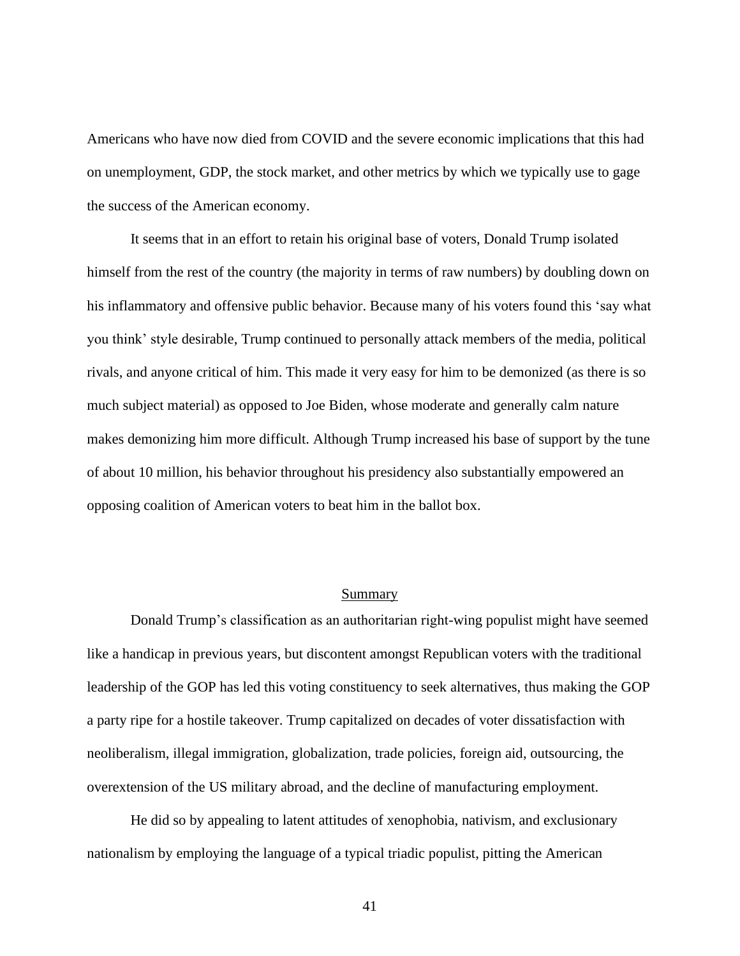Americans who have now died from COVID and the severe economic implications that this had on unemployment, GDP, the stock market, and other metrics by which we typically use to gage the success of the American economy.

It seems that in an effort to retain his original base of voters, Donald Trump isolated himself from the rest of the country (the majority in terms of raw numbers) by doubling down on his inflammatory and offensive public behavior. Because many of his voters found this 'say what you think' style desirable, Trump continued to personally attack members of the media, political rivals, and anyone critical of him. This made it very easy for him to be demonized (as there is so much subject material) as opposed to Joe Biden, whose moderate and generally calm nature makes demonizing him more difficult. Although Trump increased his base of support by the tune of about 10 million, his behavior throughout his presidency also substantially empowered an opposing coalition of American voters to beat him in the ballot box.

### Summary

Donald Trump's classification as an authoritarian right-wing populist might have seemed like a handicap in previous years, but discontent amongst Republican voters with the traditional leadership of the GOP has led this voting constituency to seek alternatives, thus making the GOP a party ripe for a hostile takeover. Trump capitalized on decades of voter dissatisfaction with neoliberalism, illegal immigration, globalization, trade policies, foreign aid, outsourcing, the overextension of the US military abroad, and the decline of manufacturing employment.

He did so by appealing to latent attitudes of xenophobia, nativism, and exclusionary nationalism by employing the language of a typical triadic populist, pitting the American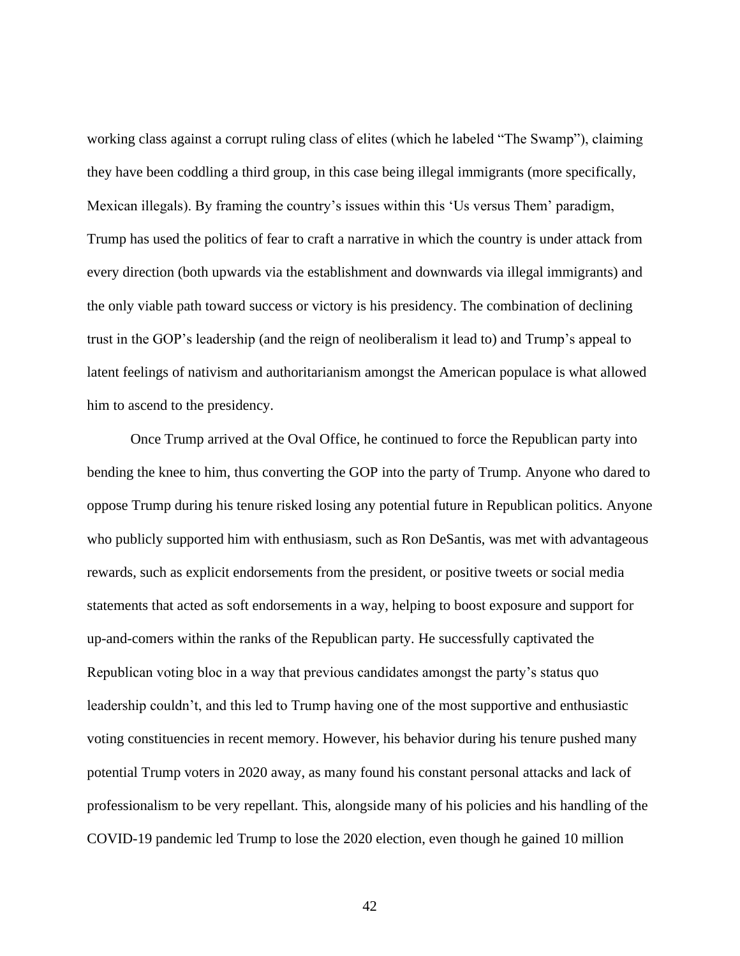working class against a corrupt ruling class of elites (which he labeled "The Swamp"), claiming they have been coddling a third group, in this case being illegal immigrants (more specifically, Mexican illegals). By framing the country's issues within this 'Us versus Them' paradigm, Trump has used the politics of fear to craft a narrative in which the country is under attack from every direction (both upwards via the establishment and downwards via illegal immigrants) and the only viable path toward success or victory is his presidency. The combination of declining trust in the GOP's leadership (and the reign of neoliberalism it lead to) and Trump's appeal to latent feelings of nativism and authoritarianism amongst the American populace is what allowed him to ascend to the presidency.

Once Trump arrived at the Oval Office, he continued to force the Republican party into bending the knee to him, thus converting the GOP into the party of Trump. Anyone who dared to oppose Trump during his tenure risked losing any potential future in Republican politics. Anyone who publicly supported him with enthusiasm, such as Ron DeSantis, was met with advantageous rewards, such as explicit endorsements from the president, or positive tweets or social media statements that acted as soft endorsements in a way, helping to boost exposure and support for up-and-comers within the ranks of the Republican party. He successfully captivated the Republican voting bloc in a way that previous candidates amongst the party's status quo leadership couldn't, and this led to Trump having one of the most supportive and enthusiastic voting constituencies in recent memory. However, his behavior during his tenure pushed many potential Trump voters in 2020 away, as many found his constant personal attacks and lack of professionalism to be very repellant. This, alongside many of his policies and his handling of the COVID-19 pandemic led Trump to lose the 2020 election, even though he gained 10 million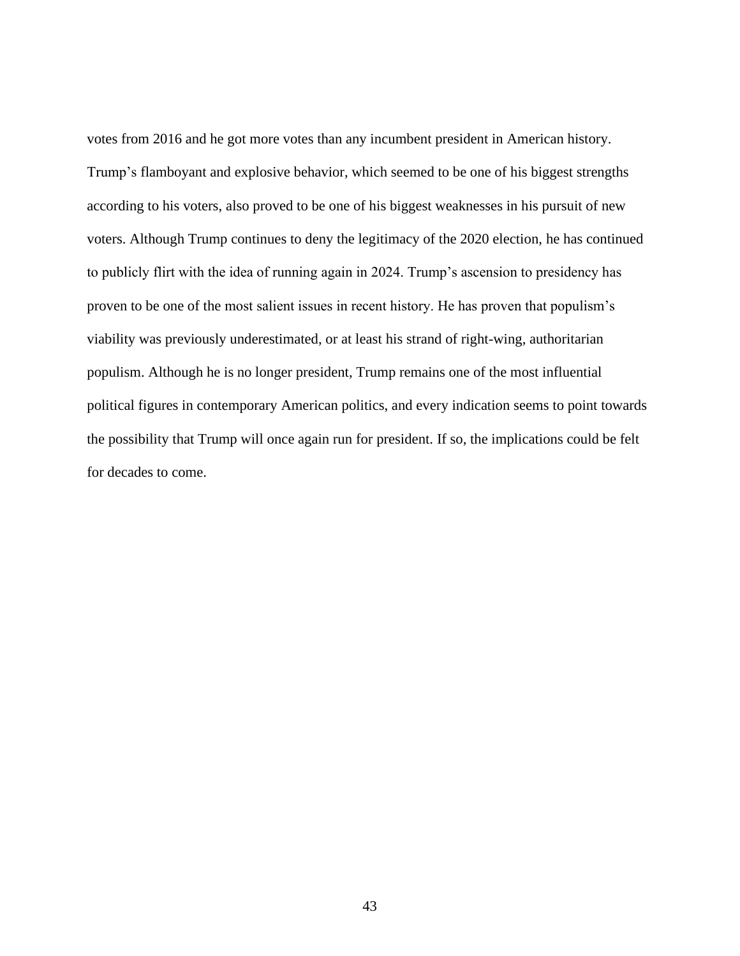votes from 2016 and he got more votes than any incumbent president in American history. Trump's flamboyant and explosive behavior, which seemed to be one of his biggest strengths according to his voters, also proved to be one of his biggest weaknesses in his pursuit of new voters. Although Trump continues to deny the legitimacy of the 2020 election, he has continued to publicly flirt with the idea of running again in 2024. Trump's ascension to presidency has proven to be one of the most salient issues in recent history. He has proven that populism's viability was previously underestimated, or at least his strand of right-wing, authoritarian populism. Although he is no longer president, Trump remains one of the most influential political figures in contemporary American politics, and every indication seems to point towards the possibility that Trump will once again run for president. If so, the implications could be felt for decades to come.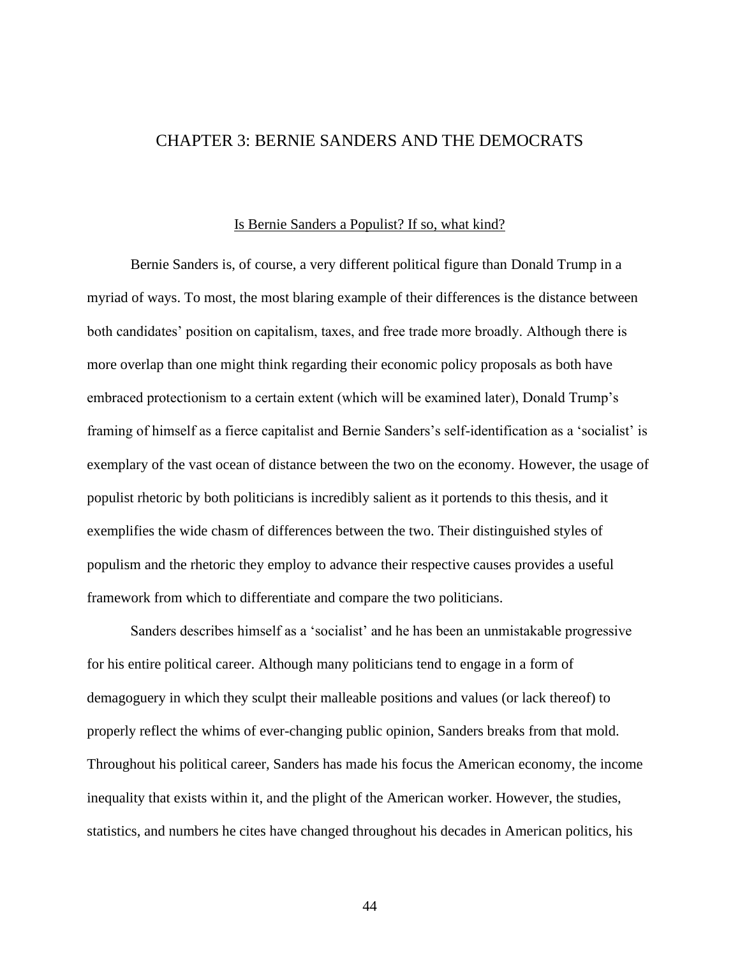# CHAPTER 3: BERNIE SANDERS AND THE DEMOCRATS

#### Is Bernie Sanders a Populist? If so, what kind?

Bernie Sanders is, of course, a very different political figure than Donald Trump in a myriad of ways. To most, the most blaring example of their differences is the distance between both candidates' position on capitalism, taxes, and free trade more broadly. Although there is more overlap than one might think regarding their economic policy proposals as both have embraced protectionism to a certain extent (which will be examined later), Donald Trump's framing of himself as a fierce capitalist and Bernie Sanders's self-identification as a 'socialist' is exemplary of the vast ocean of distance between the two on the economy. However, the usage of populist rhetoric by both politicians is incredibly salient as it portends to this thesis, and it exemplifies the wide chasm of differences between the two. Their distinguished styles of populism and the rhetoric they employ to advance their respective causes provides a useful framework from which to differentiate and compare the two politicians.

Sanders describes himself as a 'socialist' and he has been an unmistakable progressive for his entire political career. Although many politicians tend to engage in a form of demagoguery in which they sculpt their malleable positions and values (or lack thereof) to properly reflect the whims of ever-changing public opinion, Sanders breaks from that mold. Throughout his political career, Sanders has made his focus the American economy, the income inequality that exists within it, and the plight of the American worker. However, the studies, statistics, and numbers he cites have changed throughout his decades in American politics, his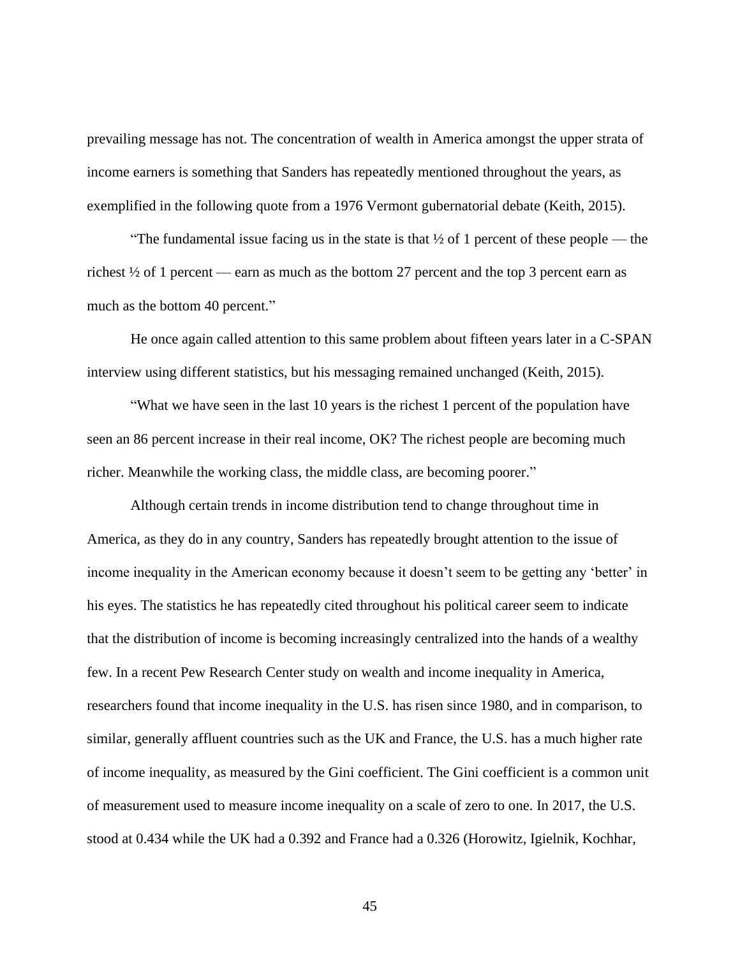prevailing message has not. The concentration of wealth in America amongst the upper strata of income earners is something that Sanders has repeatedly mentioned throughout the years, as exemplified in the following quote from a 1976 Vermont gubernatorial debate (Keith, 2015).

"The fundamental issue facing us in the state is that  $\frac{1}{2}$  of 1 percent of these people — the richest ½ of 1 percent — earn as much as the bottom 27 percent and the top 3 percent earn as much as the bottom 40 percent."

He once again called attention to this same problem about fifteen years later in a C-SPAN interview using different statistics, but his messaging remained unchanged (Keith, 2015).

"What we have seen in the last 10 years is the richest 1 percent of the population have seen an 86 percent increase in their real income, OK? The richest people are becoming much richer. Meanwhile the working class, the middle class, are becoming poorer."

Although certain trends in income distribution tend to change throughout time in America, as they do in any country, Sanders has repeatedly brought attention to the issue of income inequality in the American economy because it doesn't seem to be getting any 'better' in his eyes. The statistics he has repeatedly cited throughout his political career seem to indicate that the distribution of income is becoming increasingly centralized into the hands of a wealthy few. In a recent Pew Research Center study on wealth and income inequality in America, researchers found that income inequality in the U.S. has risen since 1980, and in comparison, to similar, generally affluent countries such as the UK and France, the U.S. has a much higher rate of income inequality, as measured by the Gini coefficient. The Gini coefficient is a common unit of measurement used to measure income inequality on a scale of zero to one. In 2017, the U.S. stood at 0.434 while the UK had a 0.392 and France had a 0.326 (Horowitz, Igielnik, Kochhar,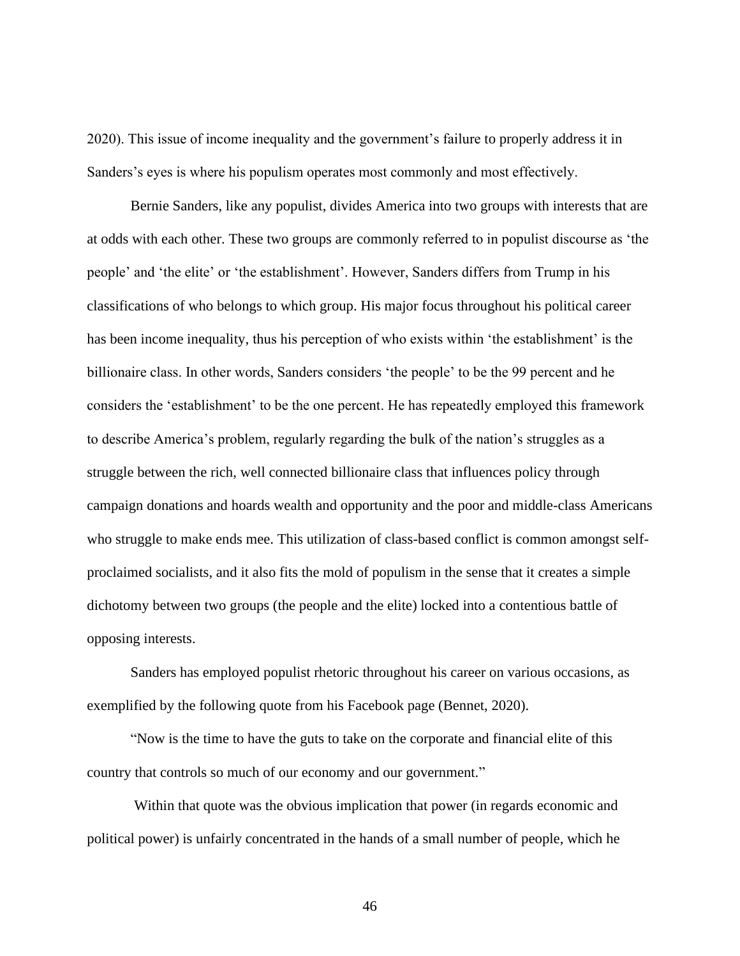2020). This issue of income inequality and the government's failure to properly address it in Sanders's eyes is where his populism operates most commonly and most effectively.

Bernie Sanders, like any populist, divides America into two groups with interests that are at odds with each other. These two groups are commonly referred to in populist discourse as 'the people' and 'the elite' or 'the establishment'. However, Sanders differs from Trump in his classifications of who belongs to which group. His major focus throughout his political career has been income inequality, thus his perception of who exists within 'the establishment' is the billionaire class. In other words, Sanders considers 'the people' to be the 99 percent and he considers the 'establishment' to be the one percent. He has repeatedly employed this framework to describe America's problem, regularly regarding the bulk of the nation's struggles as a struggle between the rich, well connected billionaire class that influences policy through campaign donations and hoards wealth and opportunity and the poor and middle-class Americans who struggle to make ends mee. This utilization of class-based conflict is common amongst selfproclaimed socialists, and it also fits the mold of populism in the sense that it creates a simple dichotomy between two groups (the people and the elite) locked into a contentious battle of opposing interests.

Sanders has employed populist rhetoric throughout his career on various occasions, as exemplified by the following quote from his Facebook page (Bennet, 2020).

"Now is the time to have the guts to take on the corporate and financial elite of this country that controls so much of our economy and our government."

Within that quote was the obvious implication that power (in regards economic and political power) is unfairly concentrated in the hands of a small number of people, which he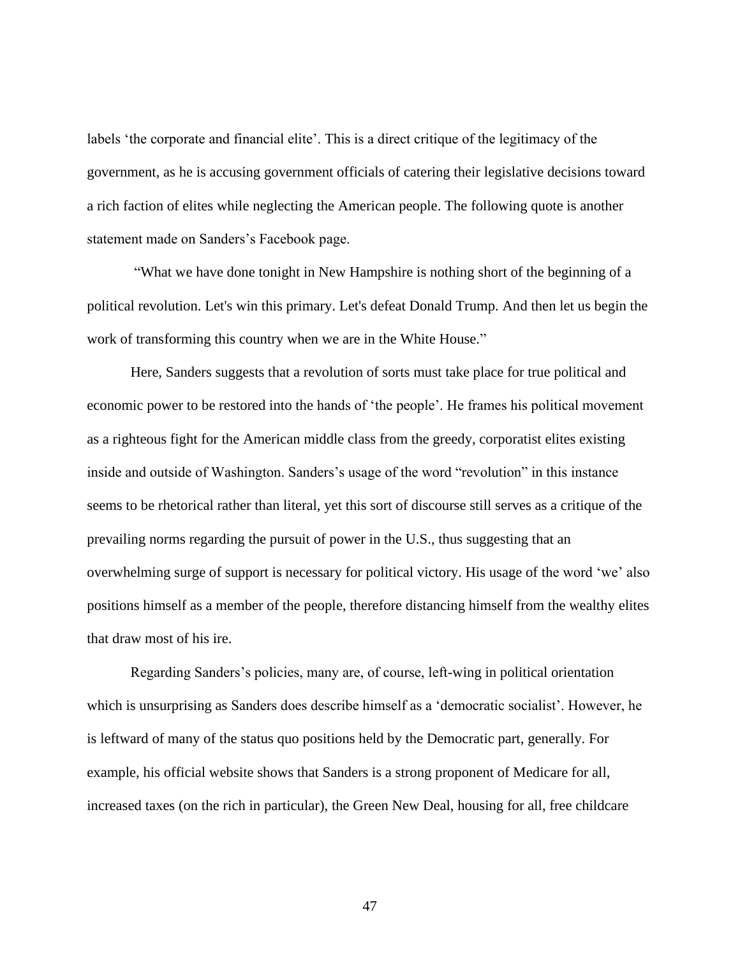labels 'the corporate and financial elite'. This is a direct critique of the legitimacy of the government, as he is accusing government officials of catering their legislative decisions toward a rich faction of elites while neglecting the American people. The following quote is another statement made on Sanders's Facebook page.

"What we have done tonight in New Hampshire is nothing short of the beginning of a political revolution. Let's win this primary. Let's defeat Donald Trump. And then let us begin the work of transforming this country when we are in the White House."

Here, Sanders suggests that a revolution of sorts must take place for true political and economic power to be restored into the hands of 'the people'. He frames his political movement as a righteous fight for the American middle class from the greedy, corporatist elites existing inside and outside of Washington. Sanders's usage of the word "revolution" in this instance seems to be rhetorical rather than literal, yet this sort of discourse still serves as a critique of the prevailing norms regarding the pursuit of power in the U.S., thus suggesting that an overwhelming surge of support is necessary for political victory. His usage of the word 'we' also positions himself as a member of the people, therefore distancing himself from the wealthy elites that draw most of his ire.

Regarding Sanders's policies, many are, of course, left-wing in political orientation which is unsurprising as Sanders does describe himself as a 'democratic socialist'. However, he is leftward of many of the status quo positions held by the Democratic part, generally. For example, his official website shows that Sanders is a strong proponent of Medicare for all, increased taxes (on the rich in particular), the Green New Deal, housing for all, free childcare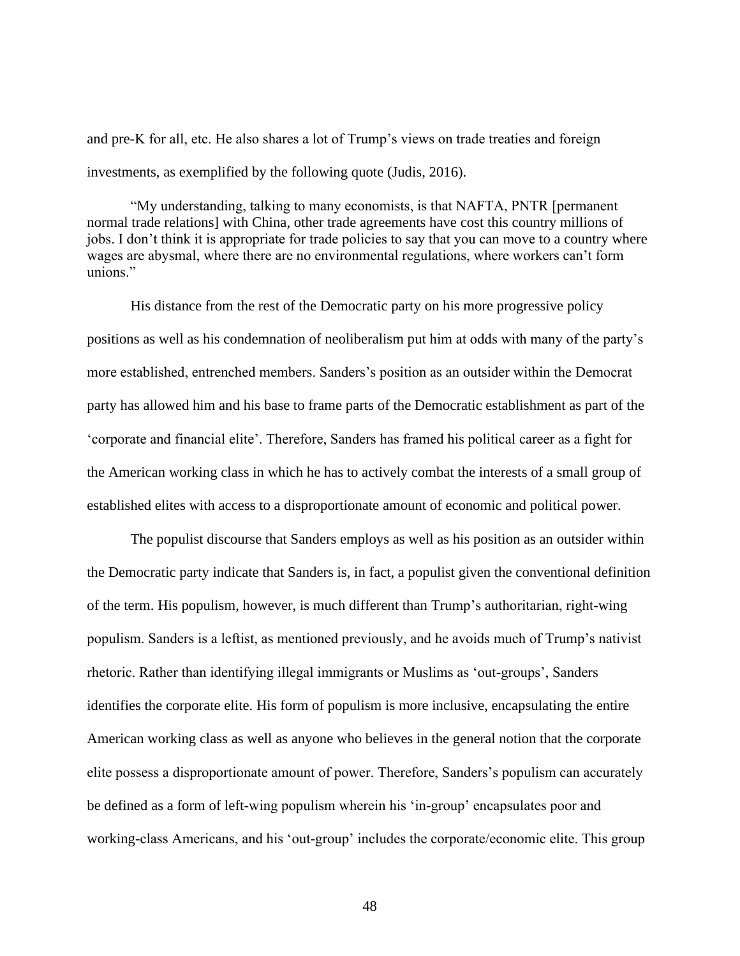and pre-K for all, etc. He also shares a lot of Trump's views on trade treaties and foreign investments, as exemplified by the following quote (Judis, 2016).

"My understanding, talking to many economists, is that NAFTA, PNTR [permanent normal trade relations] with China, other trade agreements have cost this country millions of jobs. I don't think it is appropriate for trade policies to say that you can move to a country where wages are abysmal, where there are no environmental regulations, where workers can't form unions."

His distance from the rest of the Democratic party on his more progressive policy positions as well as his condemnation of neoliberalism put him at odds with many of the party's more established, entrenched members. Sanders's position as an outsider within the Democrat party has allowed him and his base to frame parts of the Democratic establishment as part of the 'corporate and financial elite'. Therefore, Sanders has framed his political career as a fight for the American working class in which he has to actively combat the interests of a small group of established elites with access to a disproportionate amount of economic and political power.

The populist discourse that Sanders employs as well as his position as an outsider within the Democratic party indicate that Sanders is, in fact, a populist given the conventional definition of the term. His populism, however, is much different than Trump's authoritarian, right-wing populism. Sanders is a leftist, as mentioned previously, and he avoids much of Trump's nativist rhetoric. Rather than identifying illegal immigrants or Muslims as 'out-groups', Sanders identifies the corporate elite. His form of populism is more inclusive, encapsulating the entire American working class as well as anyone who believes in the general notion that the corporate elite possess a disproportionate amount of power. Therefore, Sanders's populism can accurately be defined as a form of left-wing populism wherein his 'in-group' encapsulates poor and working-class Americans, and his 'out-group' includes the corporate/economic elite. This group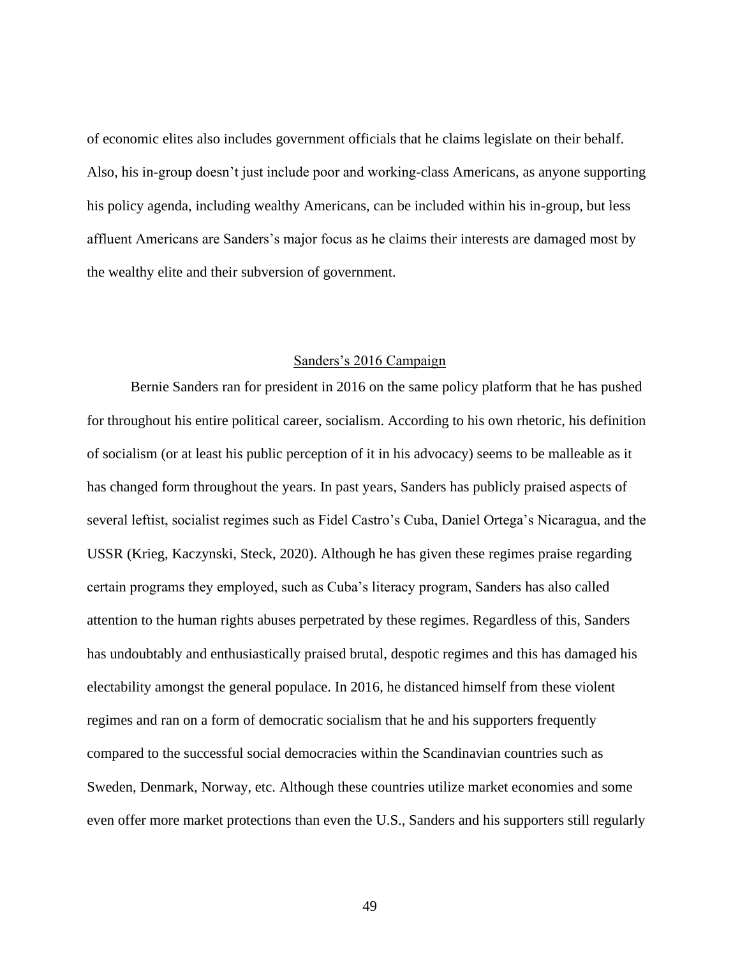of economic elites also includes government officials that he claims legislate on their behalf. Also, his in-group doesn't just include poor and working-class Americans, as anyone supporting his policy agenda, including wealthy Americans, can be included within his in-group, but less affluent Americans are Sanders's major focus as he claims their interests are damaged most by the wealthy elite and their subversion of government.

# Sanders's 2016 Campaign

Bernie Sanders ran for president in 2016 on the same policy platform that he has pushed for throughout his entire political career, socialism. According to his own rhetoric, his definition of socialism (or at least his public perception of it in his advocacy) seems to be malleable as it has changed form throughout the years. In past years, Sanders has publicly praised aspects of several leftist, socialist regimes such as Fidel Castro's Cuba, Daniel Ortega's Nicaragua, and the USSR (Krieg, Kaczynski, Steck, 2020). Although he has given these regimes praise regarding certain programs they employed, such as Cuba's literacy program, Sanders has also called attention to the human rights abuses perpetrated by these regimes. Regardless of this, Sanders has undoubtably and enthusiastically praised brutal, despotic regimes and this has damaged his electability amongst the general populace. In 2016, he distanced himself from these violent regimes and ran on a form of democratic socialism that he and his supporters frequently compared to the successful social democracies within the Scandinavian countries such as Sweden, Denmark, Norway, etc. Although these countries utilize market economies and some even offer more market protections than even the U.S., Sanders and his supporters still regularly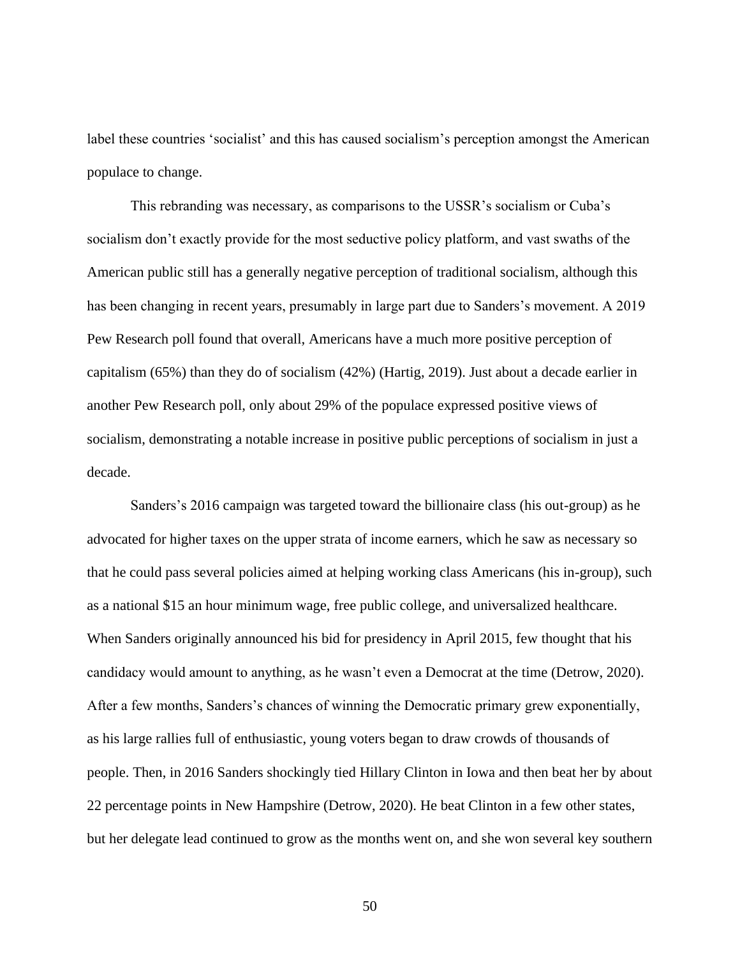label these countries 'socialist' and this has caused socialism's perception amongst the American populace to change.

This rebranding was necessary, as comparisons to the USSR's socialism or Cuba's socialism don't exactly provide for the most seductive policy platform, and vast swaths of the American public still has a generally negative perception of traditional socialism, although this has been changing in recent years, presumably in large part due to Sanders's movement. A 2019 Pew Research poll found that overall, Americans have a much more positive perception of capitalism (65%) than they do of socialism (42%) (Hartig, 2019). Just about a decade earlier in another Pew Research poll, only about 29% of the populace expressed positive views of socialism, demonstrating a notable increase in positive public perceptions of socialism in just a decade.

Sanders's 2016 campaign was targeted toward the billionaire class (his out-group) as he advocated for higher taxes on the upper strata of income earners, which he saw as necessary so that he could pass several policies aimed at helping working class Americans (his in-group), such as a national \$15 an hour minimum wage, free public college, and universalized healthcare. When Sanders originally announced his bid for presidency in April 2015, few thought that his candidacy would amount to anything, as he wasn't even a Democrat at the time (Detrow, 2020). After a few months, Sanders's chances of winning the Democratic primary grew exponentially, as his large rallies full of enthusiastic, young voters began to draw crowds of thousands of people. Then, in 2016 Sanders shockingly tied Hillary Clinton in Iowa and then beat her by about 22 percentage points in New Hampshire (Detrow, 2020). He beat Clinton in a few other states, but her delegate lead continued to grow as the months went on, and she won several key southern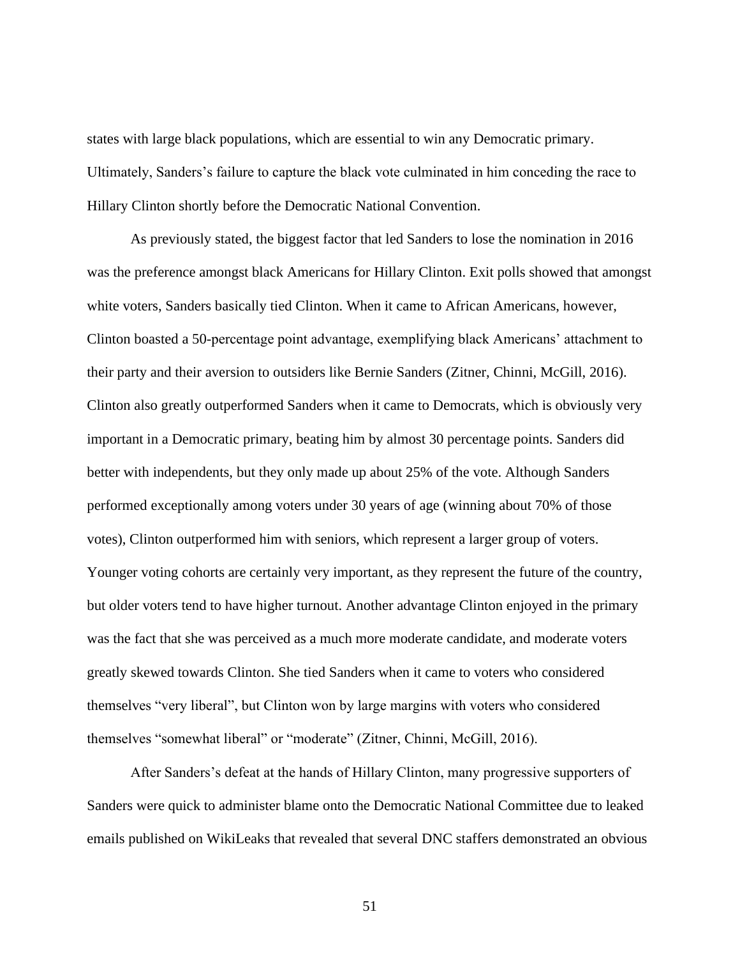states with large black populations, which are essential to win any Democratic primary. Ultimately, Sanders's failure to capture the black vote culminated in him conceding the race to Hillary Clinton shortly before the Democratic National Convention.

As previously stated, the biggest factor that led Sanders to lose the nomination in 2016 was the preference amongst black Americans for Hillary Clinton. Exit polls showed that amongst white voters, Sanders basically tied Clinton. When it came to African Americans, however, Clinton boasted a 50-percentage point advantage, exemplifying black Americans' attachment to their party and their aversion to outsiders like Bernie Sanders (Zitner, Chinni, McGill, 2016). Clinton also greatly outperformed Sanders when it came to Democrats, which is obviously very important in a Democratic primary, beating him by almost 30 percentage points. Sanders did better with independents, but they only made up about 25% of the vote. Although Sanders performed exceptionally among voters under 30 years of age (winning about 70% of those votes), Clinton outperformed him with seniors, which represent a larger group of voters. Younger voting cohorts are certainly very important, as they represent the future of the country, but older voters tend to have higher turnout. Another advantage Clinton enjoyed in the primary was the fact that she was perceived as a much more moderate candidate, and moderate voters greatly skewed towards Clinton. She tied Sanders when it came to voters who considered themselves "very liberal", but Clinton won by large margins with voters who considered themselves "somewhat liberal" or "moderate" (Zitner, Chinni, McGill, 2016).

After Sanders's defeat at the hands of Hillary Clinton, many progressive supporters of Sanders were quick to administer blame onto the Democratic National Committee due to leaked emails published on WikiLeaks that revealed that several DNC staffers demonstrated an obvious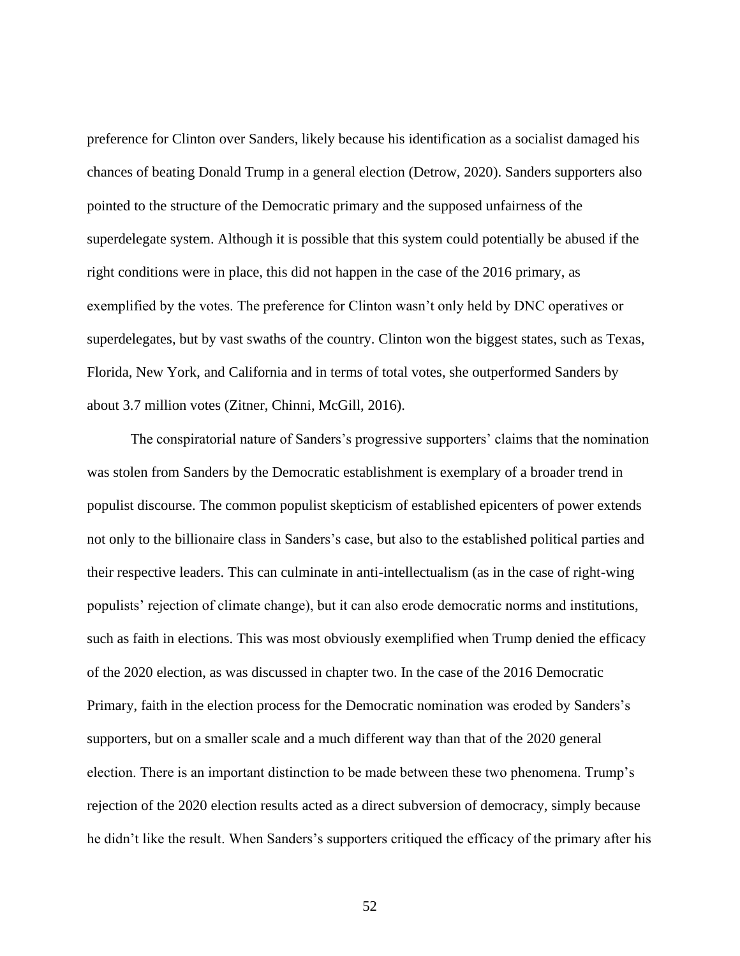preference for Clinton over Sanders, likely because his identification as a socialist damaged his chances of beating Donald Trump in a general election (Detrow, 2020). Sanders supporters also pointed to the structure of the Democratic primary and the supposed unfairness of the superdelegate system. Although it is possible that this system could potentially be abused if the right conditions were in place, this did not happen in the case of the 2016 primary, as exemplified by the votes. The preference for Clinton wasn't only held by DNC operatives or superdelegates, but by vast swaths of the country. Clinton won the biggest states, such as Texas, Florida, New York, and California and in terms of total votes, she outperformed Sanders by about 3.7 million votes (Zitner, Chinni, McGill, 2016).

The conspiratorial nature of Sanders's progressive supporters' claims that the nomination was stolen from Sanders by the Democratic establishment is exemplary of a broader trend in populist discourse. The common populist skepticism of established epicenters of power extends not only to the billionaire class in Sanders's case, but also to the established political parties and their respective leaders. This can culminate in anti-intellectualism (as in the case of right-wing populists' rejection of climate change), but it can also erode democratic norms and institutions, such as faith in elections. This was most obviously exemplified when Trump denied the efficacy of the 2020 election, as was discussed in chapter two. In the case of the 2016 Democratic Primary, faith in the election process for the Democratic nomination was eroded by Sanders's supporters, but on a smaller scale and a much different way than that of the 2020 general election. There is an important distinction to be made between these two phenomena. Trump's rejection of the 2020 election results acted as a direct subversion of democracy, simply because he didn't like the result. When Sanders's supporters critiqued the efficacy of the primary after his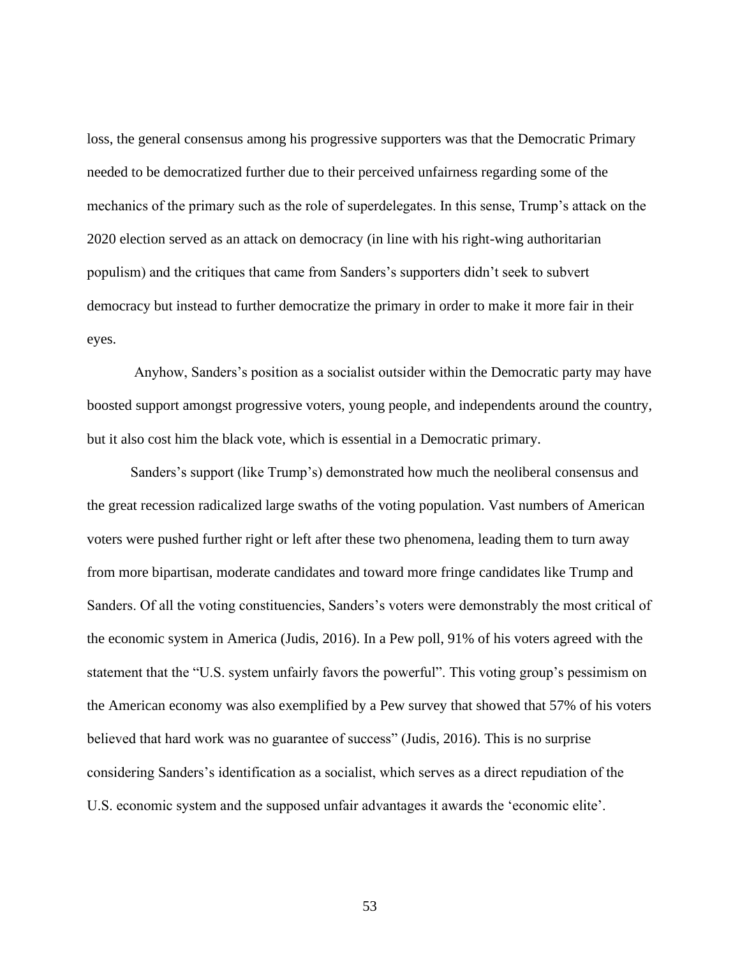loss, the general consensus among his progressive supporters was that the Democratic Primary needed to be democratized further due to their perceived unfairness regarding some of the mechanics of the primary such as the role of superdelegates. In this sense, Trump's attack on the 2020 election served as an attack on democracy (in line with his right-wing authoritarian populism) and the critiques that came from Sanders's supporters didn't seek to subvert democracy but instead to further democratize the primary in order to make it more fair in their eyes.

Anyhow, Sanders's position as a socialist outsider within the Democratic party may have boosted support amongst progressive voters, young people, and independents around the country, but it also cost him the black vote, which is essential in a Democratic primary.

Sanders's support (like Trump's) demonstrated how much the neoliberal consensus and the great recession radicalized large swaths of the voting population. Vast numbers of American voters were pushed further right or left after these two phenomena, leading them to turn away from more bipartisan, moderate candidates and toward more fringe candidates like Trump and Sanders. Of all the voting constituencies, Sanders's voters were demonstrably the most critical of the economic system in America (Judis, 2016). In a Pew poll, 91% of his voters agreed with the statement that the "U.S. system unfairly favors the powerful". This voting group's pessimism on the American economy was also exemplified by a Pew survey that showed that 57% of his voters believed that hard work was no guarantee of success" (Judis, 2016). This is no surprise considering Sanders's identification as a socialist, which serves as a direct repudiation of the U.S. economic system and the supposed unfair advantages it awards the 'economic elite'.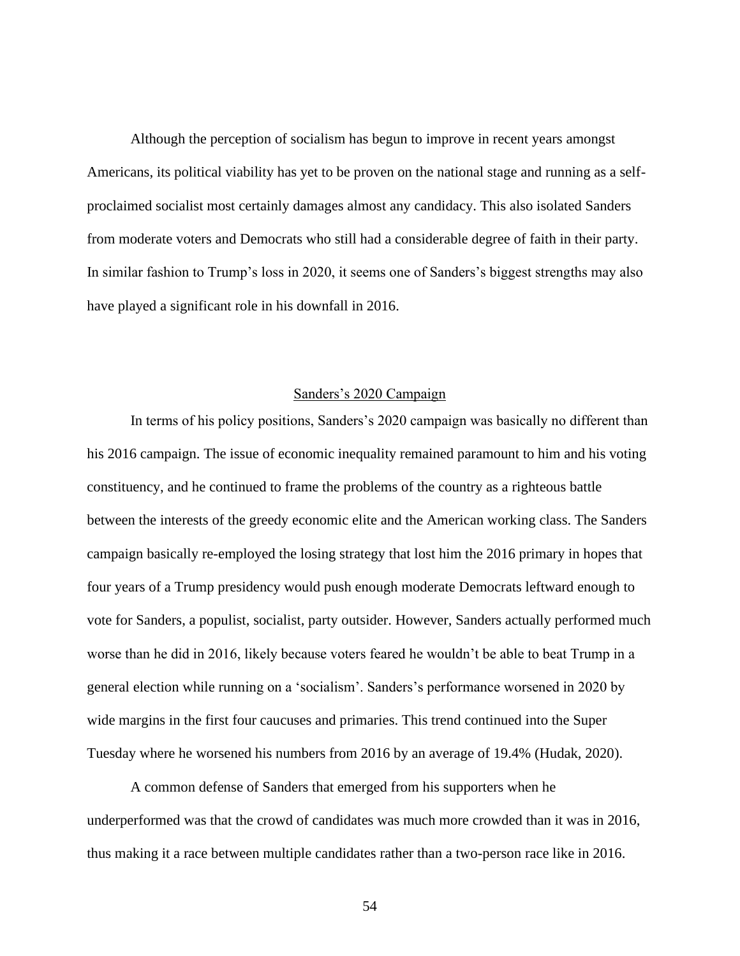Although the perception of socialism has begun to improve in recent years amongst Americans, its political viability has yet to be proven on the national stage and running as a selfproclaimed socialist most certainly damages almost any candidacy. This also isolated Sanders from moderate voters and Democrats who still had a considerable degree of faith in their party. In similar fashion to Trump's loss in 2020, it seems one of Sanders's biggest strengths may also have played a significant role in his downfall in 2016.

#### Sanders's 2020 Campaign

In terms of his policy positions, Sanders's 2020 campaign was basically no different than his 2016 campaign. The issue of economic inequality remained paramount to him and his voting constituency, and he continued to frame the problems of the country as a righteous battle between the interests of the greedy economic elite and the American working class. The Sanders campaign basically re-employed the losing strategy that lost him the 2016 primary in hopes that four years of a Trump presidency would push enough moderate Democrats leftward enough to vote for Sanders, a populist, socialist, party outsider. However, Sanders actually performed much worse than he did in 2016, likely because voters feared he wouldn't be able to beat Trump in a general election while running on a 'socialism'. Sanders's performance worsened in 2020 by wide margins in the first four caucuses and primaries. This trend continued into the Super Tuesday where he worsened his numbers from 2016 by an average of 19.4% (Hudak, 2020).

A common defense of Sanders that emerged from his supporters when he underperformed was that the crowd of candidates was much more crowded than it was in 2016, thus making it a race between multiple candidates rather than a two-person race like in 2016.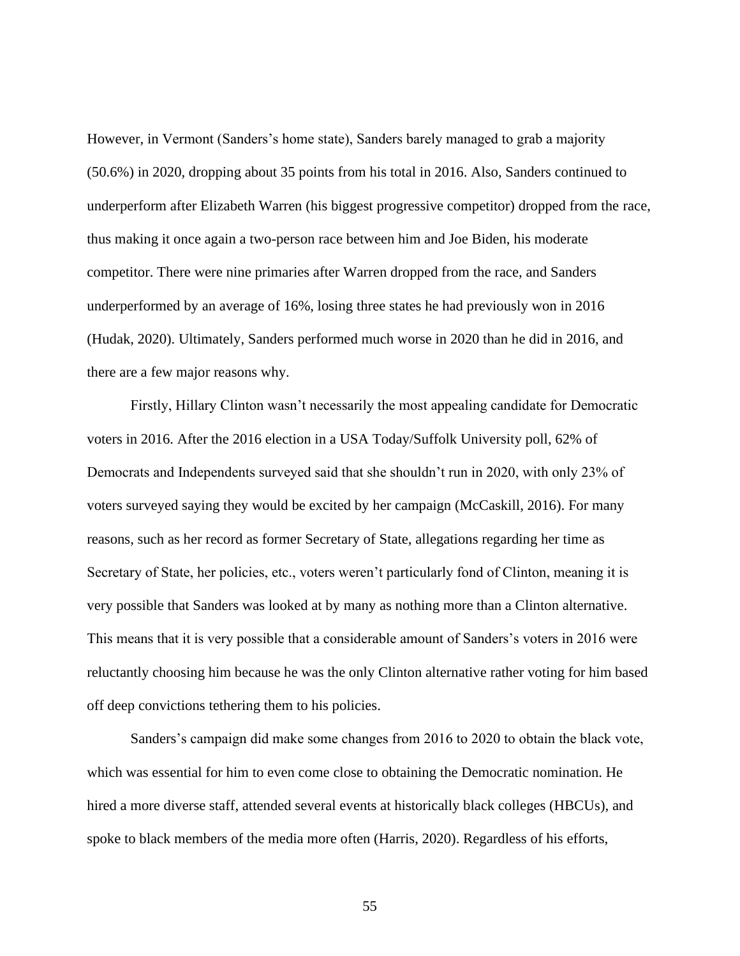However, in Vermont (Sanders's home state), Sanders barely managed to grab a majority (50.6%) in 2020, dropping about 35 points from his total in 2016. Also, Sanders continued to underperform after Elizabeth Warren (his biggest progressive competitor) dropped from the race, thus making it once again a two-person race between him and Joe Biden, his moderate competitor. There were nine primaries after Warren dropped from the race, and Sanders underperformed by an average of 16%, losing three states he had previously won in 2016 (Hudak, 2020). Ultimately, Sanders performed much worse in 2020 than he did in 2016, and there are a few major reasons why.

Firstly, Hillary Clinton wasn't necessarily the most appealing candidate for Democratic voters in 2016. After the 2016 election in a USA Today/Suffolk University poll, 62% of Democrats and Independents surveyed said that she shouldn't run in 2020, with only 23% of voters surveyed saying they would be excited by her campaign (McCaskill, 2016). For many reasons, such as her record as former Secretary of State, allegations regarding her time as Secretary of State, her policies, etc., voters weren't particularly fond of Clinton, meaning it is very possible that Sanders was looked at by many as nothing more than a Clinton alternative. This means that it is very possible that a considerable amount of Sanders's voters in 2016 were reluctantly choosing him because he was the only Clinton alternative rather voting for him based off deep convictions tethering them to his policies.

Sanders's campaign did make some changes from 2016 to 2020 to obtain the black vote, which was essential for him to even come close to obtaining the Democratic nomination. He hired a more diverse staff, attended several events at historically black colleges (HBCUs), and spoke to black members of the media more often (Harris, 2020). Regardless of his efforts,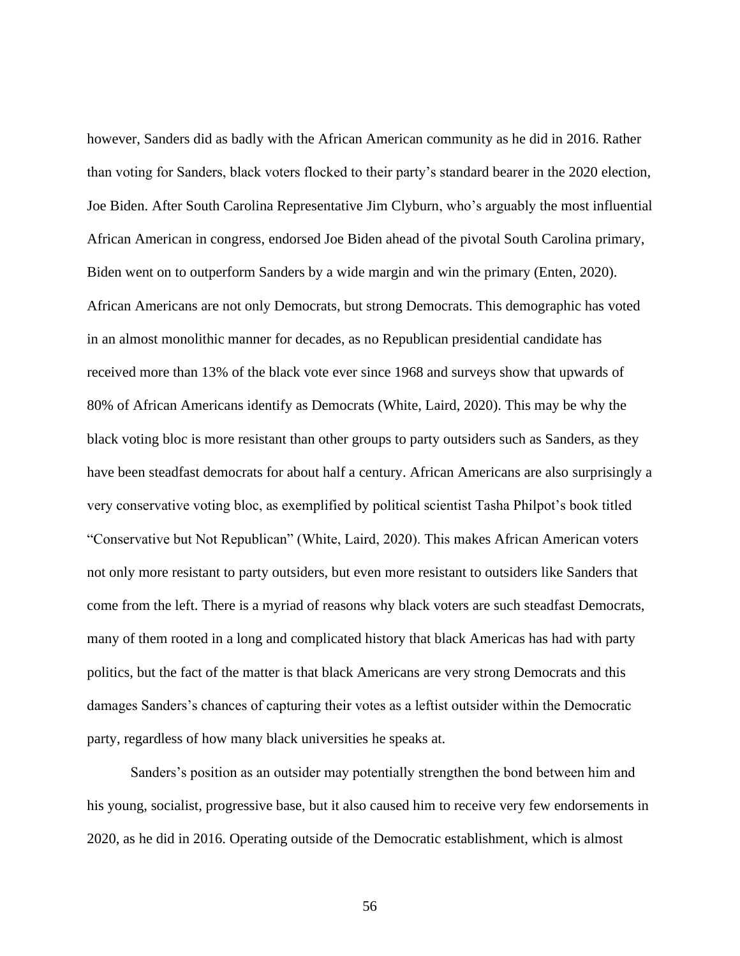however, Sanders did as badly with the African American community as he did in 2016. Rather than voting for Sanders, black voters flocked to their party's standard bearer in the 2020 election, Joe Biden. After South Carolina Representative Jim Clyburn, who's arguably the most influential African American in congress, endorsed Joe Biden ahead of the pivotal South Carolina primary, Biden went on to outperform Sanders by a wide margin and win the primary (Enten, 2020). African Americans are not only Democrats, but strong Democrats. This demographic has voted in an almost monolithic manner for decades, as no Republican presidential candidate has received more than 13% of the black vote ever since 1968 and surveys show that upwards of 80% of African Americans identify as Democrats (White, Laird, 2020). This may be why the black voting bloc is more resistant than other groups to party outsiders such as Sanders, as they have been steadfast democrats for about half a century. African Americans are also surprisingly a very conservative voting bloc, as exemplified by political scientist Tasha Philpot's book titled "Conservative but Not Republican" (White, Laird, 2020). This makes African American voters not only more resistant to party outsiders, but even more resistant to outsiders like Sanders that come from the left. There is a myriad of reasons why black voters are such steadfast Democrats, many of them rooted in a long and complicated history that black Americas has had with party politics, but the fact of the matter is that black Americans are very strong Democrats and this damages Sanders's chances of capturing their votes as a leftist outsider within the Democratic party, regardless of how many black universities he speaks at.

Sanders's position as an outsider may potentially strengthen the bond between him and his young, socialist, progressive base, but it also caused him to receive very few endorsements in 2020, as he did in 2016. Operating outside of the Democratic establishment, which is almost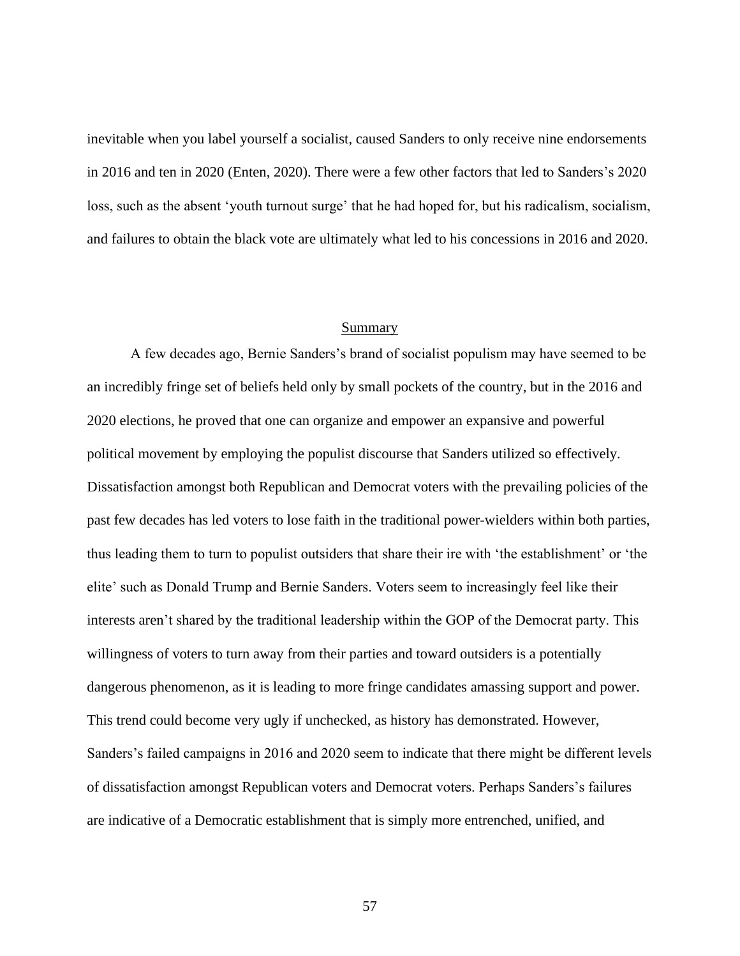inevitable when you label yourself a socialist, caused Sanders to only receive nine endorsements in 2016 and ten in 2020 (Enten, 2020). There were a few other factors that led to Sanders's 2020 loss, such as the absent 'youth turnout surge' that he had hoped for, but his radicalism, socialism, and failures to obtain the black vote are ultimately what led to his concessions in 2016 and 2020.

#### Summary

A few decades ago, Bernie Sanders's brand of socialist populism may have seemed to be an incredibly fringe set of beliefs held only by small pockets of the country, but in the 2016 and 2020 elections, he proved that one can organize and empower an expansive and powerful political movement by employing the populist discourse that Sanders utilized so effectively. Dissatisfaction amongst both Republican and Democrat voters with the prevailing policies of the past few decades has led voters to lose faith in the traditional power-wielders within both parties, thus leading them to turn to populist outsiders that share their ire with 'the establishment' or 'the elite' such as Donald Trump and Bernie Sanders. Voters seem to increasingly feel like their interests aren't shared by the traditional leadership within the GOP of the Democrat party. This willingness of voters to turn away from their parties and toward outsiders is a potentially dangerous phenomenon, as it is leading to more fringe candidates amassing support and power. This trend could become very ugly if unchecked, as history has demonstrated. However, Sanders's failed campaigns in 2016 and 2020 seem to indicate that there might be different levels of dissatisfaction amongst Republican voters and Democrat voters. Perhaps Sanders's failures are indicative of a Democratic establishment that is simply more entrenched, unified, and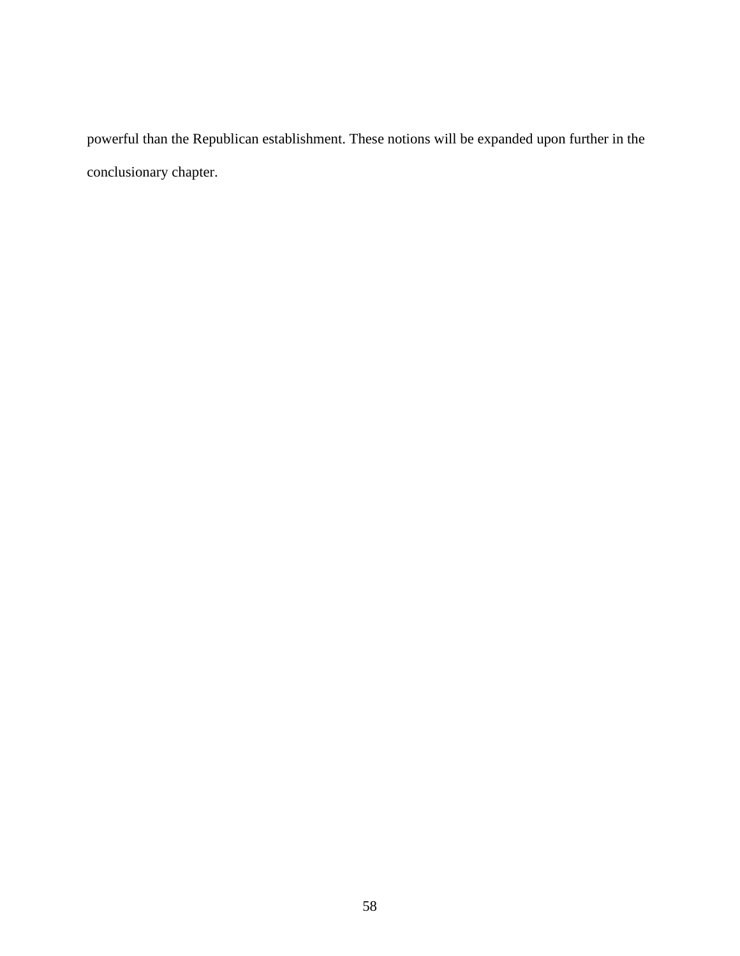powerful than the Republican establishment. These notions will be expanded upon further in the conclusionary chapter.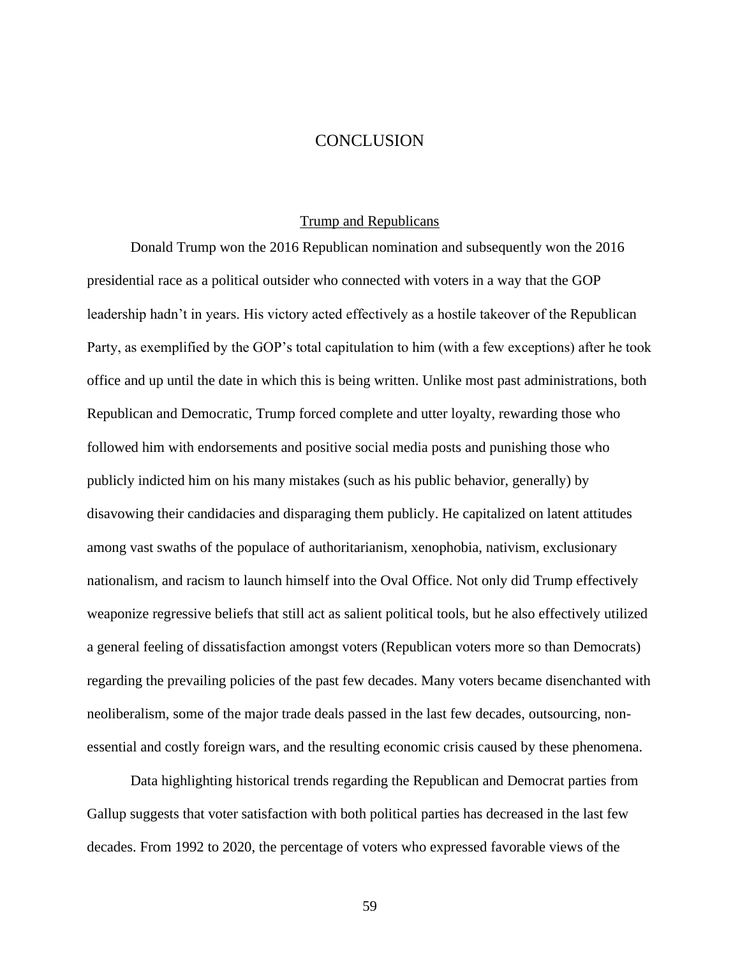# **CONCLUSION**

#### Trump and Republicans

Donald Trump won the 2016 Republican nomination and subsequently won the 2016 presidential race as a political outsider who connected with voters in a way that the GOP leadership hadn't in years. His victory acted effectively as a hostile takeover of the Republican Party, as exemplified by the GOP's total capitulation to him (with a few exceptions) after he took office and up until the date in which this is being written. Unlike most past administrations, both Republican and Democratic, Trump forced complete and utter loyalty, rewarding those who followed him with endorsements and positive social media posts and punishing those who publicly indicted him on his many mistakes (such as his public behavior, generally) by disavowing their candidacies and disparaging them publicly. He capitalized on latent attitudes among vast swaths of the populace of authoritarianism, xenophobia, nativism, exclusionary nationalism, and racism to launch himself into the Oval Office. Not only did Trump effectively weaponize regressive beliefs that still act as salient political tools, but he also effectively utilized a general feeling of dissatisfaction amongst voters (Republican voters more so than Democrats) regarding the prevailing policies of the past few decades. Many voters became disenchanted with neoliberalism, some of the major trade deals passed in the last few decades, outsourcing, nonessential and costly foreign wars, and the resulting economic crisis caused by these phenomena.

Data highlighting historical trends regarding the Republican and Democrat parties from Gallup suggests that voter satisfaction with both political parties has decreased in the last few decades. From 1992 to 2020, the percentage of voters who expressed favorable views of the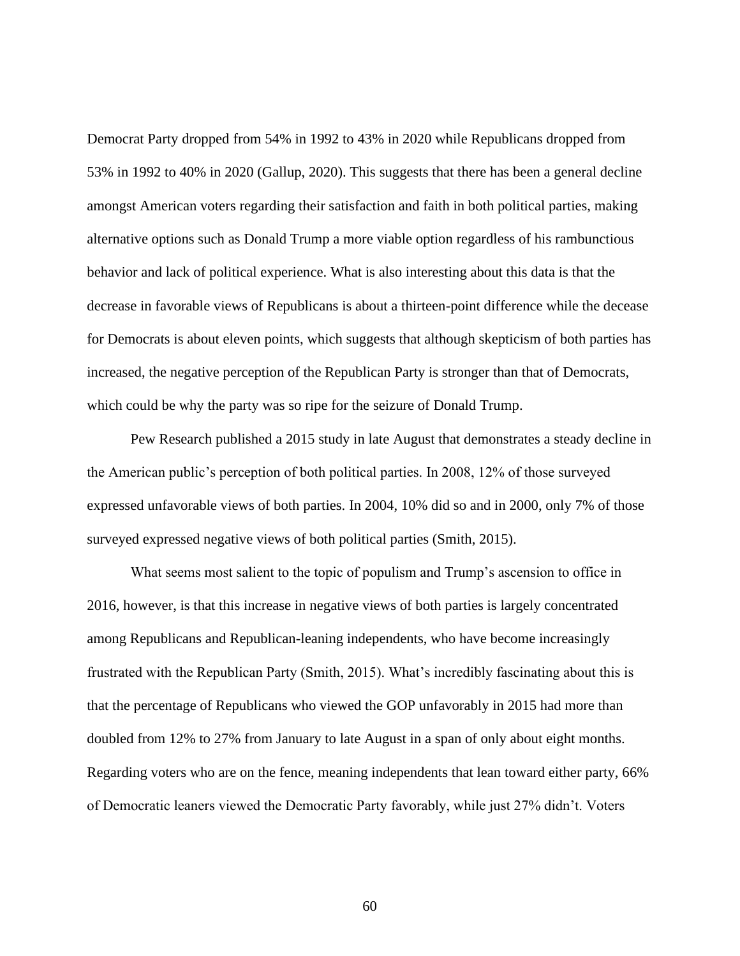Democrat Party dropped from 54% in 1992 to 43% in 2020 while Republicans dropped from 53% in 1992 to 40% in 2020 (Gallup, 2020). This suggests that there has been a general decline amongst American voters regarding their satisfaction and faith in both political parties, making alternative options such as Donald Trump a more viable option regardless of his rambunctious behavior and lack of political experience. What is also interesting about this data is that the decrease in favorable views of Republicans is about a thirteen-point difference while the decease for Democrats is about eleven points, which suggests that although skepticism of both parties has increased, the negative perception of the Republican Party is stronger than that of Democrats, which could be why the party was so ripe for the seizure of Donald Trump.

Pew Research published a 2015 study in late August that demonstrates a steady decline in the American public's perception of both political parties. In 2008, 12% of those surveyed expressed unfavorable views of both parties. In 2004, 10% did so and in 2000, only 7% of those surveyed expressed negative views of both political parties (Smith, 2015).

What seems most salient to the topic of populism and Trump's ascension to office in 2016, however, is that this increase in negative views of both parties is largely concentrated among Republicans and Republican-leaning independents, who have become increasingly frustrated with the Republican Party (Smith, 2015). What's incredibly fascinating about this is that the percentage of Republicans who viewed the GOP unfavorably in 2015 had more than doubled from 12% to 27% from January to late August in a span of only about eight months. Regarding voters who are on the fence, meaning independents that lean toward either party, 66% of Democratic leaners viewed the Democratic Party favorably, while just 27% didn't. Voters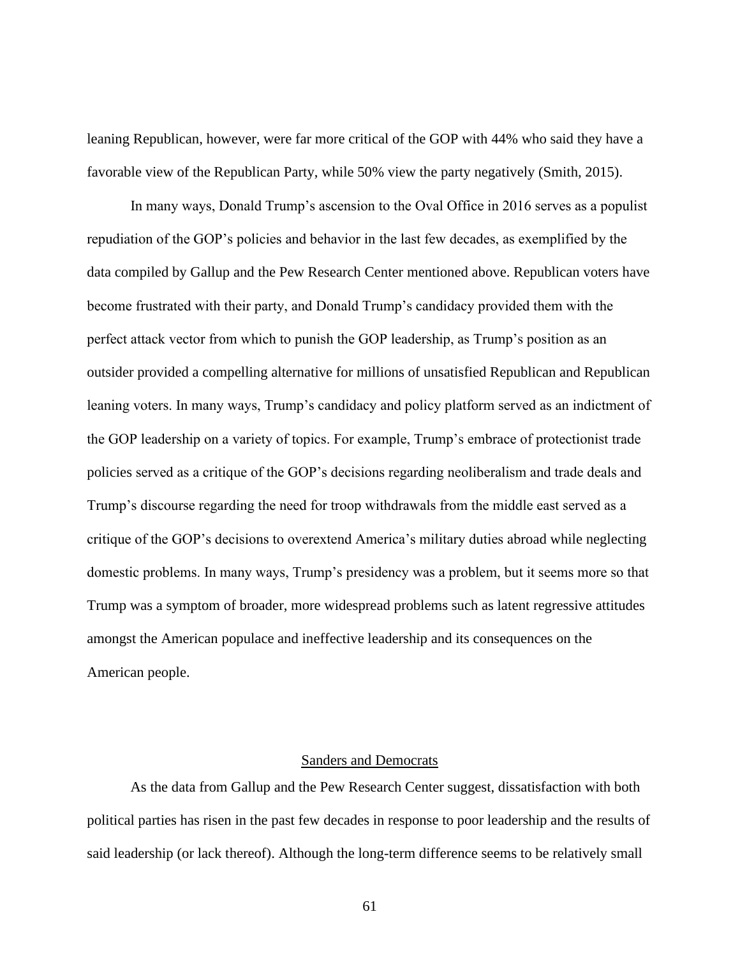leaning Republican, however, were far more critical of the GOP with 44% who said they have a favorable view of the Republican Party, while 50% view the party negatively (Smith, 2015).

In many ways, Donald Trump's ascension to the Oval Office in 2016 serves as a populist repudiation of the GOP's policies and behavior in the last few decades, as exemplified by the data compiled by Gallup and the Pew Research Center mentioned above. Republican voters have become frustrated with their party, and Donald Trump's candidacy provided them with the perfect attack vector from which to punish the GOP leadership, as Trump's position as an outsider provided a compelling alternative for millions of unsatisfied Republican and Republican leaning voters. In many ways, Trump's candidacy and policy platform served as an indictment of the GOP leadership on a variety of topics. For example, Trump's embrace of protectionist trade policies served as a critique of the GOP's decisions regarding neoliberalism and trade deals and Trump's discourse regarding the need for troop withdrawals from the middle east served as a critique of the GOP's decisions to overextend America's military duties abroad while neglecting domestic problems. In many ways, Trump's presidency was a problem, but it seems more so that Trump was a symptom of broader, more widespread problems such as latent regressive attitudes amongst the American populace and ineffective leadership and its consequences on the American people.

#### Sanders and Democrats

As the data from Gallup and the Pew Research Center suggest, dissatisfaction with both political parties has risen in the past few decades in response to poor leadership and the results of said leadership (or lack thereof). Although the long-term difference seems to be relatively small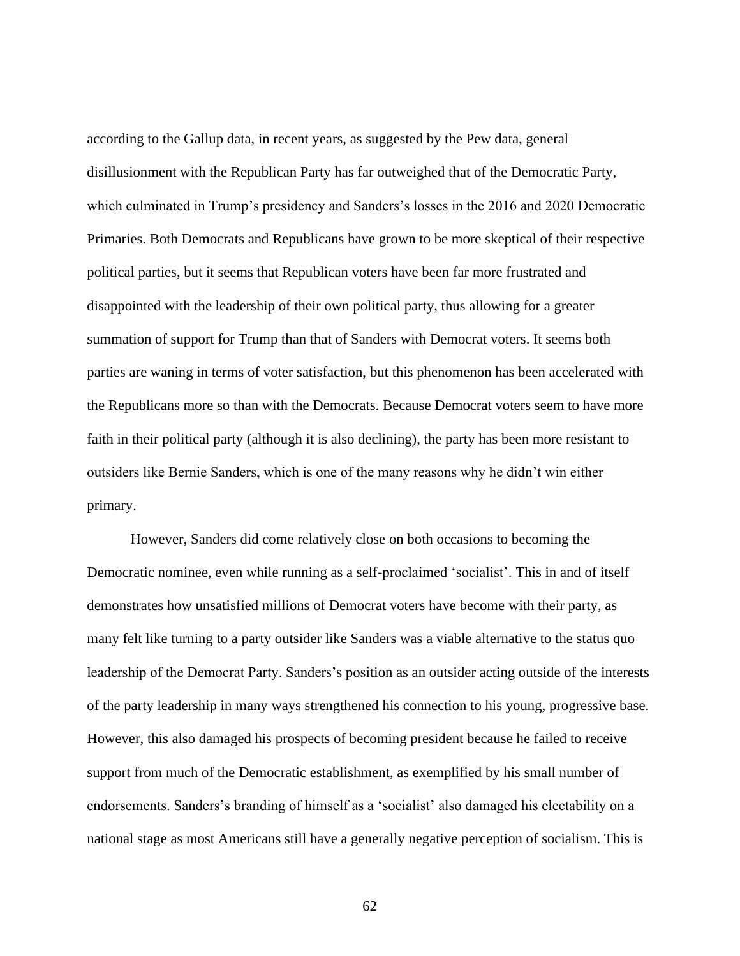according to the Gallup data, in recent years, as suggested by the Pew data, general disillusionment with the Republican Party has far outweighed that of the Democratic Party, which culminated in Trump's presidency and Sanders's losses in the 2016 and 2020 Democratic Primaries. Both Democrats and Republicans have grown to be more skeptical of their respective political parties, but it seems that Republican voters have been far more frustrated and disappointed with the leadership of their own political party, thus allowing for a greater summation of support for Trump than that of Sanders with Democrat voters. It seems both parties are waning in terms of voter satisfaction, but this phenomenon has been accelerated with the Republicans more so than with the Democrats. Because Democrat voters seem to have more faith in their political party (although it is also declining), the party has been more resistant to outsiders like Bernie Sanders, which is one of the many reasons why he didn't win either primary.

However, Sanders did come relatively close on both occasions to becoming the Democratic nominee, even while running as a self-proclaimed 'socialist'. This in and of itself demonstrates how unsatisfied millions of Democrat voters have become with their party, as many felt like turning to a party outsider like Sanders was a viable alternative to the status quo leadership of the Democrat Party. Sanders's position as an outsider acting outside of the interests of the party leadership in many ways strengthened his connection to his young, progressive base. However, this also damaged his prospects of becoming president because he failed to receive support from much of the Democratic establishment, as exemplified by his small number of endorsements. Sanders's branding of himself as a 'socialist' also damaged his electability on a national stage as most Americans still have a generally negative perception of socialism. This is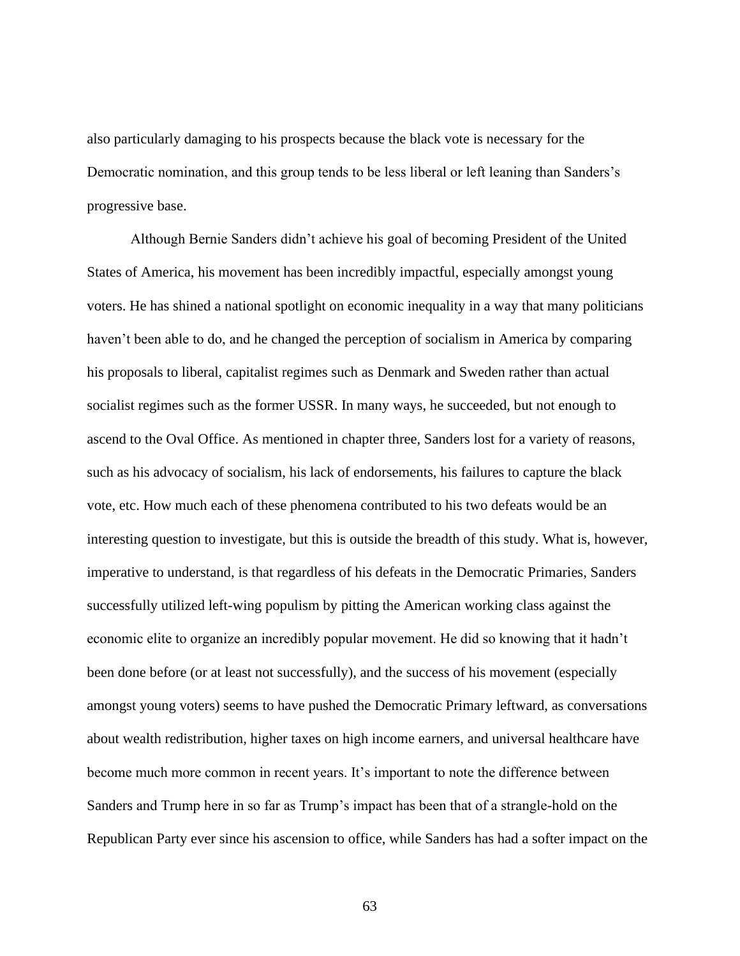also particularly damaging to his prospects because the black vote is necessary for the Democratic nomination, and this group tends to be less liberal or left leaning than Sanders's progressive base.

Although Bernie Sanders didn't achieve his goal of becoming President of the United States of America, his movement has been incredibly impactful, especially amongst young voters. He has shined a national spotlight on economic inequality in a way that many politicians haven't been able to do, and he changed the perception of socialism in America by comparing his proposals to liberal, capitalist regimes such as Denmark and Sweden rather than actual socialist regimes such as the former USSR. In many ways, he succeeded, but not enough to ascend to the Oval Office. As mentioned in chapter three, Sanders lost for a variety of reasons, such as his advocacy of socialism, his lack of endorsements, his failures to capture the black vote, etc. How much each of these phenomena contributed to his two defeats would be an interesting question to investigate, but this is outside the breadth of this study. What is, however, imperative to understand, is that regardless of his defeats in the Democratic Primaries, Sanders successfully utilized left-wing populism by pitting the American working class against the economic elite to organize an incredibly popular movement. He did so knowing that it hadn't been done before (or at least not successfully), and the success of his movement (especially amongst young voters) seems to have pushed the Democratic Primary leftward, as conversations about wealth redistribution, higher taxes on high income earners, and universal healthcare have become much more common in recent years. It's important to note the difference between Sanders and Trump here in so far as Trump's impact has been that of a strangle-hold on the Republican Party ever since his ascension to office, while Sanders has had a softer impact on the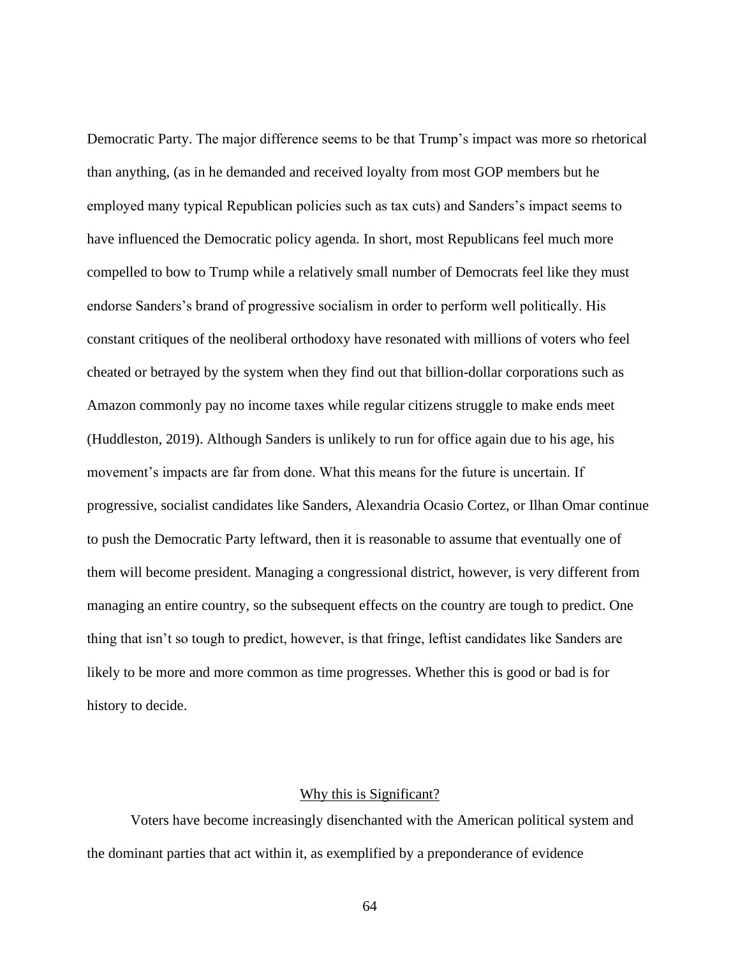Democratic Party. The major difference seems to be that Trump's impact was more so rhetorical than anything, (as in he demanded and received loyalty from most GOP members but he employed many typical Republican policies such as tax cuts) and Sanders's impact seems to have influenced the Democratic policy agenda. In short, most Republicans feel much more compelled to bow to Trump while a relatively small number of Democrats feel like they must endorse Sanders's brand of progressive socialism in order to perform well politically. His constant critiques of the neoliberal orthodoxy have resonated with millions of voters who feel cheated or betrayed by the system when they find out that billion-dollar corporations such as Amazon commonly pay no income taxes while regular citizens struggle to make ends meet (Huddleston, 2019). Although Sanders is unlikely to run for office again due to his age, his movement's impacts are far from done. What this means for the future is uncertain. If progressive, socialist candidates like Sanders, Alexandria Ocasio Cortez, or Ilhan Omar continue to push the Democratic Party leftward, then it is reasonable to assume that eventually one of them will become president. Managing a congressional district, however, is very different from managing an entire country, so the subsequent effects on the country are tough to predict. One thing that isn't so tough to predict, however, is that fringe, leftist candidates like Sanders are likely to be more and more common as time progresses. Whether this is good or bad is for history to decide.

#### Why this is Significant?

Voters have become increasingly disenchanted with the American political system and the dominant parties that act within it, as exemplified by a preponderance of evidence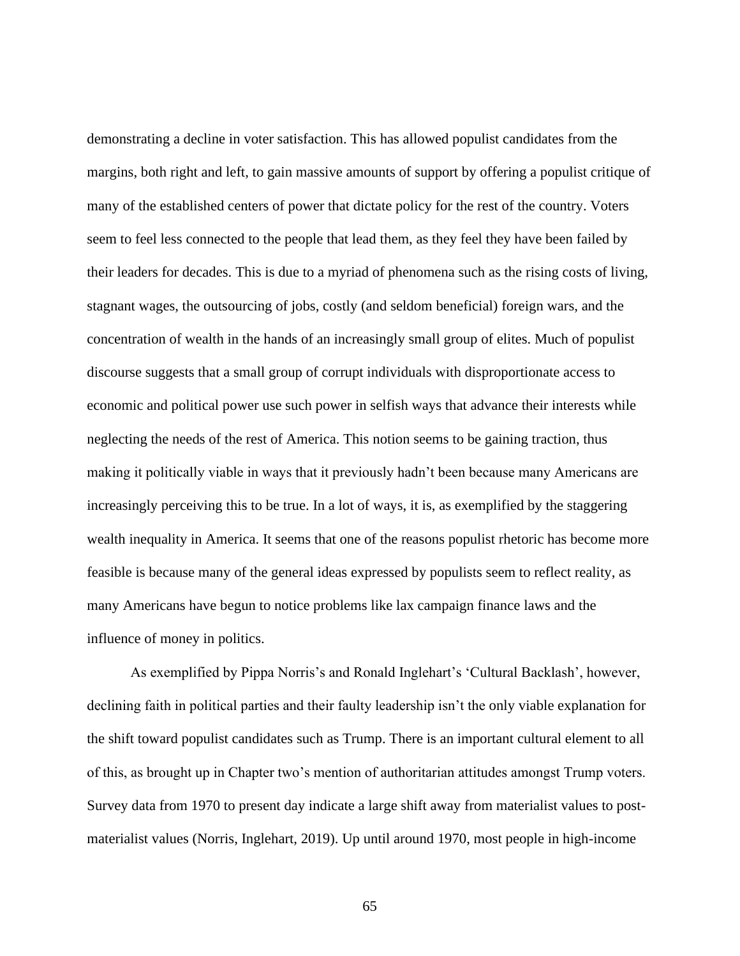demonstrating a decline in voter satisfaction. This has allowed populist candidates from the margins, both right and left, to gain massive amounts of support by offering a populist critique of many of the established centers of power that dictate policy for the rest of the country. Voters seem to feel less connected to the people that lead them, as they feel they have been failed by their leaders for decades. This is due to a myriad of phenomena such as the rising costs of living, stagnant wages, the outsourcing of jobs, costly (and seldom beneficial) foreign wars, and the concentration of wealth in the hands of an increasingly small group of elites. Much of populist discourse suggests that a small group of corrupt individuals with disproportionate access to economic and political power use such power in selfish ways that advance their interests while neglecting the needs of the rest of America. This notion seems to be gaining traction, thus making it politically viable in ways that it previously hadn't been because many Americans are increasingly perceiving this to be true. In a lot of ways, it is, as exemplified by the staggering wealth inequality in America. It seems that one of the reasons populist rhetoric has become more feasible is because many of the general ideas expressed by populists seem to reflect reality, as many Americans have begun to notice problems like lax campaign finance laws and the influence of money in politics.

As exemplified by Pippa Norris's and Ronald Inglehart's 'Cultural Backlash', however, declining faith in political parties and their faulty leadership isn't the only viable explanation for the shift toward populist candidates such as Trump. There is an important cultural element to all of this, as brought up in Chapter two's mention of authoritarian attitudes amongst Trump voters. Survey data from 1970 to present day indicate a large shift away from materialist values to postmaterialist values (Norris, Inglehart, 2019). Up until around 1970, most people in high-income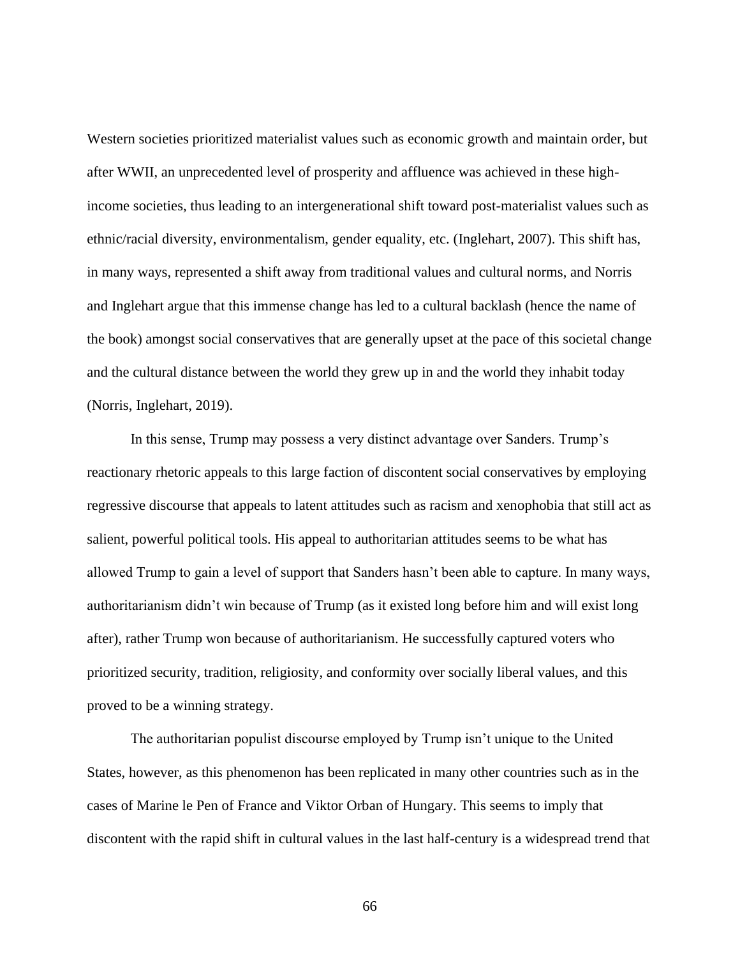Western societies prioritized materialist values such as economic growth and maintain order, but after WWII, an unprecedented level of prosperity and affluence was achieved in these highincome societies, thus leading to an intergenerational shift toward post-materialist values such as ethnic/racial diversity, environmentalism, gender equality, etc. (Inglehart, 2007). This shift has, in many ways, represented a shift away from traditional values and cultural norms, and Norris and Inglehart argue that this immense change has led to a cultural backlash (hence the name of the book) amongst social conservatives that are generally upset at the pace of this societal change and the cultural distance between the world they grew up in and the world they inhabit today (Norris, Inglehart, 2019).

In this sense, Trump may possess a very distinct advantage over Sanders. Trump's reactionary rhetoric appeals to this large faction of discontent social conservatives by employing regressive discourse that appeals to latent attitudes such as racism and xenophobia that still act as salient, powerful political tools. His appeal to authoritarian attitudes seems to be what has allowed Trump to gain a level of support that Sanders hasn't been able to capture. In many ways, authoritarianism didn't win because of Trump (as it existed long before him and will exist long after), rather Trump won because of authoritarianism. He successfully captured voters who prioritized security, tradition, religiosity, and conformity over socially liberal values, and this proved to be a winning strategy.

The authoritarian populist discourse employed by Trump isn't unique to the United States, however, as this phenomenon has been replicated in many other countries such as in the cases of Marine le Pen of France and Viktor Orban of Hungary. This seems to imply that discontent with the rapid shift in cultural values in the last half-century is a widespread trend that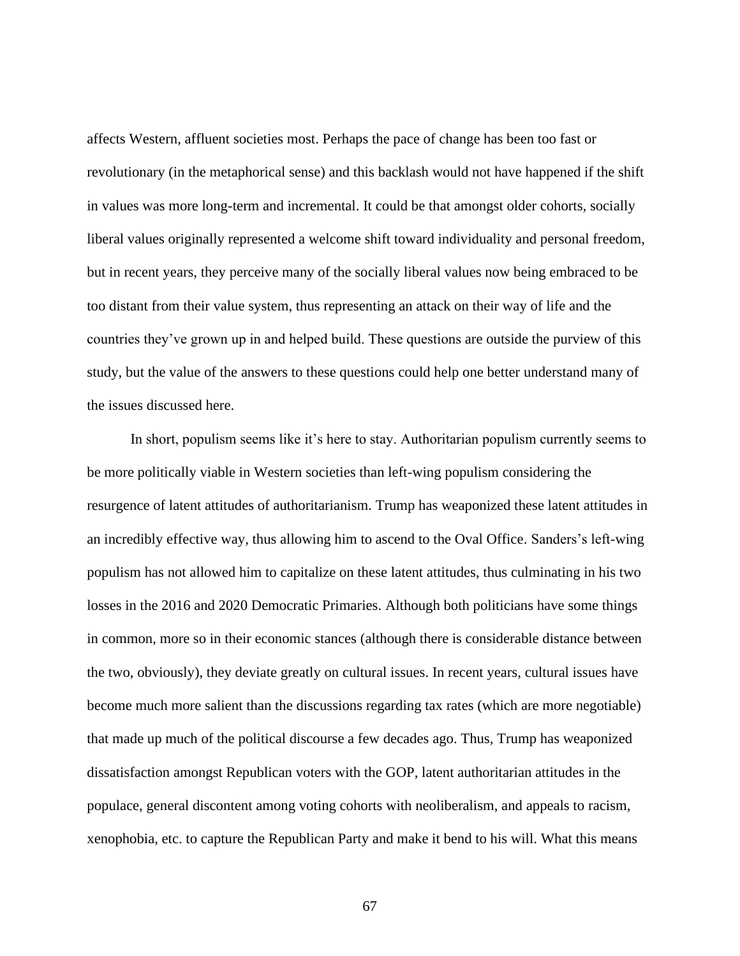affects Western, affluent societies most. Perhaps the pace of change has been too fast or revolutionary (in the metaphorical sense) and this backlash would not have happened if the shift in values was more long-term and incremental. It could be that amongst older cohorts, socially liberal values originally represented a welcome shift toward individuality and personal freedom, but in recent years, they perceive many of the socially liberal values now being embraced to be too distant from their value system, thus representing an attack on their way of life and the countries they've grown up in and helped build. These questions are outside the purview of this study, but the value of the answers to these questions could help one better understand many of the issues discussed here.

In short, populism seems like it's here to stay. Authoritarian populism currently seems to be more politically viable in Western societies than left-wing populism considering the resurgence of latent attitudes of authoritarianism. Trump has weaponized these latent attitudes in an incredibly effective way, thus allowing him to ascend to the Oval Office. Sanders's left-wing populism has not allowed him to capitalize on these latent attitudes, thus culminating in his two losses in the 2016 and 2020 Democratic Primaries. Although both politicians have some things in common, more so in their economic stances (although there is considerable distance between the two, obviously), they deviate greatly on cultural issues. In recent years, cultural issues have become much more salient than the discussions regarding tax rates (which are more negotiable) that made up much of the political discourse a few decades ago. Thus, Trump has weaponized dissatisfaction amongst Republican voters with the GOP, latent authoritarian attitudes in the populace, general discontent among voting cohorts with neoliberalism, and appeals to racism, xenophobia, etc. to capture the Republican Party and make it bend to his will. What this means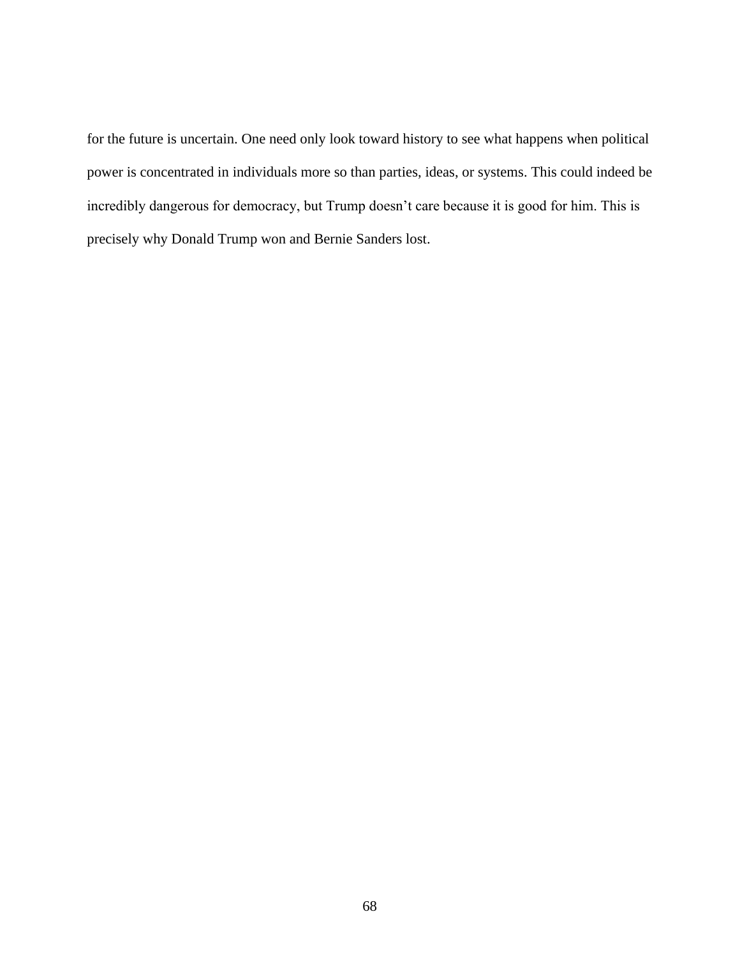for the future is uncertain. One need only look toward history to see what happens when political power is concentrated in individuals more so than parties, ideas, or systems. This could indeed be incredibly dangerous for democracy, but Trump doesn't care because it is good for him. This is precisely why Donald Trump won and Bernie Sanders lost.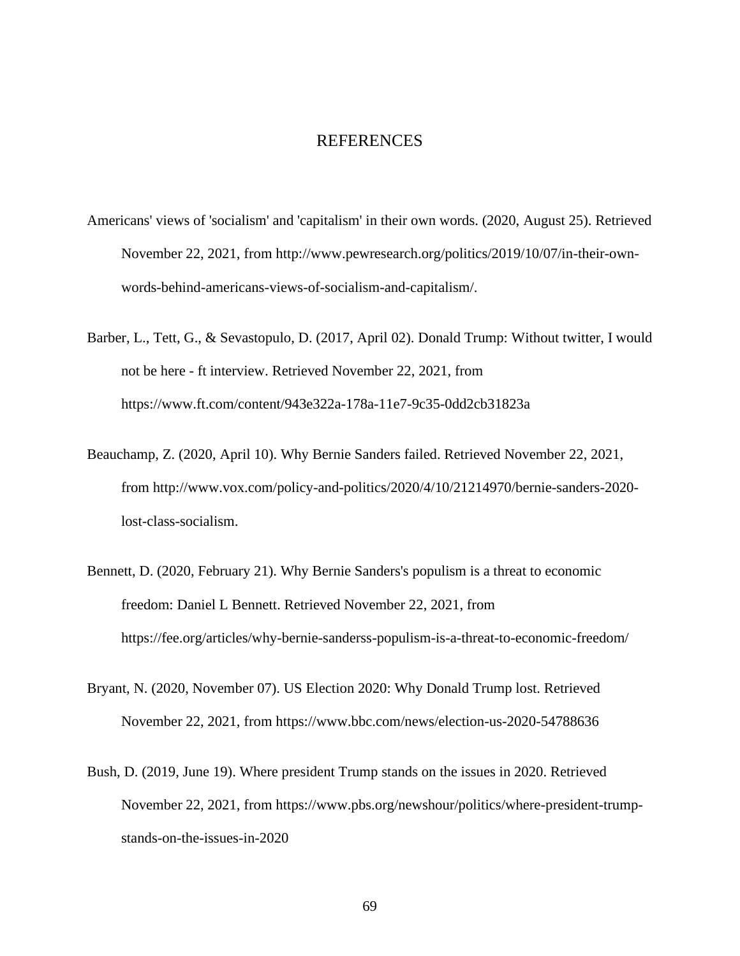## REFERENCES

- Americans' views of 'socialism' and 'capitalism' in their own words. (2020, August 25). Retrieved November 22, 2021, from http://www.pewresearch.org/politics/2019/10/07/in-their-ownwords-behind-americans-views-of-socialism-and-capitalism/.
- Barber, L., Tett, G., & Sevastopulo, D. (2017, April 02). Donald Trump: Without twitter, I would not be here - ft interview. Retrieved November 22, 2021, from https://www.ft.com/content/943e322a-178a-11e7-9c35-0dd2cb31823a
- Beauchamp, Z. (2020, April 10). Why Bernie Sanders failed. Retrieved November 22, 2021, from http://www.vox.com/policy-and-politics/2020/4/10/21214970/bernie-sanders-2020 lost-class-socialism.
- Bennett, D. (2020, February 21). Why Bernie Sanders's populism is a threat to economic freedom: Daniel L Bennett. Retrieved November 22, 2021, from https://fee.org/articles/why-bernie-sanderss-populism-is-a-threat-to-economic-freedom/
- Bryant, N. (2020, November 07). US Election 2020: Why Donald Trump lost. Retrieved November 22, 2021, from https://www.bbc.com/news/election-us-2020-54788636
- Bush, D. (2019, June 19). Where president Trump stands on the issues in 2020. Retrieved November 22, 2021, from https://www.pbs.org/newshour/politics/where-president-trumpstands-on-the-issues-in-2020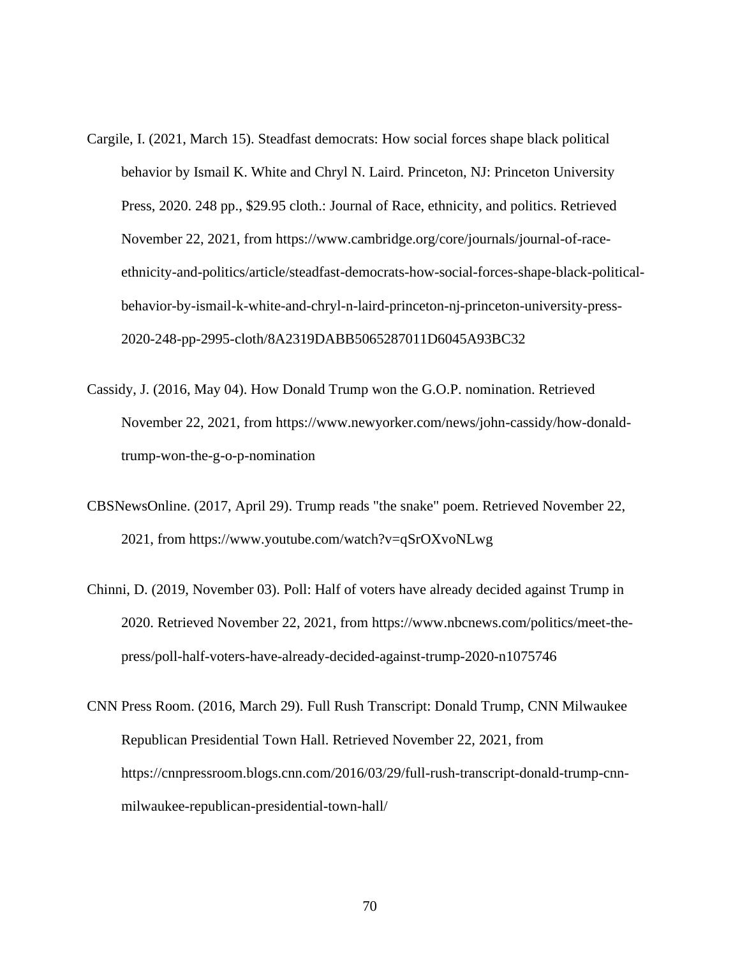- Cargile, I. (2021, March 15). Steadfast democrats: How social forces shape black political behavior by Ismail K. White and Chryl N. Laird. Princeton, NJ: Princeton University Press, 2020. 248 pp., \$29.95 cloth.: Journal of Race, ethnicity, and politics. Retrieved November 22, 2021, from https://www.cambridge.org/core/journals/journal-of-raceethnicity-and-politics/article/steadfast-democrats-how-social-forces-shape-black-politicalbehavior-by-ismail-k-white-and-chryl-n-laird-princeton-nj-princeton-university-press-2020-248-pp-2995-cloth/8A2319DABB5065287011D6045A93BC32
- Cassidy, J. (2016, May 04). How Donald Trump won the G.O.P. nomination. Retrieved November 22, 2021, from https://www.newyorker.com/news/john-cassidy/how-donaldtrump-won-the-g-o-p-nomination
- CBSNewsOnline. (2017, April 29). Trump reads "the snake" poem. Retrieved November 22, 2021, from https://www.youtube.com/watch?v=qSrOXvoNLwg
- Chinni, D. (2019, November 03). Poll: Half of voters have already decided against Trump in 2020. Retrieved November 22, 2021, from https://www.nbcnews.com/politics/meet-thepress/poll-half-voters-have-already-decided-against-trump-2020-n1075746
- CNN Press Room. (2016, March 29). Full Rush Transcript: Donald Trump, CNN Milwaukee Republican Presidential Town Hall. Retrieved November 22, 2021, from https://cnnpressroom.blogs.cnn.com/2016/03/29/full-rush-transcript-donald-trump-cnnmilwaukee-republican-presidential-town-hall/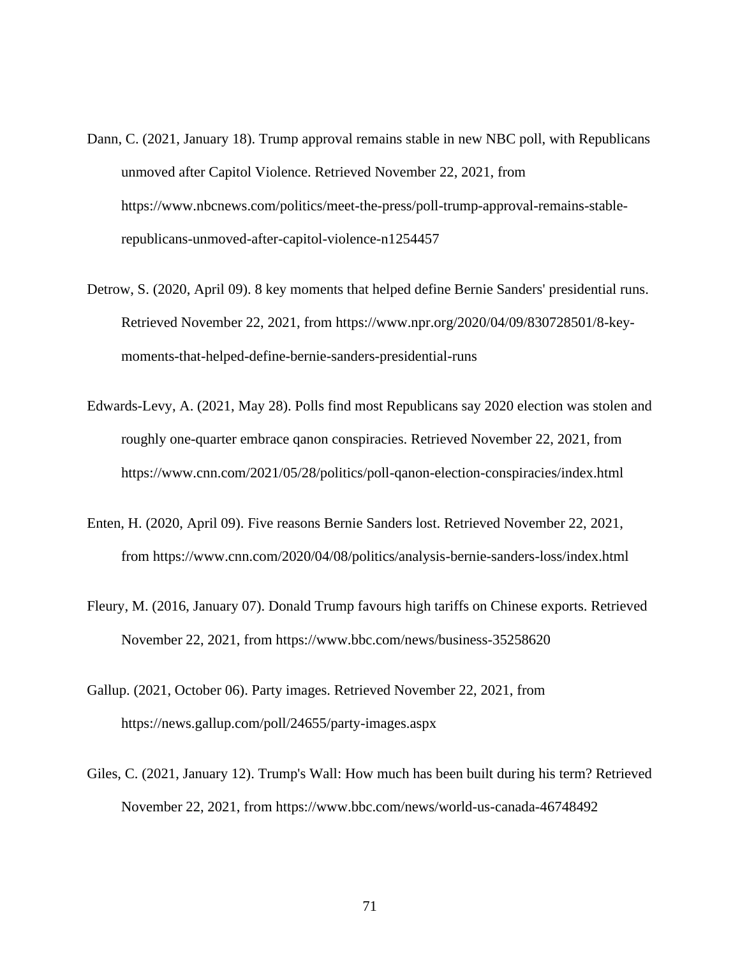- Dann, C. (2021, January 18). Trump approval remains stable in new NBC poll, with Republicans unmoved after Capitol Violence. Retrieved November 22, 2021, from https://www.nbcnews.com/politics/meet-the-press/poll-trump-approval-remains-stablerepublicans-unmoved-after-capitol-violence-n1254457
- Detrow, S. (2020, April 09). 8 key moments that helped define Bernie Sanders' presidential runs. Retrieved November 22, 2021, from https://www.npr.org/2020/04/09/830728501/8-keymoments-that-helped-define-bernie-sanders-presidential-runs
- Edwards-Levy, A. (2021, May 28). Polls find most Republicans say 2020 election was stolen and roughly one-quarter embrace qanon conspiracies. Retrieved November 22, 2021, from https://www.cnn.com/2021/05/28/politics/poll-qanon-election-conspiracies/index.html
- Enten, H. (2020, April 09). Five reasons Bernie Sanders lost. Retrieved November 22, 2021, from https://www.cnn.com/2020/04/08/politics/analysis-bernie-sanders-loss/index.html
- Fleury, M. (2016, January 07). Donald Trump favours high tariffs on Chinese exports. Retrieved November 22, 2021, from https://www.bbc.com/news/business-35258620
- Gallup. (2021, October 06). Party images. Retrieved November 22, 2021, from https://news.gallup.com/poll/24655/party-images.aspx
- Giles, C. (2021, January 12). Trump's Wall: How much has been built during his term? Retrieved November 22, 2021, from https://www.bbc.com/news/world-us-canada-46748492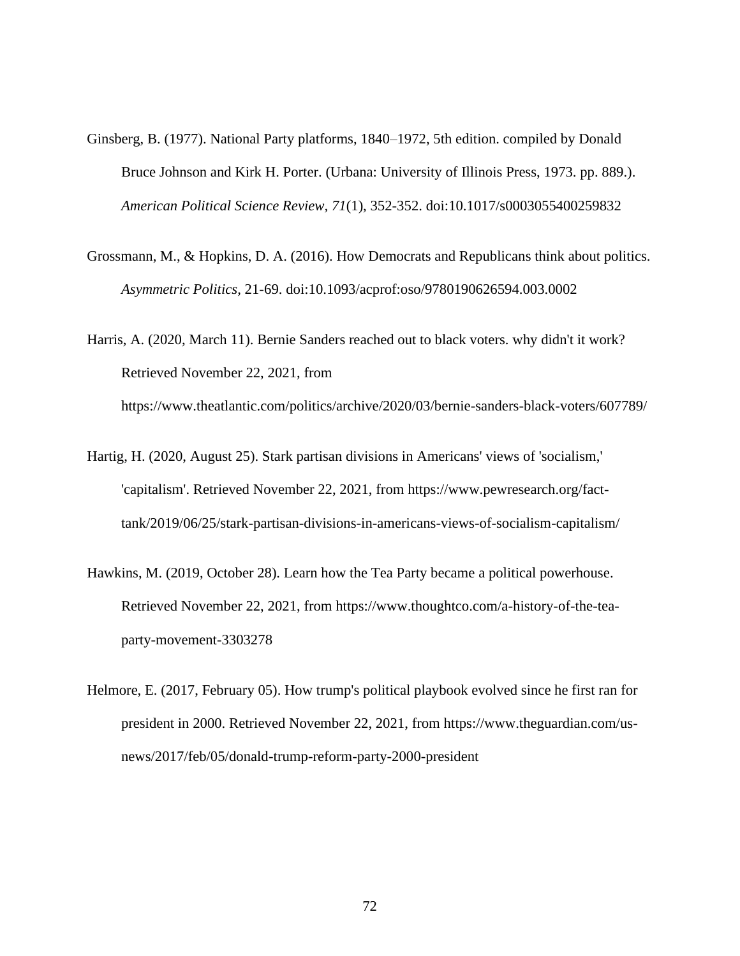- Ginsberg, B. (1977). National Party platforms, 1840–1972, 5th edition. compiled by Donald Bruce Johnson and Kirk H. Porter. (Urbana: University of Illinois Press, 1973. pp. 889.). *American Political Science Review, 71*(1), 352-352. doi:10.1017/s0003055400259832
- Grossmann, M., & Hopkins, D. A. (2016). How Democrats and Republicans think about politics. *Asymmetric Politics,* 21-69. doi:10.1093/acprof:oso/9780190626594.003.0002
- Harris, A. (2020, March 11). Bernie Sanders reached out to black voters. why didn't it work? Retrieved November 22, 2021, from https://www.theatlantic.com/politics/archive/2020/03/bernie-sanders-black-voters/607789/
- Hartig, H. (2020, August 25). Stark partisan divisions in Americans' views of 'socialism,' 'capitalism'. Retrieved November 22, 2021, from https://www.pewresearch.org/facttank/2019/06/25/stark-partisan-divisions-in-americans-views-of-socialism-capitalism/
- Hawkins, M. (2019, October 28). Learn how the Tea Party became a political powerhouse. Retrieved November 22, 2021, from https://www.thoughtco.com/a-history-of-the-teaparty-movement-3303278
- Helmore, E. (2017, February 05). How trump's political playbook evolved since he first ran for president in 2000. Retrieved November 22, 2021, from https://www.theguardian.com/usnews/2017/feb/05/donald-trump-reform-party-2000-president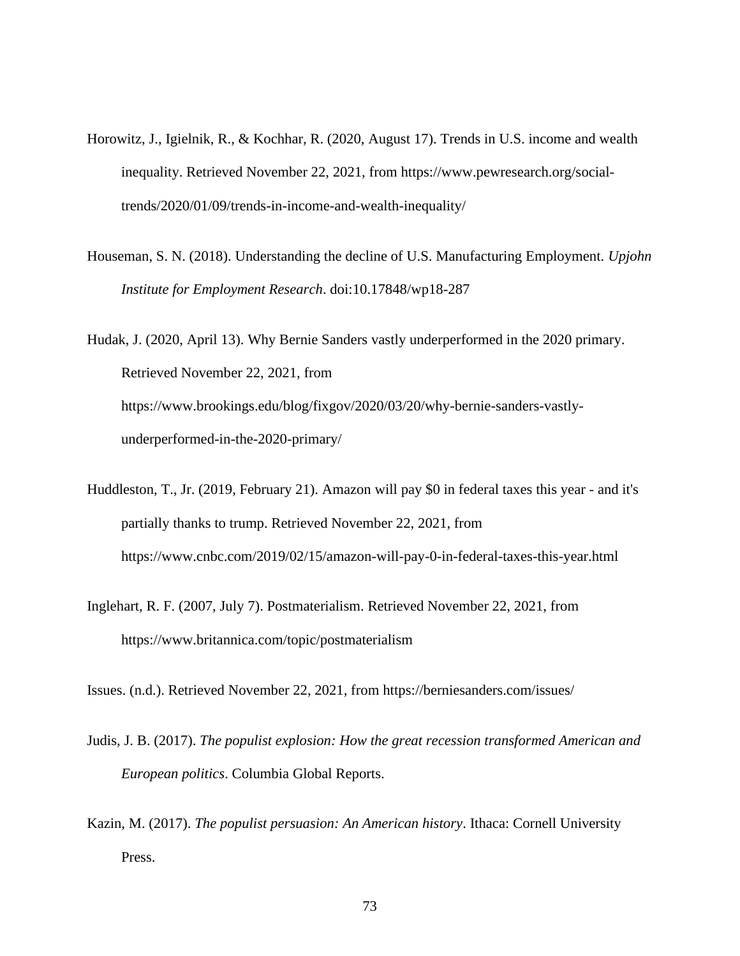- Horowitz, J., Igielnik, R., & Kochhar, R. (2020, August 17). Trends in U.S. income and wealth inequality. Retrieved November 22, 2021, from https://www.pewresearch.org/socialtrends/2020/01/09/trends-in-income-and-wealth-inequality/
- Houseman, S. N. (2018). Understanding the decline of U.S. Manufacturing Employment. *Upjohn Institute for Employment Research*. doi:10.17848/wp18-287

Hudak, J. (2020, April 13). Why Bernie Sanders vastly underperformed in the 2020 primary. Retrieved November 22, 2021, from https://www.brookings.edu/blog/fixgov/2020/03/20/why-bernie-sanders-vastlyunderperformed-in-the-2020-primary/

- Huddleston, T., Jr. (2019, February 21). Amazon will pay \$0 in federal taxes this year and it's partially thanks to trump. Retrieved November 22, 2021, from https://www.cnbc.com/2019/02/15/amazon-will-pay-0-in-federal-taxes-this-year.html
- Inglehart, R. F. (2007, July 7). Postmaterialism. Retrieved November 22, 2021, from https://www.britannica.com/topic/postmaterialism

Issues. (n.d.). Retrieved November 22, 2021, from https://berniesanders.com/issues/

- Judis, J. B. (2017). *The populist explosion: How the great recession transformed American and European politics*. Columbia Global Reports.
- Kazin, M. (2017). *The populist persuasion: An American history*. Ithaca: Cornell University Press.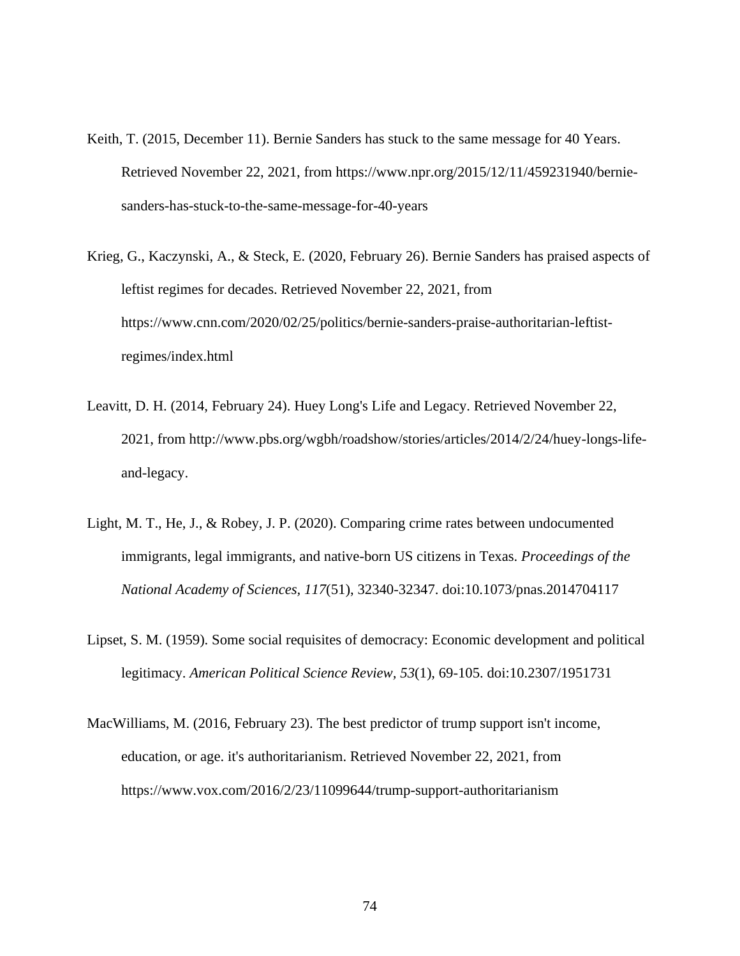- Keith, T. (2015, December 11). Bernie Sanders has stuck to the same message for 40 Years. Retrieved November 22, 2021, from https://www.npr.org/2015/12/11/459231940/berniesanders-has-stuck-to-the-same-message-for-40-years
- Krieg, G., Kaczynski, A., & Steck, E. (2020, February 26). Bernie Sanders has praised aspects of leftist regimes for decades. Retrieved November 22, 2021, from https://www.cnn.com/2020/02/25/politics/bernie-sanders-praise-authoritarian-leftistregimes/index.html
- Leavitt, D. H. (2014, February 24). Huey Long's Life and Legacy. Retrieved November 22, 2021, from http://www.pbs.org/wgbh/roadshow/stories/articles/2014/2/24/huey-longs-lifeand-legacy.
- Light, M. T., He, J., & Robey, J. P. (2020). Comparing crime rates between undocumented immigrants, legal immigrants, and native-born US citizens in Texas. *Proceedings of the National Academy of Sciences, 117*(51), 32340-32347. doi:10.1073/pnas.2014704117
- Lipset, S. M. (1959). Some social requisites of democracy: Economic development and political legitimacy. *American Political Science Review, 53*(1), 69-105. doi:10.2307/1951731
- MacWilliams, M. (2016, February 23). The best predictor of trump support isn't income, education, or age. it's authoritarianism. Retrieved November 22, 2021, from https://www.vox.com/2016/2/23/11099644/trump-support-authoritarianism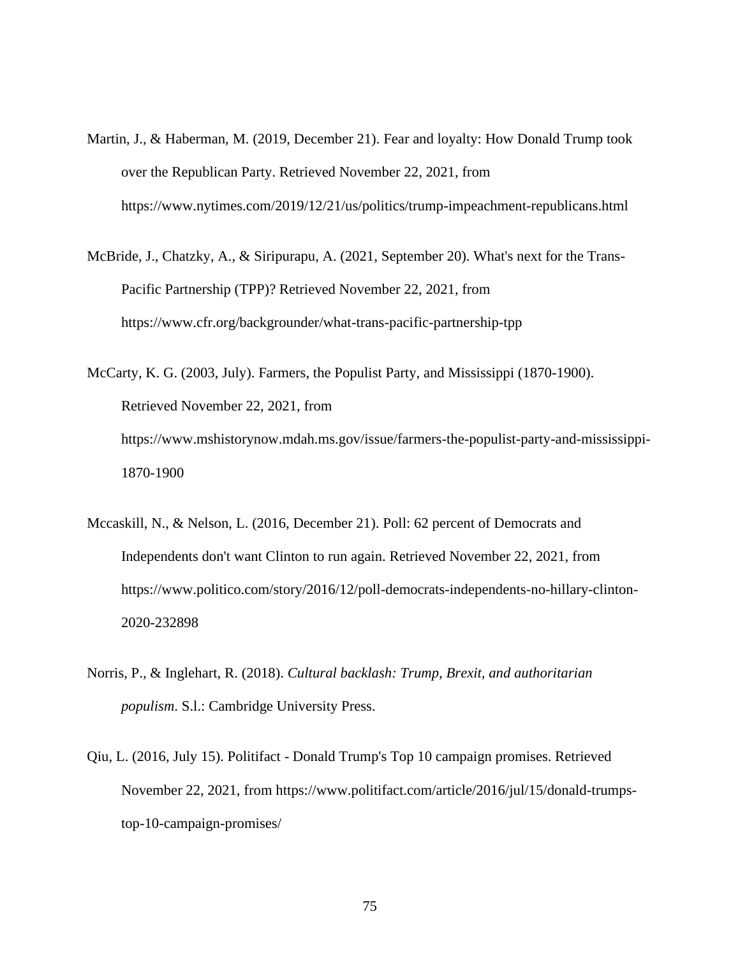- Martin, J., & Haberman, M. (2019, December 21). Fear and loyalty: How Donald Trump took over the Republican Party. Retrieved November 22, 2021, from https://www.nytimes.com/2019/12/21/us/politics/trump-impeachment-republicans.html
- McBride, J., Chatzky, A., & Siripurapu, A. (2021, September 20). What's next for the Trans-Pacific Partnership (TPP)? Retrieved November 22, 2021, from https://www.cfr.org/backgrounder/what-trans-pacific-partnership-tpp
- McCarty, K. G. (2003, July). Farmers, the Populist Party, and Mississippi (1870-1900). Retrieved November 22, 2021, from https://www.mshistorynow.mdah.ms.gov/issue/farmers-the-populist-party-and-mississippi-1870-1900
- Mccaskill, N., & Nelson, L. (2016, December 21). Poll: 62 percent of Democrats and Independents don't want Clinton to run again. Retrieved November 22, 2021, from https://www.politico.com/story/2016/12/poll-democrats-independents-no-hillary-clinton-2020-232898
- Norris, P., & Inglehart, R. (2018). *Cultural backlash: Trump, Brexit, and authoritarian populism*. S.l.: Cambridge University Press.
- Qiu, L. (2016, July 15). Politifact Donald Trump's Top 10 campaign promises. Retrieved November 22, 2021, from https://www.politifact.com/article/2016/jul/15/donald-trumpstop-10-campaign-promises/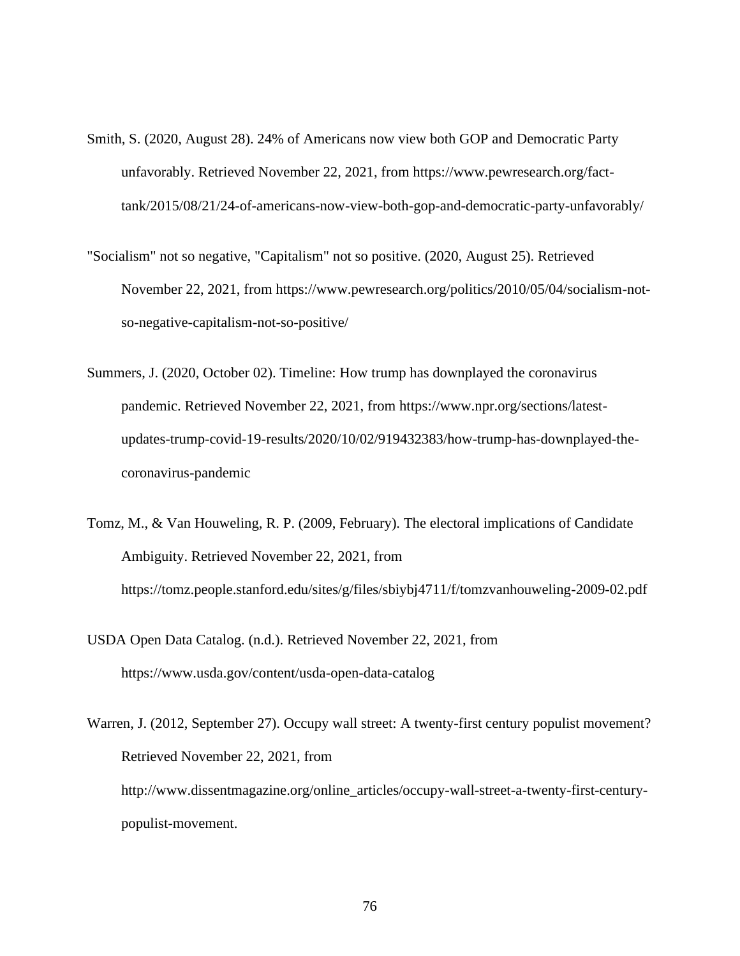- Smith, S. (2020, August 28). 24% of Americans now view both GOP and Democratic Party unfavorably. Retrieved November 22, 2021, from https://www.pewresearch.org/facttank/2015/08/21/24-of-americans-now-view-both-gop-and-democratic-party-unfavorably/
- "Socialism" not so negative, "Capitalism" not so positive. (2020, August 25). Retrieved November 22, 2021, from https://www.pewresearch.org/politics/2010/05/04/socialism-notso-negative-capitalism-not-so-positive/
- Summers, J. (2020, October 02). Timeline: How trump has downplayed the coronavirus pandemic. Retrieved November 22, 2021, from https://www.npr.org/sections/latestupdates-trump-covid-19-results/2020/10/02/919432383/how-trump-has-downplayed-thecoronavirus-pandemic
- Tomz, M., & Van Houweling, R. P. (2009, February). The electoral implications of Candidate Ambiguity. Retrieved November 22, 2021, from https://tomz.people.stanford.edu/sites/g/files/sbiybj4711/f/tomzvanhouweling-2009-02.pdf
- USDA Open Data Catalog. (n.d.). Retrieved November 22, 2021, from https://www.usda.gov/content/usda-open-data-catalog
- Warren, J. (2012, September 27). Occupy wall street: A twenty-first century populist movement? Retrieved November 22, 2021, from http://www.dissentmagazine.org/online\_articles/occupy-wall-street-a-twenty-first-centurypopulist-movement.